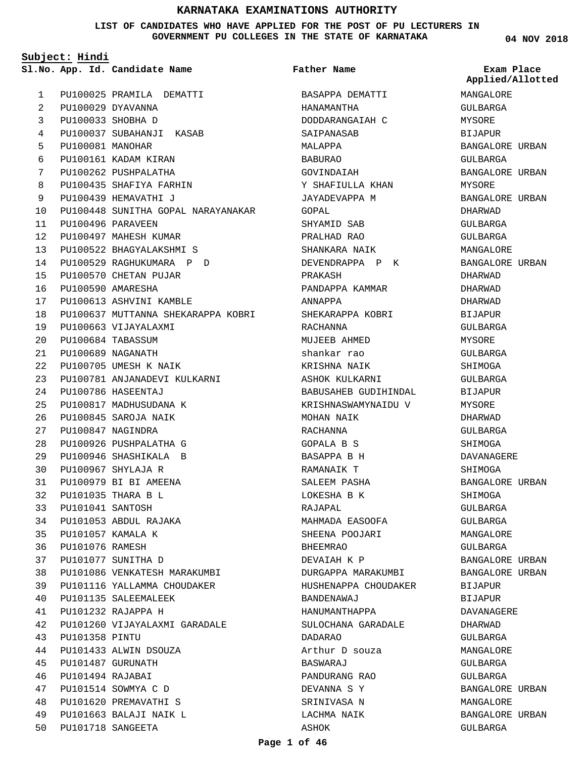**LIST OF CANDIDATES WHO HAVE APPLIED FOR THE POST OF PU LECTURERS IN GOVERNMENT PU COLLEGES IN THE STATE OF KARNATAKA**

**Subject: Hindi**

**App. Id. Candidate Name Sl.No. Exam Place**

**Father Name**

PU100025 PRAMILA DEMATTI PU100029 DYAVANNA PU100033 SHOBHA D PU100037 SUBAHANJI KASAB PU100081 MANOHAR PU100161 KADAM KIRAN PU100262 PUSHPALATHA PU100435 SHAFIYA FARHIN PU100439 HEMAVATHI J PU100448 SUNITHA GOPAL NARAYANAKAR PU100496 PARAVEEN PU100497 MAHESH KUMAR PU100522 BHAGYALAKSHMI S PU100529 RAGHUKUMARA P D PU100570 CHETAN PUJAR PU100590 AMARESHA PU100613 ASHVINI KAMBLE PU100637 MUTTANNA SHEKARAPPA KOBRI PU100663 VIJAYALAXMI PU100684 TABASSUM PU100689 NAGANATH PU100705 UMESH K NAIK PU100781 ANJANADEVI KULKARNI PU100786 HASEENTAJ PU100817 MADHUSUDANA K PU100845 SAROJA NAIK PU100847 NAGINDRA PU100926 PUSHPALATHA G PU100946 SHASHIKALA B PU100967 SHYLAJA R PU100979 BI BI AMEENA PU101035 THARA B L PU101041 SANTOSH PU101053 ABDUL RAJAKA PU101057 KAMALA K PU101076 RAMESH PU101077 SUNITHA D PU101086 VENKATESH MARAKUMBI PU101116 YALLAMMA CHOUDAKER PU101135 SALEEMALEEK PU101232 RAJAPPA H PU101260 VIJAYALAXMI GARADALE PU101358 PINTU PU101433 ALWIN DSOUZA PU101487 GURUNATH PU101494 RAJABAI PU101514 SOWMYA C D PU101620 PREMAVATHI S PU101663 BALAJI NAIK L PU101718 SANGEETA 1  $\overline{2}$ 3 4 5 6 7 8 9  $1<sub>0</sub>$ 11  $12$ 13 14 15 16 17 18 19  $20$  $21$ 22 23 24  $25$ 26  $27$  $28$  $29$ 30 31 32 33 34 35 36 37 38 39 40 41  $42$ 43 44 45 46 47 48 49  $50$ 

BASAPPA DEMATTI HANAMANTHA DODDARANGAIAH C SAIPANASAB MALAPPA BABURAO GOVINDAIAH Y SHAFIULLA KHAN JAYADEVAPPA M GOPAL SHYAMID SAB PRALHAD RAO SHANKARA NAIK DEVENDRAPPA P K PRAKASH PANDAPPA KAMMAR ANNAPPA SHEKARAPPA KOBRI RACHANNA MUJEEB AHMED shankar rao KRISHNA NAIK ASHOK KULKARNI BABUSAHEB GUDIHINDAL KRISHNASWAMYNAIDU V MOHAN NAIK RACHANNA GOPALA B S BASAPPA B H RAMANAIK T SALEEM PASHA LOKESHA B K RAJAPAL MAHMADA EASOOFA SHEENA POOJARI BHEEMRAO DEVAIAH K P DURGAPPA MARAKUMBI HUSHENAPPA CHOUDAKER BANDENAWAJ HANUMANTHAPPA SULOCHANA GARADALE DADARAO Arthur D souza BASWARAJ PANDURANG RAO DEVANNA S Y SRINIVASA N LACHMA NAIK ASHOK

**04 NOV 2018**

MANGALORE GULBARGA MYSORE BIJAPUR BANGALORE URBAN GULBARGA BANGALORE URBAN MYSORE BANGALORE URBAN DHARWAD GULBARGA GULBARGA MANGALORE BANGALORE URBAN DHARWAD DHARWAD DHARWAD BIJAPUR GULBARGA **MYSORF** GULBARGA SHIMOGA GULBARGA BIJAPUR MYSORE DHARWAD GULBARGA SHIMOGA DAVANAGERE SHIMOGA BANGALORE URBAN SHIMOGA GULBARGA GULBARGA MANGALORE CIILBARGA BANGALORE URBAN BANGALORE URBAN BIJAPUR BIJAPUR DAVANAGERE DHARWAD GULBARGA MANGALORE GULBARGA GULBARGA BANGALORE URBAN MANGALORE BANGALORE URBAN GULBARGA **Applied/Allotted**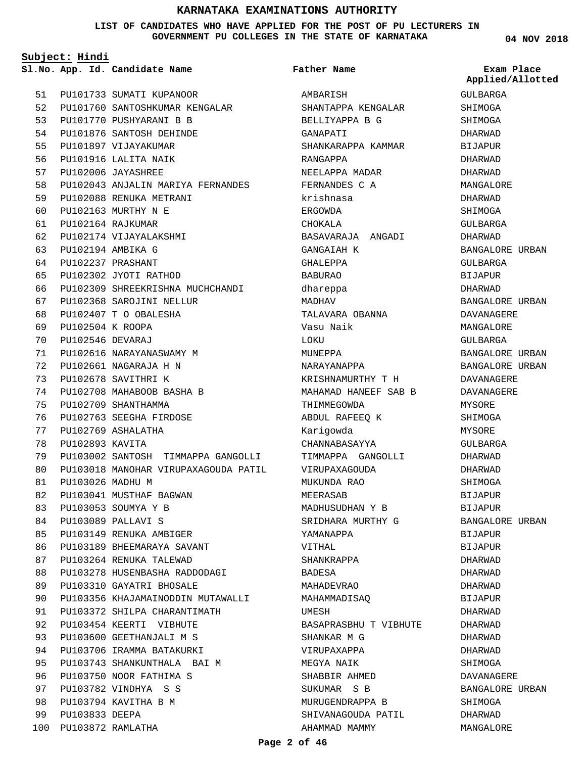**LIST OF CANDIDATES WHO HAVE APPLIED FOR THE POST OF PU LECTURERS IN GOVERNMENT PU COLLEGES IN THE STATE OF KARNATAKA**

**Subject: Hindi**

**App. Id. Candidate Name Sl.No. Exam Place**

|      |                      | 51 PU101733 SUMATI KUPANOOR          |
|------|----------------------|--------------------------------------|
|      |                      | 52 PU101760 SANTOSHKUMAR KENGALAR    |
|      |                      | 53 PU101770 PUSHYARANI B B           |
|      |                      | 54 PU101876 SANTOSH DEHINDE          |
| 55   |                      | PU101897 VIJAYAKUMAR                 |
| 56   |                      | PU101916 LALITA NAIK                 |
| 57   |                      | PU102006 JAYASHREE                   |
|      |                      | 58 PU102043 ANJALIN MARIYA FERNANDES |
|      |                      | 59 PU102088 RENUKA METRANI           |
| 60 - |                      | PU102163 MURTHY N E                  |
|      | 61 PU102164 RAJKUMAR |                                      |
|      |                      | 62 PU102174 VIJAYALAKSHMI            |
|      | 63 PU102194 AMBIKA G |                                      |
| 64   | PU102237 PRASHANT    |                                      |
|      |                      | 65 PU102302 JYOTI RATHOD             |
|      |                      | 66 PU102309 SHREEKRISHNA MUCHCHANDI  |
|      |                      | 67 PU102368 SAROJINI NELLUR          |
| 68   |                      | PU102407 T O OBALESHA                |
|      | 69 PU102504 K ROOPA  |                                      |
|      | 70 PU102546 DEVARAJ  |                                      |
| 71   |                      | PU102616 NARAYANASWAMY M             |
| 72   |                      | PU102661 NAGARAJA H N                |
| 73   |                      | PU102678 SAVITHRI K                  |
| 74   |                      | PU102708 MAHABOOB BASHA B            |
| 75   |                      | PU102709 SHANTHAMMA                  |
| 76   |                      | PU102763 SEEGHA FIRDOSE              |
| 77   |                      | PU102769 ASHALATHA                   |
| 78   | PU102893 KAVITA      |                                      |
| 79   |                      | PU103002 SANTOSH TIMMAPPA GANGOLLI   |
| 80   |                      | PU103018 MANOHAR VIRUPAXAGOUDA PATIL |
|      | 81 PU103026 MADHU M  |                                      |
|      |                      | 82 PU103041 MUSTHAF BAGWAN           |
|      |                      | 83 PU103053 SOUMYA Y B               |
| 84   |                      | PU103089 PALLAVI S                   |
| 85   |                      | PU103149 RENUKA AMBIGER              |
| 86   |                      | PU103189 BHEEMARAYA SAVANT           |
| 87   |                      | PU103264 RENUKA TALEWAD              |
| 88   |                      | PU103278 HUSENBASHA RADDODAGI        |
| 89   |                      | PU103310 GAYATRI BHOSALE             |
| 90 - |                      | PU103356 KHAJAMAINODDIN MUTAWALLI    |
| 91   |                      | PU103372 SHILPA CHARANTIMATH         |
| 92   |                      | PU103454 KEERTI VIBHUTE              |
| 93   |                      | PU103600 GEETHANJALI M S             |
| 94   |                      | PU103706 IRAMMA BATAKURKI            |
| 95   |                      | PU103743 SHANKUNTHALA BAI M          |
| 96   |                      | PU103750 NOOR FATHIMA S              |
| 97   |                      | PU103782 VINDHYA S S                 |
| 98   |                      | PU103794 KAVITHA B M                 |
| 99   | PU103833 DEEPA       |                                      |
| 100  | PU103872 RAMLATHA    |                                      |

## **Father Name**

AMBARISH SHANTAPPA KENGALAR BELLIYAPPA B G GANAPATI SHANKARAPPA KAMMAR RANGAPPA NEELAPPA MADAR FERNANDES C A krishnasa ERGOWDA CHOKALA BASAVARAJA ANGADI GANGAIAH K GHALEPPA BABURAO dhareppa MADHAV TALAVARA OBANNA Vasu Naik **LOKIL** MUNEPPA NARAYANAPPA KRISHNAMURTHY T H MAHAMAD HANEEF SAB B THIMMEGOWDA ABDUL RAFEEQ K Karigowda CHANNABASAYYA TIMMAPPA GANGOLLI VIRUPAXAGOUDA MUKUNDA RAO MEERASAB MADHUSUDHAN Y B SRIDHARA MURTHY G YAMANAPPA VITHAL SHANKRAPPA BADESA MAHADEVRAO MAHAMMADISAQ UMESH BASAPRASBHU T VIBHUTE SHANKAR M G VIRUPAXAPPA MEGYA NAIK SHABBIR AHMED SUKUMAR S B MURUGENDRAPPA B SHIVANAGOUDA PATIL AHAMMAD MAMMY

**04 NOV 2018**

**Applied/Allotted**

GULBARGA

SHIMOGA SHIMOGA DHARWAD BIJAPUR DHARWAD DHARWAD MANGALORE DHARWAD SHIMOGA GULBARGA DHARWAD BANGALORE URBAN GULBARGA BIJAPUR DHARWAD BANGALORE URBAN DAVANAGERE MANGALORE GULBARGA BANGALORE URBAN BANGALORE URBAN DAVANAGERE DAVANAGERE MYSORE SHIMOGA MYSORE GULBARGA DHARWAD DHARWAD SHIMOGA BIJAPUR BIJAPUR BANGALORE URBAN BIJAPUR BIJAPUR DHARWAD DHARWAD DHARWAD BIJAPUR DHARWAD DHARWAD DHARWAD DHARWAD SHIMOGA DAVANAGERE BANGALORE URBAN SHIMOGA DHARWAD

MANGALORE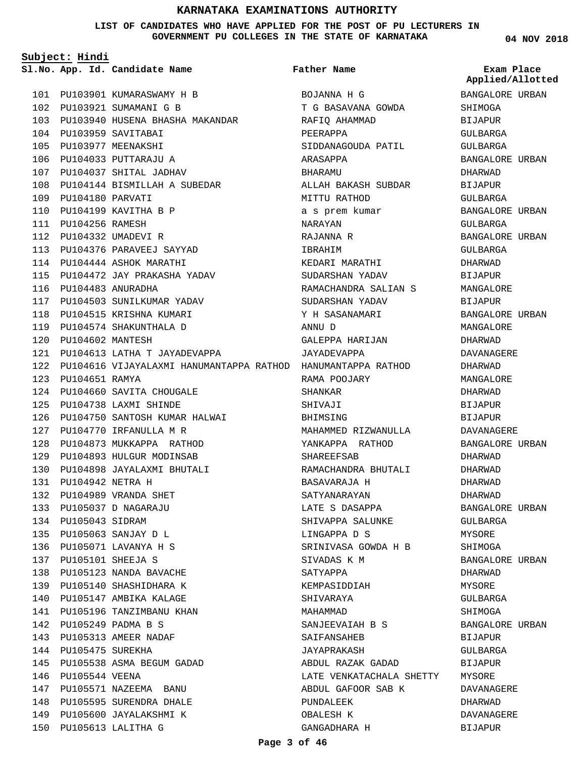**LIST OF CANDIDATES WHO HAVE APPLIED FOR THE POST OF PU LECTURERS IN GOVERNMENT PU COLLEGES IN THE STATE OF KARNATAKA**

**Subject: Hindi**

**App. Id. Candidate Name Sl.No. Exam Place**

PU103901 KUMARASWAMY H B 101 102 PU103921 SUMAMANI G B 103 PU103940 HUSENA BHASHA MAKANDAR PU103959 SAVITABAI 104 PU103977 MEENAKSHI 105 PU104033 PUTTARAJU A 106 107 PU104037 SHITAL JADHAV PU104144 BISMILLAH A SUBEDAR 108 PU104180 PARVATI 109 110 PU104199 KAVITHA B P PU104256 RAMESH 111 PU104332 UMADEVI R 112 PU104376 PARAVEEJ SAYYAD 113 PU104444 ASHOK MARATHI 114 PU104472 JAY PRAKASHA YADAV 115 PU104483 ANURADHA 116 117 PU104503 SUNILKUMAR YADAV 118 PU104515 KRISHNA KUMARI 119 PU104574 SHAKUNTHALA D PU104602 MANTESH 120 PU104613 LATHA T JAYADEVAPPA 121 122 PU104616 VIJAYALAXMI HANUMANTAPPA RATHOD HANUMANTAPPA RATHOD PU104651 RAMYA 123 PU104660 SAVITA CHOUGALE 124 PU104738 LAXMI SHINDE 125 PU104750 SANTOSH KUMAR HALWAI 126 PU104770 IRFANULLA M R 127 PU104873 MUKKAPPA RATHOD 128 PU104893 HULGUR MODINSAB 129 PU104898 JAYALAXMI BHUTALI 130 PU104942 NETRA H 131 PU104989 VRANDA SHET 132 PU105037 D NAGARAJU 133 134 PU105043 SIDRAM PU105063 SANJAY D L 135 PU105071 LAVANYA H S 136 PU105101 SHEEJA S 137 138 PU105123 NANDA BAVACHE 139 PU105140 SHASHIDHARA K 140 PU105147 AMBIKA KALAGE 141 PU105196 TANZIMBANU KHAN PU105249 PADMA B S 142 PU105313 AMEER NADAF 143 144 PU105475 SUREKHA PU105538 ASMA BEGUM GADAD 145 146 PU105544 VEENA 147 PU105571 NAZEEMA BANU 148 PU105595 SURENDRA DHALE 149 PU105600 JAYALAKSHMI K PU105613 LALITHA G 150

# **Father Name**

BOJANNA H G T G BASAVANA GOWDA RAFIQ AHAMMAD PEERAPPA SIDDANAGOUDA PATIL ARASAPPA BHARAMU ALLAH BAKASH SUBDAR MITTU RATHOD a s prem kumar NARAYAN RAJANNA R IBRAHIM KEDARI MARATHI SUDARSHAN YADAV RAMACHANDRA SALIAN S SUDARSHAN YADAV Y H SASANAMARI ANNU D GALEPPA HARIJAN JAYADEVAPPA RAMA POOJARY SHANKAR SHIVAJI BHIMSING MAHAMMED RIZWANULLA YANKAPPA RATHOD SHAREEFSAB RAMACHANDRA BHUTALI BASAVARAJA H SATYANARAYAN LATE S DASAPPA SHIVAPPA SALUNKE LINGAPPA D S SRINIVASA GOWDA H B SIVADAS K M SATYAPPA KEMPASIDDIAH SHIVARAYA MAHAMMAD SANJEEVAIAH B S SAIFANSAHEB JAYAPRAKASH ABDUL RAZAK GADAD LATE VENKATACHALA SHETTY MYSORE ABDUL GAFOOR SAB K PUNDALEEK OBALESH K GANGADHARA H

**04 NOV 2018**

**Applied/Allotted**

BANGALORE URBAN SHIMOGA BIJAPUR GULBARGA GULBARGA BANGALORE URBAN DHARWAD BIJAPUR GULBARGA BANGALORE URBAN GULBARGA BANGALORE URBAN GULBARGA DHARWAD BIJAPUR MANGALORE BIJAPUR BANGALORE URBAN MANGALORE DHARWAD DAVANAGERE DHARWAD MANGALORE DHARWAD BIJAPUR BIJAPUR DAVANAGERE BANGALORE URBAN DHARWAD DHARWAD DHARWAD DHARWAD BANGALORE URBAN GULBARGA MYSORE SHIMOGA BANGALORE URBAN DHARWAD MYSORE GULBARGA SHIMOGA BANGALORE URBAN BIJAPUR GULBARGA BIJAPUR DAVANAGERE DHARWAD DAVANAGERE BIJAPUR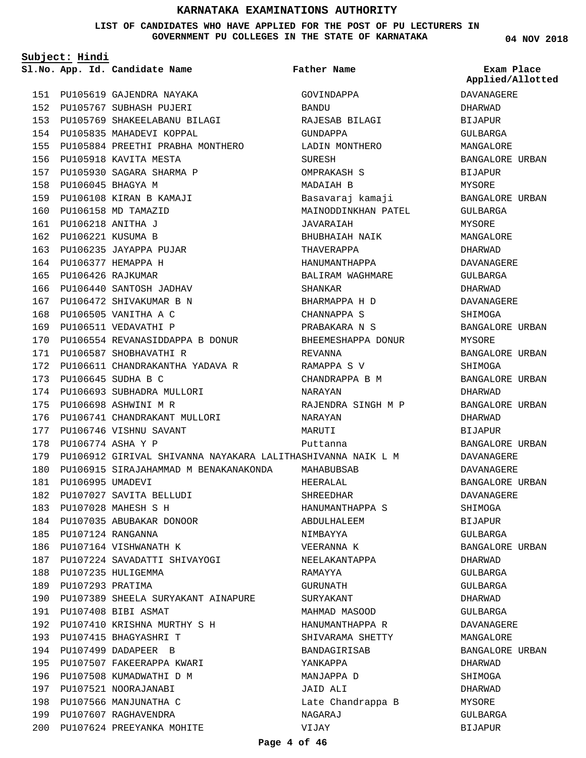**LIST OF CANDIDATES WHO HAVE APPLIED FOR THE POST OF PU LECTURERS IN GOVERNMENT PU COLLEGES IN THE STATE OF KARNATAKA**

**Subject: Hindi**

PU105619 GAJENDRA NAYAKA 151 PU105767 SUBHASH PUJERI 152 PU105769 SHAKEELABANU BILAGI 153 154 PU105835 MAHADEVI KOPPAL 155 PU105884 PREETHI PRABHA MONTHERO 156 PU105918 KAVITA MESTA PU105930 SAGARA SHARMA P 157 PU106045 BHAGYA M 158 PU106108 KIRAN B KAMAJI 159 160 PU106158 MD TAMAZID PU106218 ANITHA J 161 PU106221 KUSUMA B 162 163 PU106235 JAYAPPA PUJAR PU106377 HEMAPPA H 164 PU106426 RAJKUMAR 165 166 PU106440 SANTOSH JADHAV 167 PU106472 SHIVAKUMAR B N 168 PU106505 VANITHA A C 169 PU106511 VEDAVATHI P 170 PU106554 REVANASIDDAPPA B DONUR PU106587 SHOBHAVATHI R 171 172 PU106611 CHANDRAKANTHA YADAVA R PU106645 SUDHA B C 173 174 PU106693 SUBHADRA MULLORI PU106698 ASHWINI M R 175 176 PU106741 CHANDRAKANT MULLORI PU106746 VISHNU SAVANT 177 178 PU106774 ASHA Y P 179 PU106912 GIRIVAL SHIVANNA NAYAKARA LALITHASHIVANNA NAIK L M PU106915 SIRAJAHAMMAD M BENAKANAKONDA 180 181 PU106995 UMADEVI PU107027 SAVITA BELLUDI 182 PU107028 MAHESH S H 183 184 PU107035 ABUBAKAR DONOOR PU107124 RANGANNA 185 186 PU107164 VISHWANATH K PU107224 SAVADATTI SHIVAYOGI 187 188 PU107235 HULIGEMMA 189 PU107293 PRATIMA 190 PU107389 SHEELA SURYAKANT AINAPURE PU107408 BIBI ASMAT 191 PU107410 KRISHNA MURTHY S H 192 193 PU107415 BHAGYASHRI T PU107499 DADAPEER B 194 PU107507 FAKEERAPPA KWARI 195 196 PU107508 KUMADWATHI D M 197 PU107521 NOORAJANABI 198 PU107566 MANJUNATHA C 199 PU107607 RAGHAVENDRA **App. Id. Candidate Name Sl.No. Exam Place** GOVINDAPPA BANDU RAJESAB BILAGI GUNDAPPA LADIN MONTHERO SURESH OMPRAKASH S MADAIAH B Basavaraj kamaji MAINODDINKHAN PATEL JAVARAIAH BHUBHAIAH NAIK THAVERAPPA HANUMANTHAPPA BALIRAM WAGHMARE SHANKAR BHARMAPPA H D CHANNAPPA S PRABAKARA N S BHEEMESHAPPA DONUR REVANNA RAMAPPA S V CHANDRAPPA B M NARAYAN RAJENDRA SINGH M P NARAYAN MARITTI Puttanna MAHABUBSAB HEERALAL SHREEDHAR HANUMANTHAPPA S ABDULHALEEM NIMBAYYA VEERANNA K NEELAKANTAPPA RAMAYYA GURUNATH SURYAKANT MAHMAD MASOOD HANUMANTHAPPA R SHIVARAMA SHETTY BANDAGIRISAB YANKAPPA MANJAPPA D JAID ALI Late Chandrappa B NAGARAJ **Father Name**

**04 NOV 2018**

# DAVANAGERE DHARWAD BIJAPUR GULBARGA MANGALORE BANGALORE URBAN BIJAPUR MYSORE BANGALORE URBAN GULBARGA MYSORE MANGALORE DHARWAD DAVANAGERE GULBARGA DHARWAD DAVANAGERE **SHIMOGA** BANGALORE URBAN MYSORE BANGALORE URBAN SHIMOGA BANGALORE URBAN DHARWAD BANGALORE URBAN DHARWAD **BIJAPUR** BANGALORE URBAN DAVANAGERE DAVANAGERE BANGALORE URBAN DAVANAGERE SHIMOGA BIJAPUR GULBARGA BANGALORE URBAN DHARWAD GULBARGA GULBARGA DHARWAD GULBARGA DAVANAGERE MANGALORE BANGALORE URBAN DHARWAD SHIMOGA DHARWAD MYSORE GULBARGA BIJAPUR **Applied/Allotted**

VIJAY

PU107624 PREEYANKA MOHITE 200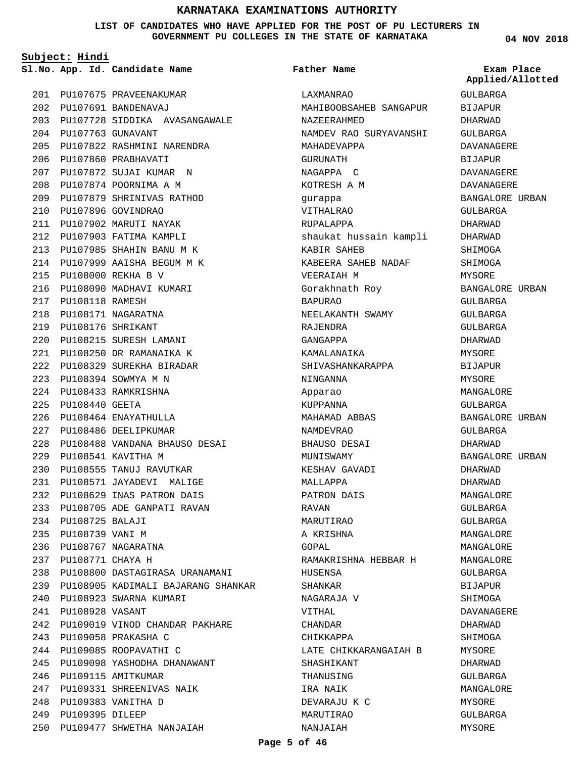**LIST OF CANDIDATES WHO HAVE APPLIED FOR THE POST OF PU LECTURERS IN GOVERNMENT PU COLLEGES IN THE STATE OF KARNATAKA**

**Subject: Hindi**

**App. Id. Candidate Name Sl.No. Exam Place**

**Father Name**

PU107675 PRAVEENAKUMAR 201 PU107691 BANDENAVAJ 202 PU107728 SIDDIKA AVASANGAWALE 203 PU107763 GUNAVANT 204 PU107822 RASHMINI NARENDRA 205 206 PU107860 PRABHAVATI PU107872 SUJAI KUMAR N 207 PU107874 POORNIMA A M 208 PU107879 SHRINIVAS RATHOD 209 PU107896 GOVINDRAO 210 PU107902 MARUTI NAYAK 211 212 PU107903 FATIMA KAMPLI PU107985 SHAHIN BANU M K 213 PU107999 AAISHA BEGUM M K 214 PU108000 REKHA B V 215 216 PU108090 MADHAVI KUMARI PU108118 RAMESH 217 PU108171 NAGARATNA 218 PU108176 SHRIKANT 219 PU108215 SURESH LAMANI 220 PU108250 DR RAMANAIKA K 221 PU108329 SUREKHA BIRADAR 222 PU108394 SOWMYA M N 223 PU108433 RAMKRISHNA 224 PU108440 GEETA 225 PU108464 ENAYATHULLA 226 227 PU108486 DEELIPKUMAR PU108488 VANDANA BHAUSO DESAI 228 PU108541 KAVITHA M 229 PU108555 TANUJ RAVUTKAR 230 PU108571 JAYADEVI MALIGE 231 PU108629 INAS PATRON DAIS 232 PU108705 ADE GANPATI RAVAN 233 PU108725 BALAJI 234 235 PU108739 VANI M PU108767 NAGARATNA 236 PU108771 CHAYA H 237 PU108800 DASTAGIRASA URANAMANI 238 PU108905 KADIMALI BAJARANG SHANKAR 239 PU108923 SWARNA KUMARI 240 PU108928 VASANT 241 PU109019 VINOD CHANDAR PAKHARE 242 PU109058 PRAKASHA C 243 244 PU109085 ROOPAVATHI C PU109098 YASHODHA DHANAWANT 245 246 PU109115 AMITKUMAR PU109331 SHREENIVAS NAIK 247 PU109383 VANITHA D 248 249 PU109395 DILEEP PU109477 SHWETHA NANJAIAH 250

LAXMANRAO MAHIBOOBSAHEB SANGAPUR NAZEERAHMED NAMDEV RAO SURYAVANSHI MAHADEVAPPA GURUNATH NAGAPPA C KOTRESH A M gurappa VITHALRAO RUPALAPPA shaukat hussain kampli KABIR SAHEB KABEERA SAHEB NADAF VEERAIAH M Gorakhnath Roy BAPURAO NEELAKANTH SWAMY RAJENDRA GANGAPPA KAMALANAIKA SHIVASHANKARAPPA NINGANNA Apparao KUPPANNA MAHAMAD ABBAS NAMDEVRAO BHAUSO DESAI MUNISWAMY KESHAV GAVADI MALLAPPA PATRON DAIS RAVAN MARUTIRAO A KRISHNA GOPAL RAMAKRISHNA HEBBAR H HUSENSA SHANKAR NAGARAJA V VITHAL CHANDAR CHIKKAPPA LATE CHIKKARANGAIAH B SHASHIKANT THANUSING IRA NAIK DEVARAJU K C MARUTIRAO NANJAIAH

**04 NOV 2018**

GULBARGA BIJAPUR DHARWAD GULBARGA DAVANAGERE BIJAPUR DAVANAGERE DAVANAGERE BANGALORE URBAN GULBARGA DHARWAD DHARWAD SHIMOGA SHIMOGA MYSORE BANGALORE URBAN GULBARGA GULBARGA GULBARGA DHARWAD MYSORE BIJAPUR MYSORE MANGALORE GULBARGA BANGALORE URBAN GULBARGA DHARWAD BANGALORE URBAN DHARWAD DHARWAD MANGALORE GULBARGA GULBARGA MANGALORE MANGALORE MANGALORE GULBARGA BIJAPUR SHIMOGA DAVANAGERE DHARWAD SHIMOGA **MYSORE** DHARWAD GULBARGA MANGALORE MYSORE GULBARGA MYSORE **Applied/Allotted**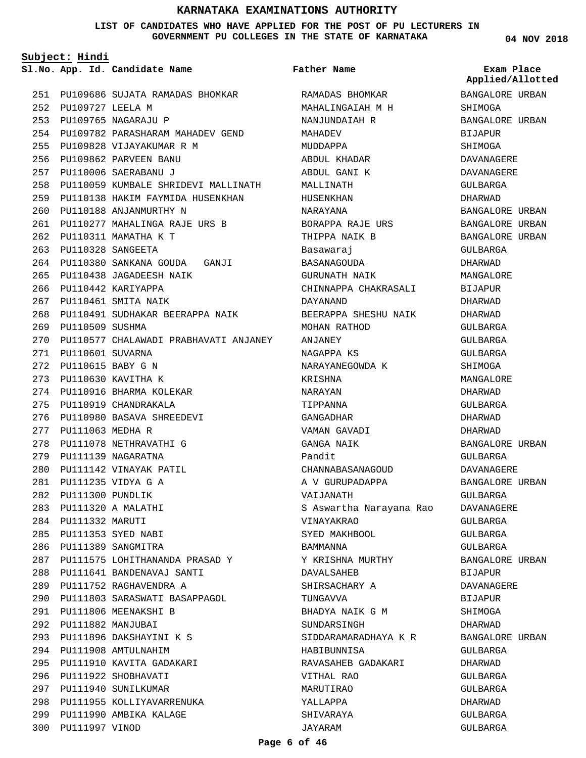#### **LIST OF CANDIDATES WHO HAVE APPLIED FOR THE POST OF PU LECTURERS IN GOVERNMENT PU COLLEGES IN THE STATE OF KARNATAKA**

**Subject: Hindi**

**App. Id. Candidate Name Sl.No. Exam Place**

PU109686 SUJATA RAMADAS BHOMKAR 251 PU109727 LEELA M 252 PU109765 NAGARAJU P 253 254 PU109782 PARASHARAM MAHADEV GEND PU109828 VIJAYAKUMAR R M 255 PU109862 PARVEEN BANU 256 PU110006 SAERABANU J 257 PU110059 KUMBALE SHRIDEVI MALLINATH 258 259 PU110138 HAKIM FAYMIDA HUSENKHAN PU110188 ANJANMURTHY N 260 PU110277 MAHALINGA RAJE URS B 261 PU110311 MAMATHA K T 262 PU110328 SANGEETA 263 PU110380 SANKANA GOUDA GANJI 264 PU110438 JAGADEESH NAIK 265 266 PU110442 KARIYAPPA PU110461 SMITA NAIK 267 268 PU110491 SUDHAKAR BEERAPPA NAIK 269 PU110509 SUSHMA PU110577 CHALAWADI PRABHAVATI ANJANEY 270 PU110601 SUVARNA 271 PU110615 BABY G N 272 PU110630 KAVITHA K 273 274 PU110916 BHARMA KOLEKAR 275 PU110919 CHANDRAKALA PU110980 BASAVA SHREEDEVI 276 PU111063 MEDHA R 277 278 PU111078 NETHRAVATHI G 279 PU111139 NAGARATNA PU111142 VINAYAK PATIL 280 PU111235 VIDYA G A 281 PU111300 PUNDLIK 282 PU111320 A MALATHI 283 284 PU111332 MARUTI PU111353 SYED NABI 285 286 PU111389 SANGMITRA PU111575 LOHITHANANDA PRASAD Y 287 PU111641 BANDENAVAJ SANTI 288 PU111752 RAGHAVENDRA A 289 PU111803 SARASWATI BASAPPAGOL 290 PU111806 MEENAKSHI B 291 PU111882 MANJUBAI 292 PU111896 DAKSHAYINI K S 293 PU111908 AMTULNAHIM 294 PU111910 KAVITA GADAKARI 295 296 PU111922 SHOBHAVATI 297 PU111940 SUNILKUMAR 298 PU111955 KOLLIYAVARRENUKA 299 PU111990 AMBIKA KALAGE 300 PU111997 VINOD

RAMADAS BHOMKAR MAHALINGAIAH M H NANJUNDAIAH R MAHADEV MUDDAPPA ABDUL KHADAR ABDUL GANI K MALLINATH HUSENKHAN NARAYANA BORAPPA RAJE URS THIPPA NAIK B Basawaraj BASANAGOUDA GURUNATH NAIK CHINNAPPA CHAKRASALI DAYANAND BEERAPPA SHESHU NAIK MOHAN RATHOD ANJANEY NAGAPPA KS NARAYANEGOWDA K KRISHNA NARAYAN TIPPANNA GANGADHAR VAMAN GAVADI GANGA NAIK Pandit CHANNABASANAGOUD A V GURUPADAPPA VAIJANATH S Aswartha Narayana Rao VINAYAKRAO SYED MAKHBOOL **BAMMANNA** Y KRISHNA MURTHY DAVALSAHEB SHIRSACHARY A TUNGAVVA BHADYA NAIK G M SUNDARSINGH SIDDARAMARADHAYA K R HABIBUNNISA RAVASAHEB GADAKARI VITHAL RAO MARUTIRAO YALLAPPA SHIVARAYA JAYARAM **Father Name**

# **04 NOV 2018**

**Applied/Allotted**

BANGALORE URBAN SHIMOGA BANGALORE URBAN BIJAPUR SHIMOGA DAVANAGERE DAVANAGERE GULBARGA DHARWAD BANGALORE URBAN BANGALORE URBAN BANGALORE URBAN GULBARGA DHARWAD MANGALORE BIJAPUR DHARWAD DHARWAD GULBARGA GULBARGA GULBARGA SHIMOGA MANGALORE DHARWAD GULBARGA DHARWAD DHARWAD BANGALORE URBAN GULBARGA DAVANAGERE BANGALORE URBAN GULBARGA DAVANAGERE GULBARGA GULBARGA GULBARGA BANGALORE URBAN BIJAPUR DAVANAGERE BIJAPUR SHIMOGA DHARWAD BANGALORE URBAN GULBARGA DHARWAD GULBARGA GULBARGA DHARWAD GULBARGA

GULBARGA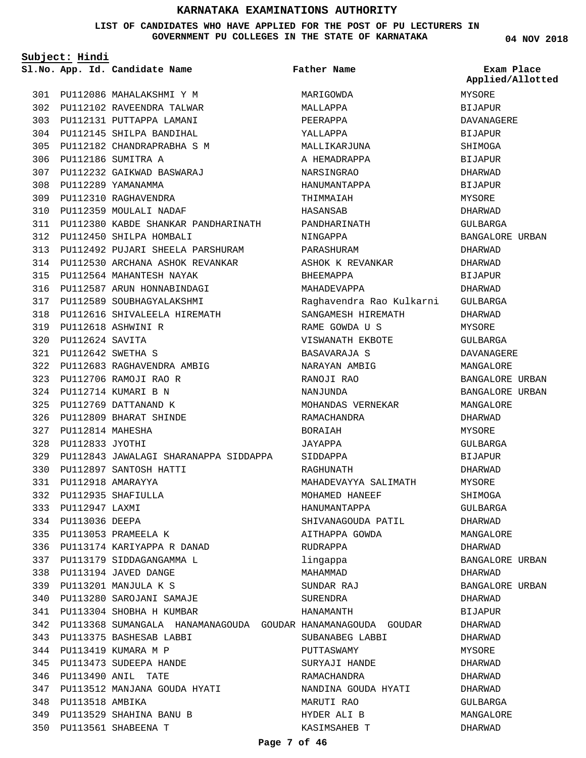#### **LIST OF CANDIDATES WHO HAVE APPLIED FOR THE POST OF PU LECTURERS IN GOVERNMENT PU COLLEGES IN THE STATE OF KARNATAKA**

**04 NOV 2018**

**Subject: Hindi**

PU113518 PU113529

348 349

PU113561 SHABEENA T 350

SHAHINA BANU B

PU112086 MAHALAKSHMI Y M 301 PU112102 RAVEENDRA TALWAR 302 PU112131 PUTTAPPA LAMANI 303 PU112145 SHILPA BANDIHAL 304 PU112182 CHANDRAPRABHA S M 305 PU112186 SUMITRA A 306 PU112232 GAIKWAD BASWARAJ 307 PU112289 YAMANAMMA 308 PU112310 RAGHAVENDRA 309 PU112359 MOULALI NADAF 310 PU112380 KABDE SHANKAR PANDHARINATH 311 PU112450 SHILPA HOMBALI 312 PU112492 PUJARI SHEELA PARSHURAM 313 314 PU112530 ARCHANA ASHOK REVANKAR PU112564 MAHANTESH NAYAK 315 PU112587 ARUN HONNABINDAGI 316 PU112589 SOUBHAGYALAKSHMI 317 PU112616 SHIVALEELA HIREMATH 318 PU112618 ASHWINI R 319 PU112624 SAVITA 320 PU112642 SWETHA S 321 PU112683 RAGHAVENDRA AMBIG 322 PU112706 RAMOJI RAO R 323 PU112714 KUMARI B N 324 PU112769 DATTANAND K 325 PU112809 BHARAT SHINDE 326 PU112814 MAHESHA 327 PU112833 JYOTHI 328 PU112843 JAWALAGI SHARANAPPA SIDDAPPA 329 PU112897 SANTOSH HATTI 330 PU112918 AMARAYYA 331 PU112935 SHAFIULLA 332 PU112947 LAXMI 333 334 PU113036 DEEPA PU113053 PRAMEELA K 335 PU113174 KARIYAPPA R DANAD 336 PU113179 SIDDAGANGAMMA L 337 PU113194 JAVED DANGE 338 PU113201 MANJULA K S 339 PU113280 SAROJANI SAMAJE 340 PU113304 SHOBHA H KUMBAR 341 342 PU113368 SUMANGALA HANAMANAGOUDA GOUDAR HANAMANAGOUDA GOUDAR PU113375 BASHESAB LABBI 343 PU113419 KUMARA M P 344 345 PU113473 SUDEEPA HANDE PU113490 ANIL TATE 346 PU113512 MANJANA GOUDA HYATI 347 **App. Id. Candidate Name Sl.No. Exam Place** AMBIKA MARIGOWDA MALLAPPA PEERAPPA YALLAPPA MALLIKARJUNA A HEMADRAPPA NARSINGRAO HANUMANTAPPA THIMMAIAH HASANSAB PANDHARINATH NINGAPPA PARASHURAM ASHOK K REVANKAR BHEEMAPPA MAHADEVAPPA Raghavendra Rao Kulkarni SANGAMESH HIREMATH RAME GOWDA U S VISWANATH EKBOTE BASAVARAJA S NARAYAN AMBIG RANOJI RAO NANJUNDA MOHANDAS VERNEKAR RAMACHANDRA BORAIAH JAYAPPA SIDDAPPA RAGHUNATH MAHADEVAYYA SALIMATH MOHAMED HANEEF HANUMANTAPPA SHIVANAGOUDA PATIL AITHAPPA GOWDA RUDRAPPA lingappa MAHAMMAD SUNDAR RAJ SURENDRA HANAMANTH SUBANABEG LABBI PUTTASWAMY SURYAJI HANDE RAMACHANDRA NANDINA GOUDA HYATI MARUTI RAO **Father Name** MYSORE BIJAPUR DAVANAGERE BIJAPUR SHIMOGA BIJAPUR DHARWAD BIJAPUR **MYSORE** DHARWAD GULBARGA BANGALORE URBAN DHARWAD DHARWAD BIJAPUR DHARWAD GULBARGA DHARWAD MYSORE GULBARGA DAVANAGERE MANGALORE BANGALORE URBAN BANGALORE URBAN MANGALORE DHARWAD **MYSORE** GULBARGA BIJAPUR DHARWAD MYSORE SHIMOGA GULBARGA DHARWAD MANGALORE DHARWAD BANGALORE URBAN DHARWAD BANGALORE URBAN DHARWAD **BIJAPUR** DHARWAD DHARWAD **MYSORE** DHARWAD DHARWAD DHARWAD GULBARGA **Applied/Allotted**

HYDER ALI B KASIMSAHEB T MANGALORE DHARWAD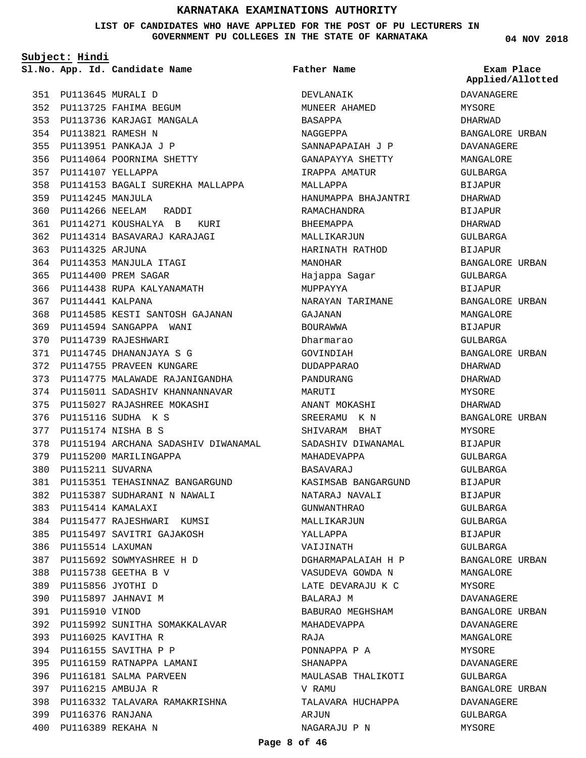#### **LIST OF CANDIDATES WHO HAVE APPLIED FOR THE POST OF PU LECTURERS IN GOVERNMENT PU COLLEGES IN THE STATE OF KARNATAKA**

**Subject: Hindi**

PU113645 MURALI D 351 352 PU113725 FAHIMA BEGUM PU113736 KARJAGI MANGALA 353

PU113821 RAMESH N 354 PU113951 PANKAJA J P 355 356 PU114064 POORNIMA SHETTY

PU114107 YELLAPPA 357

PU114245 MANJULA 359

PU114325 ARJUNA 363

PU114441 KALPANA 367

360 PU114266 NEELAM RADDI

PU114353 MANJULA ITAGI 364 PU114400 PREM SAGAR 365

366 PU114438 RUPA KALYANAMATH

369 PU114594 SANGAPPA WANI 370 PU114739 RAJESHWARI PU114745 DHANANJAYA S G 371 372 PU114755 PRAVEEN KUNGARE

PU115116 SUDHA K S 376 PU115174 NISHA B S 377

379 PU115200 MARILINGAPPA

PU115211 SUVARNA 380

PU115414 KAMALAXI 383

386 PU115514 LAXUMAN

PU115738 GEETHA B V 388 PU115856 JYOTHI D 389 PU115897 JAHNAVI M 390 391 PU115910 VINOD

PU116025 KAVITHA R 393 PU116155 SAVITHA P P 394 395 PU116159 RATNAPPA LAMANI 396 PU116181 SALMA PARVEEN

PU116215 AMBUJA R 397

PU116376 RANJANA 399 PU116389 REKAHA N 400

PU114585 KESTI SANTOSH GAJANAN 368

PU114775 MALAWADE RAJANIGANDHA 373 PU115011 SADASHIV KHANNANNAVAR 374 PU115027 RAJASHREE MOKASHI 375

PU115351 TEHASINNAZ BANGARGUND 381 PU115387 SUDHARANI N NAWALI 382

PU115477 RAJESHWARI KUMSI 384 PU115497 SAVITRI GAJAKOSH 385

PU115692 SOWMYASHREE H D 387

392 PU115992 SUNITHA SOMAKKALAVAR

PU116332 TALAVARA RAMAKRISHNA 398

378 PU115194 ARCHANA SADASHIV DIWANAMAL

PU114271 KOUSHALYA B KURI 361 PU114314 BASAVARAJ KARAJAGI 362

358 PU114153 BAGALI SUREKHA MALLAPPA **App. Id. Candidate Name Sl.No. Exam Place** DEVLANAIK MUNEER AHAMED BASAPPA NAGGEPPA SANNAPAPAIAH J P GANAPAYYA SHETTY IRAPPA AMATUR MALLAPPA HANUMAPPA BHAJANTRI BHEEMAPPA **Father Name**

RAMACHANDRA MALLIKARJUN HARINATH RATHOD MANOHAR Hajappa Sagar MUPPAYYA NARAYAN TARIMANE GAJANAN BOURAWWA Dharmarao GOVINDIAH DUDAPPARAO PANDURANG MARUTI ANANT MOKASHI SREERAMU K N SHIVARAM BHAT SADASHIV DIWANAMAL MAHADEVAPPA BASAVARAJ KASIMSAB BANGARGUND NATARAJ NAVALI GUNWANTHRAO MALLIKARJUN YALLAPPA VAIJINATH DGHARMAPALAIAH H P VASUDEVA GOWDA N LATE DEVARAJU K C BALARAJ M BABURAO MEGHSHAM MAHADEVAPPA RAJA PONNAPPA P A SHANAPPA MAULASAB THALIKOTI V RAMU TALAVARA HUCHAPPA ARJUN

**Applied/Allotted**

**04 NOV 2018**

DAVANAGERE MYSORE DHARWAD BANGALORE URBAN DAVANAGERE MANGALORE GULBARGA BIJAPUR DHARWAD BIJAPUR DHARWAD GULBARGA BIJAPUR BANGALORE URBAN GULBARGA BIJAPUR BANGALORE URBAN MANGALORE BIJAPUR GULBARGA BANGALORE URBAN DHARWAD DHARWAD MYSORE DHARWAD BANGALORE URBAN **MYSORE** BIJAPUR GULBARGA GULBARGA BIJAPUR BIJAPUR GULBARGA GULBARGA BIJAPUR  $CITIRARGA$ BANGALORE URBAN MANGALORE MYSORE DAVANAGERE BANGALORE URBAN DAVANAGERE MANGALORE **MYSORE** DAVANAGERE GULBARGA BANGALORE URBAN DAVANAGERE GULBARGA MYSORE

NAGARAJU P N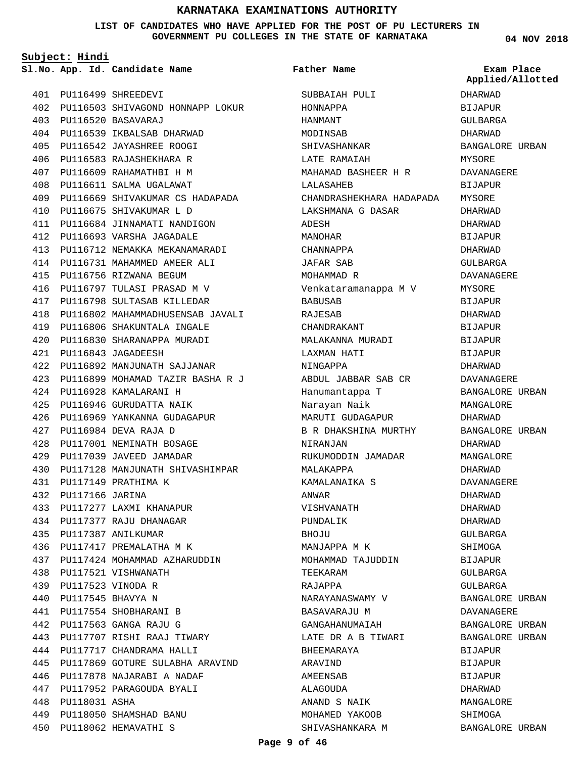#### **LIST OF CANDIDATES WHO HAVE APPLIED FOR THE POST OF PU LECTURERS IN GOVERNMENT PU COLLEGES IN THE ST**

BABUSAB RAJESAB CHANDRAKANT MALAKANNA MURADI LAXMAN HATI NINGAPPA

ABDUL JABBAR SAB CR

RUKUMODDIN JAMADAR

Hanumantappa T Narayan Naik MARUTI GUDAGAPUR B R DHAKSHINA MURTHY

NIRANJAN

MALAKAPPA KAMALANAIKA S

VISHVANATH PUNDALIK BHOJU

MANJAPPA M K MOHAMMAD TAJUDDIN

NARAYANASWAMY V BASAVARAJU M GANGAHANUMAIAH LATE DR A B TIWARI

TEEKARAM RAJAPPA

BHEEMARAYA ARAVIND AMEENSAB ALAGOUDA ANAND S NAIK MOHAMED YAKOOB SHIVASHANKARA M

ANWAR

|     |                |                                            | GOVERNMENT PU COLLEGES IN THE STATE OF KARNATAKA | 04 NOV 201                     |
|-----|----------------|--------------------------------------------|--------------------------------------------------|--------------------------------|
|     | Subject: Hindi |                                            |                                                  |                                |
|     |                | S1.No. App. Id. Candidate Name Tather Name |                                                  | Exam Place<br>Applied/Allotted |
| 401 |                | PU116499 SHREEDEVI                         | SUBBAIAH PULI                                    | DHARWAD                        |
| 402 |                | PU116503 SHIVAGOND HONNAPP LOKUR           | HONNAPPA                                         | BIJAPUR                        |
| 403 |                | PU116520 BASAVARAJ                         | HANMANT                                          | GULBARGA                       |
| 404 |                | PU116539 IKBALSAB DHARWAD                  | MODINSAB                                         | DHARWAD                        |
| 405 |                | PU116542 JAYASHREE ROOGI                   | SHIVASHANKAR                                     | BANGALORE URBAN                |
| 406 |                | PU116583 RAJASHEKHARA R                    | LATE RAMAIAH                                     | MYSORE                         |
| 407 |                | PU116609 RAHAMATHBI H M                    | MAHAMAD BASHEER H R                              | DAVANAGERE                     |
| 408 |                | PU116611 SALMA UGALAWAT                    | LALASAHEB                                        | BIJAPUR                        |
| 409 |                | PU116669 SHIVAKUMAR CS HADAPADA            | CHANDRASHEKHARA HADAPADA                         | MYSORE                         |
| 410 |                | PU116675 SHIVAKUMAR L D                    | LAKSHMANA G DASAR                                | DHARWAD                        |
| 411 |                | PU116684 JINNAMATI NANDIGON                | ADESH                                            | DHARWAD                        |
| 412 |                | PU116693 VARSHA JAGADALE                   | MANOHAR                                          | BIJAPUR                        |
| 413 |                | PU116712 NEMAKKA MEKANAMARADI              | CHANNAPPA                                        | DHARWAD                        |
| 414 |                | PU116731 MAHAMMED AMEER ALI                | JAFAR SAB                                        | GULBARGA                       |
| 415 |                | PU116756 RIZWANA BEGUM                     | MOHAMMAD R                                       | DAVANAGERE                     |
| 416 |                | PU116797 TULASI PRASAD M V                 | Venkataramanappa M V                             | MYSORE                         |

DAVANAGERE BIJAPUR MYSORE  $\overline{D}$  $\overline{D}$ BIJAPUR  $\overline{D}$ RGA **AGERE** MYSORE BIJAPUR DHARWAD **BIJAPUR** BIJAPUR BIJAPUR DHARWAD DAVANAGERE BANGALORE URBAN MANGALORE DHARWAD BANGALORE URBAN DHARWAD MANGALORE DHARWAD DAVANAGERE DHARWAD DHARWAD DHARWAD GULBARGA **SHIMOGA** BIJAPUR GULBARGA GULBARGA BANGALORE URBAN DAVANAGERE BANGALORE URBAN BANGALORE URBAN **BIJAPUR** BIJAPUR **BIJAPUR** DHARWAD MANGALORE SHIMOGA

BANGALORE URBAN

PU116542 JAYASHREE ROOGI 405 PU116583 RAJASHEKHARA R 406 PU116609 RAHAMATHBI H M 407 PU116611 SALMA UGALAWAT 408 409 PU116669 SHIVAKUMAR CS HADAPADA PU116675 SHIVAKUMAR L D 410 PU116684 JINNAMATI NANDIGON 411 PU116693 VARSHA JAGADALE 412 PU116712 NEMAKKA MEKANAMARADI 413 PU116731 MAHAMMED AMEER ALI 414 415 PU116756 RIZWANA BEGUM PU116797 TULASI PRASAD M V 416 PU116798 SULTASAB KILLEDAR 417 418 PU116802 MAHAMMADHUSENSAB JAVALI PU116806 SHAKUNTALA INGALE 419 PU116830 SHARANAPPA MURADI 420 PU116843 JAGADEESH 421 PU116892 MANJUNATH SAJJANAR 422 PU116899 MOHAMAD TAZIR BASHA R J 423 PU116928 KAMALARANI H 424 PU116946 GURUDATTA NAIK 425 PU116969 YANKANNA GUDAGAPUR 426 PU116984 DEVA RAJA D 427 PU117001 NEMINATH BOSAGE 428 PU117039 JAVEED JAMADAR 429 430 PU117128 MANJUNATH SHIVASHIMPAR PU117149 PRATHIMA K 431 PU117166 JARINA 432 PU117277 LAXMI KHANAPUR 433 PU117377 RAJU DHANAGAR 434 PU117387 ANILKUMAR 435 436 PU117417 PREMALATHA M K PU117424 MOHAMMAD AZHARUDDIN 437 PU117521 VISHWANATH 438 PU117523 VINODA R 439 PU117545 BHAVYA N 440 PU117554 SHOBHARANI B 441 PU117563 GANGA RAJU G 442 PU117707 RISHI RAAJ TIWARY 443 PU117717 CHANDRAMA HALLI 444 445 PU117869 GOTURE SULABHA ARAVIND PU117878 NAJARABI A NADAF 446 PU117952 PARAGOUDA BYALI 447 448 PU118031 ASHA PU118050 SHAMSHAD BANU 449

PU118062 HEMAVATHI S 450

```
Page 9 of 46
```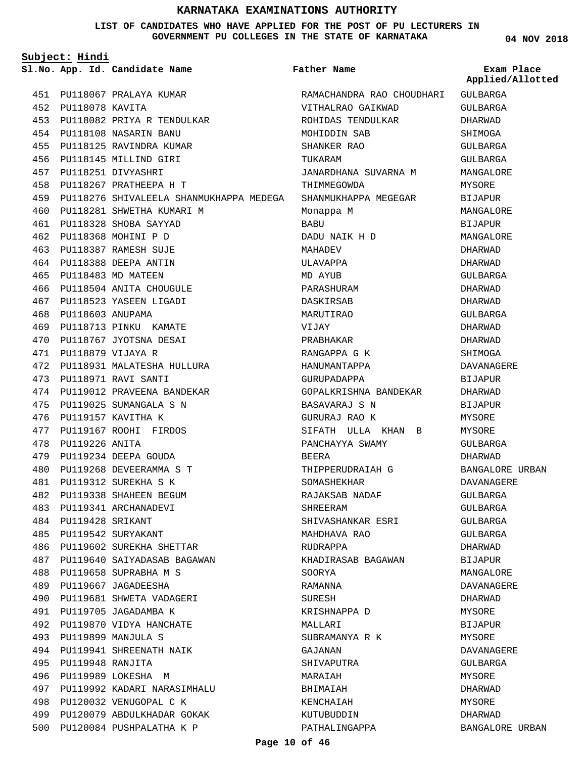**LIST OF CANDIDATES WHO HAVE APPLIED FOR THE POST OF PU LECTURERS IN GOVERNMENT PU COLLEGES IN THE STATE OF KARNATAKA**

**Subject: Hindi**

**App. Id. Candidate Name Sl.No. Exam Place**

500 PU120084 PUSHPALATHA K P

**Father Name**

ed

BANGALORE URBAN

|     |                                                                |                           | Applied/Allotte |
|-----|----------------------------------------------------------------|---------------------------|-----------------|
|     | 451 PU118067 PRALAYA KUMAR                                     | RAMACHANDRA RAO CHOUDHARI | GULBARGA        |
| 452 | PU118078 KAVITA                                                | VITHALRAO GAIKWAD         | <b>GULBARGA</b> |
| 453 | PU118082 PRIYA R TENDULKAR                                     | ROHIDAS TENDULKAR         | DHARWAD         |
| 454 | PU118108 NASARIN BANU                                          | MOHIDDIN SAB              | SHIMOGA         |
| 455 | PU118125 RAVINDRA KUMAR                                        | SHANKER RAO               | GULBARGA        |
| 456 | PU118145 MILLIND GIRI                                          | TUKARAM                   | GULBARGA        |
| 457 | PU118251 DIVYASHRI                                             | JANARDHANA SUVARNA M      | MANGALORE       |
| 458 | PU118267 PRATHEEPA H T                                         | THIMMEGOWDA               | MYSORE          |
| 459 | PU118276 SHIVALEELA SHANMUKHAPPA MEDEGA   SHANMUKHAPPA MEGEGAR |                           | BIJAPUR         |
| 460 | PU118281 SHWETHA KUMARI M                                      | Monappa M                 | MANGALORE       |
|     | 461 PU118328 SHOBA SAYYAD                                      | BABU                      | <b>BIJAPUR</b>  |
| 462 | PU118368 MOHINI P D                                            | DADU NAIK H D             | MANGALORE       |
| 463 | PU118387 RAMESH SUJE                                           | MAHADEV                   | DHARWAD         |
| 464 | PU118388 DEEPA ANTIN                                           | ULAVAPPA                  | DHARWAD         |
| 465 | PU118483 MD MATEEN                                             | MD AYUB                   | GULBARGA        |
| 466 | PU118504 ANITA CHOUGULE                                        | PARASHURAM                | DHARWAD         |
|     | 467 PU118523 YASEEN LIGADI                                     | DASKIRSAB                 | DHARWAD         |
| 468 | PU118603 ANUPAMA                                               | MARUTIRAO                 | GULBARGA        |
| 469 | PU118713 PINKU KAMATE                                          | VIJAY                     | DHARWAD         |
| 470 | PU118767 JYOTSNA DESAI                                         | PRABHAKAR                 | DHARWAD         |
| 471 | PU118879 VIJAYA R                                              | RANGAPPA G K              | SHIMOGA         |
| 472 | PU118931 MALATESHA HULLURA                                     | HANUMANTAPPA              | DAVANAGERE      |
| 473 | PU118971 RAVI SANTI                                            | GURUPADAPPA               | BIJAPUR         |
| 474 | PU119012 PRAVEENA BANDEKAR                                     | GOPALKRISHNA BANDEKAR     | DHARWAD         |
| 475 | PU119025 SUMANGALA S N                                         | BASAVARAJ S N             | BIJAPUR         |
| 476 | PU119157 KAVITHA K                                             | GURURAJ RAO K             | MYSORE          |
| 477 | PU119167 ROOHI FIRDOS                                          | SIFATH ULLA KHAN B        | MYSORE          |
| 478 | PU119226 ANITA                                                 | PANCHAYYA SWAMY           | GULBARGA        |
| 479 | PU119234 DEEPA GOUDA                                           | BEERA                     | DHARWAD         |
| 480 | PU119268 DEVEERAMMA S T                                        | THIPPERUDRAIAH G          | BANGALORE URBAN |
| 481 | PU119312 SUREKHA S K                                           | SOMASHEKHAR               | DAVANAGERE      |
| 482 | PU119338 SHAHEEN BEGUM                                         | RAJAKSAB NADAF            | GULBARGA        |
| 483 | PU119341 ARCHANADEVI                                           | SHREERAM                  | <b>GULBARGA</b> |
| 484 | PU119428 SRIKANT                                               | SHIVASHANKAR ESRI         | GULBARGA        |
| 485 | PU119542 SURYAKANT                                             | MAHDHAVA RAO              | GULBARGA        |
| 486 | PU119602 SUREKHA SHETTAR                                       | RUDRAPPA                  | DHARWAD         |
| 487 | PU119640 SAIYADASAB BAGAWAN                                    | KHADIRASAB BAGAWAN        | BIJAPUR         |
| 488 | PU119658 SUPRABHA M S                                          | SOORYA                    | MANGALORE       |
| 489 | PU119667 JAGADEESHA                                            | RAMANNA                   | DAVANAGERE      |
| 490 | PU119681 SHWETA VADAGERI                                       | SURESH                    | DHARWAD         |
| 491 | PU119705 JAGADAMBA K                                           | KRISHNAPPA D              | MYSORE          |
| 492 | PU119870 VIDYA HANCHATE                                        | MALLARI                   | BIJAPUR         |
| 493 | PU119899 MANJULA S                                             | SUBRAMANYA R K            | MYSORE          |
| 494 | PU119941 SHREENATH NAIK                                        | GAJANAN                   | DAVANAGERE      |
| 495 | PU119948 RANJITA                                               | SHIVAPUTRA                | GULBARGA        |
| 496 | PU119989 LOKESHA M                                             | MARAIAH                   | MYSORE          |
| 497 | PU119992 KADARI NARASIMHALU                                    | BHIMAIAH                  | DHARWAD         |
| 498 | PU120032 VENUGOPAL C K                                         | KENCHAIAH                 | MYSORE          |
| 499 | PU120079 ABDULKHADAR GOKAK                                     | KUTUBUDDIN                | DHARWAD         |
|     |                                                                |                           |                 |

PATHALINGAPPA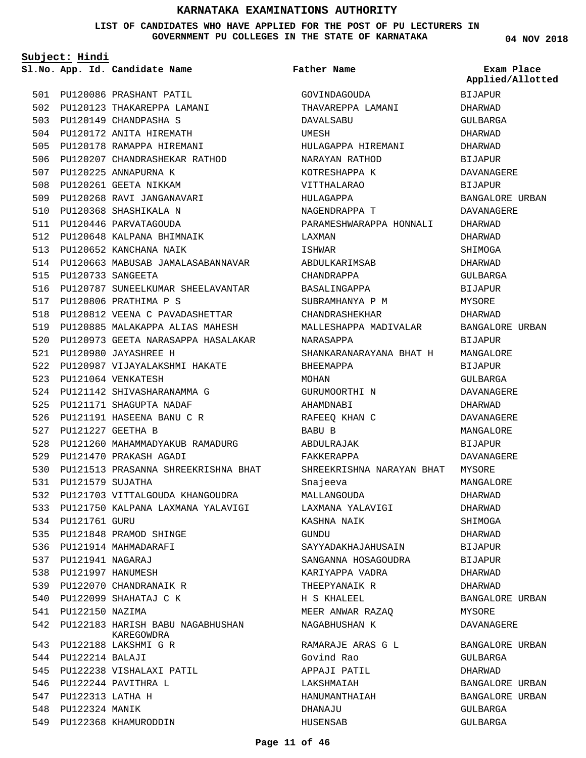**LIST OF CANDIDATES WHO HAVE APPLIED FOR THE POST OF PU LECTURERS IN GOVERNMENT PU COLLEGES IN THE STATE OF KARNATAKA**

**Subject: Hindi**

501 PU120086 PRASHANT PATIL 502 PU120123 THAKAREPPA LAMANI 503 PU120149 CHANDPASHA S 504 PU120172 ANITA HIREMATH 505 PU120178 RAMAPPA HIREMANI 506 PU120207 CHANDRASHEKAR RATHOD PU120225 ANNAPURNA K 508 PU120261 GEETA NIKKAM 509 PU120268 RAVI JANGANAVARI 510 PU120368 SHASHIKALA N 511 PU120446 PARVATAGOUDA PU120648 KALPANA BHIMNAIK 512 513 PU120652 KANCHANA NAIK 514 PU120663 MABUSAB JAMALASABANNAVAR PU120733 SANGEETA 515 PU120787 SUNEELKUMAR SHEELAVANTAR 517 PU120806 PRATHIMA P S 518 PU120812 VEENA C PAVADASHETTAR 519 PU120885 MALAKAPPA ALIAS MAHESH 520 PU120973 GEETA NARASAPPA HASALAKAR PU120980 JAYASHREE H 521 PU120987 VIJAYALAKSHMI HAKATE 522 PU121064 VENKATESH 523 524 PU121142 SHIVASHARANAMMA G PU121171 SHAGUPTA NADAF 525 PU121191 HASEENA BANU C R 526 PU121227 GEETHA B 527 528 PU121260 MAHAMMADYAKUB RAMADURG PU121470 PRAKASH AGADI 529 PU121513 PRASANNA SHREEKRISHNA BHAT 530 PU121579 SUJATHA 531 532 PU121703 VITTALGOUDA KHANGOUDRA 533 PU121750 KALPANA LAXMANA YALAVIGI 534 PU121761 GURU PU121848 PRAMOD SHINGE 535 536 PU121914 MAHMADARAFI PU121941 NAGARAJ 537 PU121997 HANUMESH 538 539 PU122070 CHANDRANAIK R 540 PU122099 SHAHATAJ C K PU122150 NAZIMA 542 PU122183 HARISH BABU NAGABHUSHAN PU122188 LAKSHMI G R 543 PU122214 BALAJI 544 545 PU122238 VISHALAXI PATIL 546 PU122244 PAVITHRA L PU122313 LATHA H 547 548 PU122324 MANIK 549 PU122368 KHAMURODDIN KAREGOWDRA 507 516 541

**App. Id. Candidate Name Sl.No. Exam Place** GOVINDAGOUDA THAVAREPPA LAMANI DAVALSABU UMESH HULAGAPPA HIREMANI NARAYAN RATHOD KOTRESHAPPA K VITTHALARAO HIII.AGAPPA NAGENDRAPPA T PARAMESHWARAPPA HONNALI LAXMAN ISHWAR ABDULKARIMSAB CHANDRAPPA BASALINGAPPA SUBRAMHANYA P M CHANDRASHEKHAR MALLESHAPPA MADIVALAR NARASAPPA SHANKARANARAYANA BHAT H BHEEMAPPA MOHAN GURUMOORTHI N AHAMDNABI RAFEEQ KHAN C BABU B ABDULRAJAK FAKKERAPPA SHREEKRISHNA NARAYAN BHAT Snajeeva MALLANGOUDA LAXMANA YALAVIGI KASHNA NAIK **GUNDU** SAYYADAKHAJAHUSAIN SANGANNA HOSAGOUDRA KARIYAPPA VADRA THEEPYANAIK R H S KHALEEL MEER ANWAR RAZAQ NAGABHUSHAN K RAMARAJE ARAS G L Govind Rao APPAJI PATIL LAKSHMAIAH HANUMANTHAIAH DHANAJU **Father Name** BIJAPUR DHARWAD GULBARGA DHARWAD DHARWAD **BIJAPUR** DAVANAGERE BIJAPUR BANGALORE URBAN DAVANAGERE DHARWAD DHARWAD SHIMOGA DHARWAD GULBARGA BIJAPUR MYSORE DHARWAD BANGALORE URBAN BIJAPUR MANGALORE BIJAPUR GULBARGA DAVANAGERE DHARWAD DAVANAGERE MANCALORE BIJAPUR DAVANAGERE MYSORE MANGALORE DHARWAD DHARWAD SHIMOGA DHARWAD BIJAPUR BIJAPUR DHARWAD DHARWAD BANGALORE URBAN MYSORE DAVANAGERE BANGALORE URBAN GULBARGA DHARWAD BANGALORE URBAN BANGALORE URBAN GULBARGA **Applied/Allotted**

GULBARGA

**04 NOV 2018**

HUSENSAB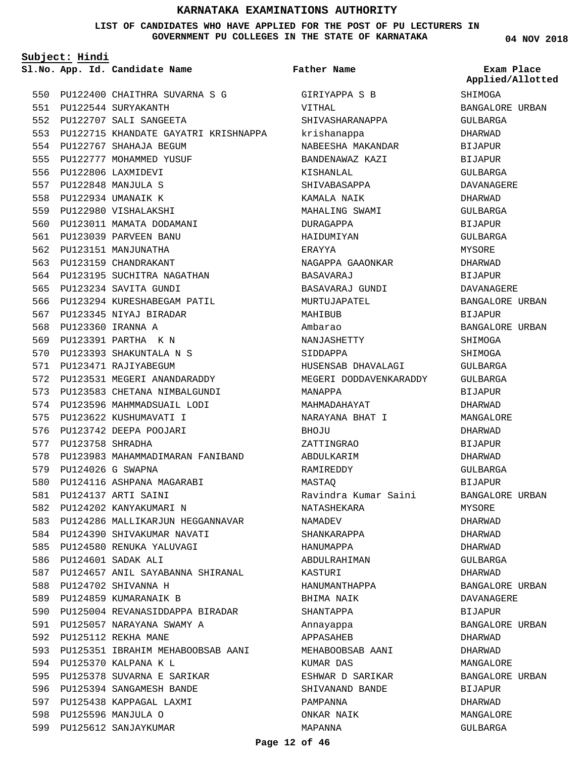#### **LIST OF CANDIDATES WHO HAVE APPLIED FOR THE POST OF PU LECTURERS IN GOVERNMENT PU COLLEGES IN THE STATE OF KARNATAKA**

**Subject: Hindi**

PU122400 CHAITHRA SUVARNA S G 550 PU122544 SURYAKANTH 551 PU122707 SALI SANGEETA 552 PU122715 KHANDATE GAYATRI KRISHNAPPA 553 554 PU122767 SHAHAJA BEGUM 555 PU122777 MOHAMMED YUSUF 556 PU122806 LAXMIDEVI PU122848 MANJULA S 557 558 PU122934 UMANAIK K PU122980 VISHALAKSHI 559 560 PU123011 MAMATA DODAMANI 561 PU123039 PARVEEN BANU 562 PU123151 MANJUNATHA 563 PU123159 CHANDRAKANT 564 PU123195 SUCHITRA NAGATHAN 565 PU123234 SAVITA GUNDI 566 PU123294 KURESHABEGAM PATIL 567 PU123345 NIYAJ BIRADAR 568 PU123360 IRANNA A PU123391 PARTHA K N 569 PU123393 SHAKUNTALA N S 570 571 PU123471 RAJIYABEGUM 572 PU123531 MEGERI ANANDARADDY 573 PU123583 CHETANA NIMBALGUNDI 574 PU123596 MAHMMADSUAIL LODI 575 PU123622 KUSHUMAVATI I 576 PU123742 DEEPA POOJARI 577 PU123758 SHRADHA 578 PU123983 MAHAMMADIMARAN FANIBAND PU124026 G SWAPNA 579 580 PU124116 ASHPANA MAGARABI PU124137 ARTI SAINI 581 582 PU124202 KANYAKUMARI N 583 PU124286 MALLIKARJUN HEGGANNAVAR 584 PU124390 SHIVAKUMAR NAVATI PU124580 RENUKA YALUVAGI 585 PU124601 SADAK ALI 586 587 PU124657 ANIL SAYABANNA SHIRANAL PU124702 SHIVANNA H 588 589 PU124859 KUMARANAIK B PU125004 REVANASIDDAPPA BIRADAR PU125057 NARAYANA SWAMY A 591 PU125112 REKHA MANE 592 593 PU125351 IBRAHIM MEHABOOBSAB AANI 594 PU125370 KALPANA K L 595 PU125378 SUVARNA E SARIKAR PU125394 SANGAMESH BANDE 596 597 PU125438 KAPPAGAL LAXMI PU125596 MANJULA O 598 599 PU125612 SANJAYKUMAR 590

**App. Id. Candidate Name Sl.No. Exam Place** GIRIYAPPA S B VITHAL SHIVASHARANAPPA krishanappa NABEESHA MAKANDAR BANDENAWAZ KAZI KISHANLAL SHIVABASAPPA KAMALA NAIK MAHALING SWAMI DURAGAPPA HAIDUMIYAN ERAYYA NAGAPPA GAAONKAR BASAVARAJ BASAVARAJ GUNDI MURTUJAPATEL MAHTRUR Ambarao NANJASHETTY SIDDAPPA HUSENSAB DHAVALAGI MEGERI DODDAVENKARADDY MANAPPA MAHMADAHAYAT NARAYANA BHAT I **BHOJUL** ZATTINGRAO ABDULKARIM RAMIREDDY MASTAQ Ravindra Kumar Saini NATASHEKARA NAMADEV SHANKARAPPA HANUMAPPA ABDULRAHIMAN KASTURI HANUMANTHAPPA BHIMA NAIK SHANTAPPA Annayappa APPASAHEB MEHABOOBSAB AANI KIIMAR DAS ESHWAR D SARIKAR SHIVANAND BANDE PAMPANNA ONKAR NAIK MAPANNA **Father Name**

**04 NOV 2018**

SHIMOGA BANGALORE URBAN GULBARGA DHARWAD BIJAPUR BIJAPUR GULBARGA DAVANAGERE DHARWAD GULBARGA **BIJAPUR** GULBARGA MYSORE DHARWAD BIJAPUR DAVANAGERE BANGALORE URBAN BIJAPUR BANGALORE URBAN **SHIMOGA** SHIMOGA GULBARGA GULBARGA BIJAPUR DHARWAD MANGALORE DHARWAD BIJAPUR DHARWAD GULBARGA BIJAPUR BANGALORE URBAN MYSORE DHARWAD DHARWAD DHARWAD GULBARGA DHARWAD BANGALORE URBAN DAVANAGERE BIJAPUR BANGALORE URBAN DHARWAD DHARWAD MANGALORE BANGALORE URBAN BIJAPUR DHARWAD MANGALORE GULBARGA **Applied/Allotted**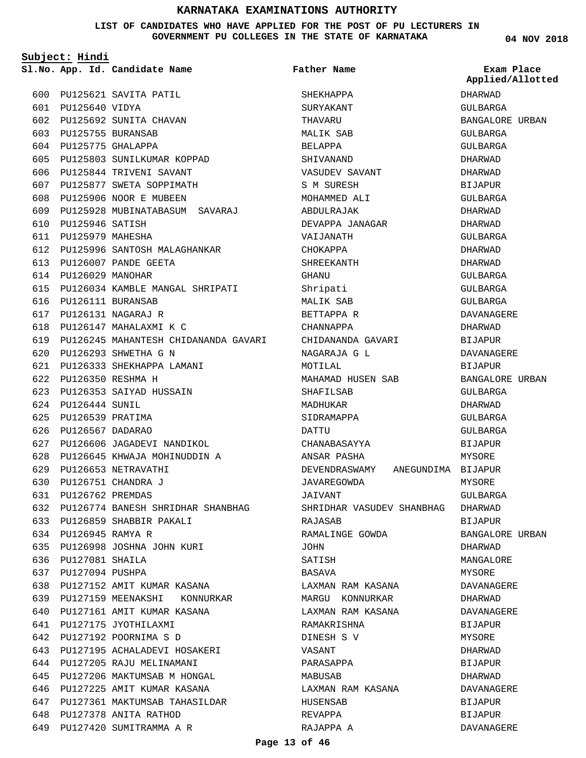#### **LIST OF CANDIDATES WHO HAVE APPLIED FOR THE POST OF PU LECTURERS IN GOVERNMENT PU COLLEGES IN THE STATE OF KARNATAKA**

**Subject: Hindi**

|     |                      | Sl.No. App. Id. Candidate Name           | Father Name                         | Exam Place<br>Applied/Allotted |
|-----|----------------------|------------------------------------------|-------------------------------------|--------------------------------|
|     |                      | 600 PU125621 SAVITA PATIL                | SHEKHAPPA                           | DHARWAD                        |
|     | 601 PU125640 VIDYA   |                                          | SURYAKANT                           | GULBARGA                       |
|     |                      | 602 PU125692 SUNITA CHAVAN               | THAVARU                             | BANGALORE URBAN                |
|     |                      | 603 PU125755 BURANSAB                    | MALIK SAB                           | GULBARGA                       |
|     |                      | 604 PU125775 GHALAPPA                    | BELAPPA                             | GULBARGA                       |
| 605 |                      | PU125803 SUNILKUMAR KOPPAD               | SHIVANAND                           | DHARWAD                        |
|     |                      | 606 PU125844 TRIVENI SAVANT              | VASUDEV SAVANT                      | DHARWAD                        |
|     |                      | 607 PU125877 SWETA SOPPIMATH             | S M SURESH                          | <b>BIJAPUR</b>                 |
|     |                      | 608 PU125906 NOOR E MUBEEN               | MOHAMMED ALI                        | GULBARGA                       |
|     |                      | 609 PU125928 MUBINATABASUM SAVARAJ       | ABDULRAJAK                          | DHARWAD                        |
|     | 610 PU125946 SATISH  |                                          | DEVAPPA JANAGAR                     | DHARWAD                        |
| 611 | PU125979 MAHESHA     |                                          | VAIJANATH                           | GULBARGA                       |
|     |                      | 612 PU125996 SANTOSH MALAGHANKAR         | CHOKAPPA                            | DHARWAD                        |
|     |                      | 613 PU126007 PANDE GEETA                 | SHREEKANTH                          | DHARWAD                        |
|     | 614 PU126029 MANOHAR |                                          | GHANU                               | GULBARGA                       |
|     |                      | 615 PU126034 KAMBLE MANGAL SHRIPATI      | Shripati                            | GULBARGA                       |
|     |                      | 616 PU126111 BURANSAB                    | MALIK SAB                           | GULBARGA                       |
|     |                      | 617 PU126131 NAGARAJ R                   | BETTAPPA R                          | DAVANAGERE                     |
|     |                      | 618 PU126147 MAHALAXMI K C               | CHANNAPPA                           | DHARWAD                        |
|     |                      | 619 PU126245 MAHANTESH CHIDANANDA GAVARI | CHIDANANDA GAVARI                   | BIJAPUR                        |
|     |                      | 620 PU126293 SHWETHA G N                 | NAGARAJA G L                        | DAVANAGERE                     |
| 621 |                      | PU126333 SHEKHAPPA LAMANI                | MOTILAL                             | BIJAPUR                        |
|     |                      | 622 PU126350 RESHMA H                    | MAHAMAD HUSEN SAB                   | BANGALORE URBAN                |
|     |                      | 623 PU126353 SAIYAD HUSSAIN              | SHAFILSAB                           | GULBARGA                       |
|     | 624 PU126444 SUNIL   |                                          | MADHUKAR                            | DHARWAD                        |
| 625 | PU126539 PRATIMA     |                                          | SIDRAMAPPA                          | GULBARGA                       |
| 626 | PU126567 DADARAO     |                                          | DATTU                               | GULBARGA                       |
|     |                      | 627 PU126606 JAGADEVI NANDIKOL           | CHANABASAYYA                        | BIJAPUR                        |
| 628 |                      | PU126645 KHWAJA MOHINUDDIN A             | ANSAR PASHA                         | MYSORE                         |
| 629 |                      | PU126653 NETRAVATHI                      | DEVENDRASWAMY<br>ANEGUNDIMA BIJAPUR |                                |
| 630 |                      | PU126751 CHANDRA J                       | JAVAREGOWDA                         | MYSORE                         |
| 631 | PU126762 PREMDAS     |                                          | JAIVANT                             | GULBARGA                       |
|     |                      | 632 PU126774 BANESH SHRIDHAR SHANBHAG    | SHRIDHAR VASUDEV SHANBHAG           | DHARWAD                        |
|     |                      | 633 PU126859 SHABBIR PAKALI              | RAJASAB                             | BIJAPUR                        |
|     | 634 PU126945 RAMYA R |                                          | RAMALINGE GOWDA                     | BANGALORE URBAN                |
| 635 |                      | PU126998 JOSHNA JOHN KURI                | JOHN                                | DHARWAD                        |
| 636 | PU127081 SHAILA      |                                          | SATISH                              | MANGALORE                      |
| 637 | PU127094 PUSHPA      |                                          | BASAVA                              | MYSORE                         |
| 638 |                      | PU127152 AMIT KUMAR KASANA               | LAXMAN RAM KASANA                   | DAVANAGERE                     |
| 639 |                      | PU127159 MEENAKSHI<br>KONNURKAR          | MARGU KONNURKAR                     | DHARWAD                        |
| 640 |                      | PU127161 AMIT KUMAR KASANA               | LAXMAN RAM KASANA                   | DAVANAGERE                     |
| 641 |                      | PU127175 JYOTHILAXMI                     | RAMAKRISHNA                         | BIJAPUR                        |
| 642 |                      | PU127192 POORNIMA S D                    | DINESH S V                          | MYSORE                         |
| 643 |                      | PU127195 ACHALADEVI HOSAKERI             | VASANT                              | DHARWAD                        |
| 644 |                      | PU127205 RAJU MELINAMANI                 | PARASAPPA                           | BIJAPUR                        |
| 645 |                      | PU127206 MAKTUMSAB M HONGAL              | MABUSAB                             | DHARWAD                        |
| 646 |                      | PU127225 AMIT KUMAR KASANA               | LAXMAN RAM KASANA                   | DAVANAGERE                     |
| 647 |                      | PU127361 MAKTUMSAB TAHASILDAR            | HUSENSAB                            | BIJAPUR                        |
| 648 |                      | PU127378 ANITA RATHOD                    | REVAPPA                             | BIJAPUR                        |
| 649 |                      | PU127420 SUMITRAMMA A R                  | RAJAPPA A                           | DAVANAGERE                     |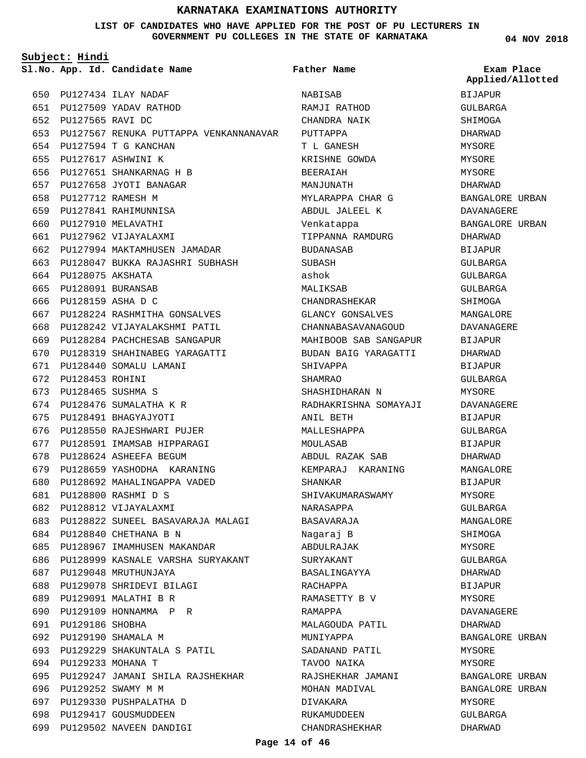#### **LIST OF CANDIDATES WHO HAVE APPLIED FOR THE POST OF PU LECTURERS IN GOVERNMENT PU COLLEGES IN THE STATE OF KARNATAKA**

**Subject: Hindi**

PU127434 ILAY NADAF 650 651 PU127509 YADAV RATHOD PU127565 RAVI DC 652 PU127567 RENUKA PUTTAPPA VENKANNANAVAR 653 PU127594 T G KANCHAN 654 PU127617 ASHWINI K 655 PU127651 SHANKARNAG H B 656 PU127658 JYOTI BANAGAR 657 658 PU127712 RAMESH M PU127841 RAHIMUNNISA 659 660 PU127910 MELAVATHI PU127962 VIJAYALAXMI 661 PU127994 MAKTAMHUSEN JAMADAR 662 PU128047 BUKKA RAJASHRI SUBHASH 663 PU128075 AKSHATA 664 665 PU128091 BURANSAB 666 PU128159 ASHA D C PU128224 RASHMITHA GONSALVES 667 PU128242 VIJAYALAKSHMI PATIL 668 PU128284 PACHCHESAB SANGAPUR 669 670 PU128319 SHAHINABEG YARAGATTI PU128440 SOMALU LAMANI 671 672 PU128453 ROHINI PU128465 SUSHMA S 673 674 PU128476 SUMALATHA K R PU128491 BHAGYAJYOTI 675 676 PU128550 RAJESHWARI PUJER 677 PU128591 IMAMSAB HIPPARAGI 678 PU128624 ASHEEFA BEGUM PU128659 YASHODHA KARANING 679 PU128692 MAHALINGAPPA VADED 680 PU128800 RASHMI D S 681 PU128812 VIJAYALAXMI 682 PU128822 SUNEEL BASAVARAJA MALAGI 683 684 PU128840 CHETHANA B N PU128967 IMAMHUSEN MAKANDAR 685 686 PU128999 KASNALE VARSHA SURYAKANT 687 PU129048 MRUTHUNJAYA PU129078 SHRIDEVI BILAGI 688 PU129091 MALATHI B R 689 PU129109 HONNAMMA P R PU129186 SHOBHA 691 PU129190 SHAMALA M 692 PU129229 SHAKUNTALA S PATIL 693 694 PU129233 MOHANA T 695 PU129247 JAMANI SHILA RAJSHEKHAR 696 PU129252 SWAMY M M PU129330 PUSHPALATHA D 697 698 PU129417 GOUSMUDDEEN 699 PU129502 NAVEEN DANDIGI 690

**App. Id. Candidate Name Sl.No. Exam Place** NABISAB RAMJI RATHOD CHANDRA NAIK PUTTAPPA T L GANESH KRISHNE GOWDA BEERAIAH MANJUNATH MYLARAPPA CHAR G ABDUL JALEEL K Venkatappa TIPPANNA RAMDURG BUDANASAB SUBASH ashok MALIKSAB CHANDRASHEKAR GLANCY GONSALVES CHANNABASAVANAGOUD MAHIBOOB SAB SANGAPUR BUDAN BAIG YARAGATTI SHIVAPPA SHAMRAO SHASHIDHARAN N RADHAKRISHNA SOMAYAJI ANIL BETH MALLESHAPPA MOULASAB ABDUL RAZAK SAB KEMPARAJ KARANING SHANKAR SHIVAKUMARASWAMY NARASAPPA BASAVARAJA Nagaraj B ABDULRAJAK **SURYAKANT** BASALINGAYYA RACHAPPA RAMASETTY B V RAMAPPA MALAGOUDA PATIL MUNIYAPPA SADANAND PATIL TAVOO NAIKA RAJSHEKHAR JAMANI MOHAN MADIVAL DIVAKARA RUKAMUDDEEN CHANDRASHEKHAR **Father Name**

**04 NOV 2018**

**Applied/Allotted**

BIJAPUR GULBARGA SHIMOGA DHARWAD MYSORE MYSORE MYSORE DHARWAD BANGALORE URBAN DAVANAGERE BANGALORE URBAN DHARWAD BIJAPUR GULBARGA GULBARGA GULBARGA SHIMOGA MANGALOR**E** DAVANAGERE BIJAPUR DHARWAD BIJAPUR GULBARGA MYSORE. DAVANAGERE BIJAPUR  $CITIRARGA$ BIJAPUR DHARWAD MANGALORE BIJAPUR MYSORE GULBARGA MANGALORE SHIMOGA MYSORE GULBARGA DHARWAD BIJAPUR MYSORE DAVANAGERE DHARWAD BANGALORE URBAN MYSORE MYSORE BANGALORE URBAN BANGALORE URBAN MYSORE GULBARGA DHARWAD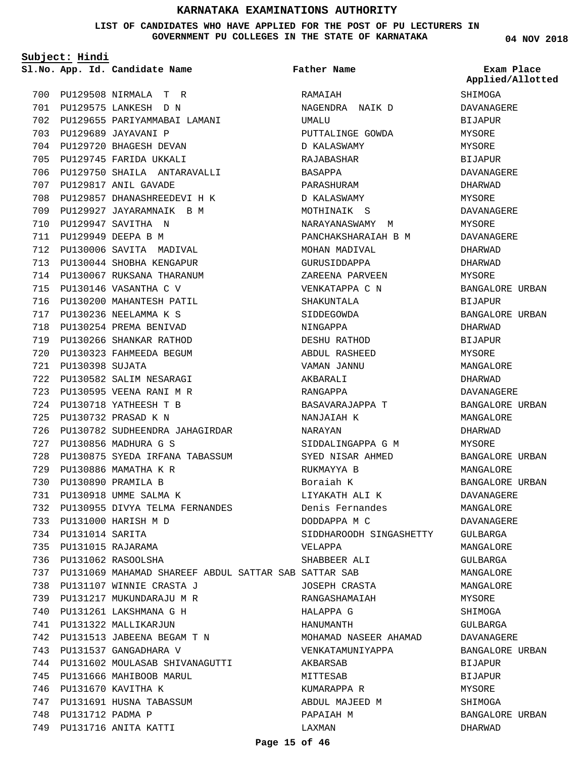**LIST OF CANDIDATES WHO HAVE APPLIED FOR THE POST OF PU LECTURERS IN GOVERNMENT PU COLLEGES IN THE STATE OF KARNATAKA**

**Father Name**

**Subject: Hindi**

**App. Id. Candidate Name Sl.No. Exam Place**

PU129508 NIRMALA T R 700 PU129575 LANKESH D N 701 PU129655 PARIYAMMABAI LAMANI 702 PU129689 JAYAVANI P 703 704 PU129720 BHAGESH DEVAN 705 PU129745 FARIDA UKKALI 706 PU129750 SHAILA ANTARAVALLI PU129817 ANIL GAVADE 707 PU129857 DHANASHREEDEVI H K 708 709 PU129927 JAYARAMNAIK B M PU129947 SAVITHA N 710 PU129949 DEEPA B M 711 712 PU130006 SAVITA MADIVAL PU130044 SHOBHA KENGAPUR 713 PU130067 RUKSANA THARANUM 714 715 PU130146 VASANTHA C V 716 PU130200 MAHANTESH PATIL PU130236 NEELAMMA K S 717 718 PU130254 PREMA BENIVAD PU130266 SHANKAR RATHOD 719 PU130323 FAHMEEDA BEGUM 720 PU130398 SUJATA 721 PU130582 SALIM NESARAGI 722 PU130595 VEENA RANI M R 723 PU130718 YATHEESH T B 724 PU130732 PRASAD K N 725 PU130782 SUDHEENDRA JAHAGIRDAR 726 PU130856 MADHURA G S 727 PU130875 SYEDA IRFANA TABASSUM 728 PU130886 MAMATHA K R 729 PU130890 PRAMILA B 730 PU130918 UMME SALMA K 731 PU130955 DIVYA TELMA FERNANDES 732 PU131000 HARISH M D 733 PU131014 SARITA 734 PU131015 RAJARAMA 735 PU131062 RASOOLSHA 736 PU131069 MAHAMAD SHAREEF ABDUL SATTAR SAB SATTAR SAB 737 PU131107 WINNIE CRASTA J 738 PU131217 MUKUNDARAJU M R 739 PU131261 LAKSHMANA G H 740 741 PU131322 MALLIKARJUN PU131513 JABEENA BEGAM T N 742 743 PU131537 GANGADHARA V 744 PU131602 MOULASAB SHIVANAGUTTI 745 PU131666 MAHIBOOB MARUL 746 PU131670 KAVITHA K 747 PU131691 HUSNA TABASSUM 748 PU131712 PADMA P 749 PU131716 ANITA KATTI

RAMAIAH NAGENDRA NAIK D UMALU PUTTALINGE GOWDA D KALASWAMY RAJABASHAR BASAPPA PARASHURAM D KALASWAMY MOTHINAIK S NARAYANASWAMY M PANCHAKSHARAIAH B M MOHAN MADIVAL GURUSIDDAPPA ZAREENA PARVEEN VENKATAPPA C N SHAKUNTALA SIDDEGOWDA NINGAPPA DESHU RATHOD ABDUL RASHEED VAMAN JANNU AKBARALI RANGAPPA BASAVARAJAPPA T NANJAIAH K NARAYAN SIDDALINGAPPA G M SYED NISAR AHMED RUKMAYYA B Boraiah K LIYAKATH ALI K Denis Fernandes DODDAPPA M C SIDDHAROODH SINGASHETTY VELAPPA SHABBEER ALI JOSEPH CRASTA RANGASHAMAIAH HALAPPA G HANUMANTH MOHAMAD NASEER AHAMAD VENKATAMUNIYAPPA AKBARSAB **MITTESAR** KUMARAPPA R ABDUL MAJEED M PAPAIAH M LAXMAN

**04 NOV 2018**

**Applied/Allotted**

**SHIMOGA** DAVANAGERE BIJAPUR MYSORE MYSORE BIJAPUR DAVANAGERE DHARWAD **MYSORE** DAVANAGERE **MYSORE** DAVANAGERE DHARWAD DHARWAD MYSORE BANGALORE URBAN BIJAPUR BANGALORE URBAN DHARWAD BIJAPUR MYSORE MANGALORE DHARWAD DAVANAGERE BANGALORE URBAN MANGALORE DHARWAD MYSORE BANGALORE URBAN MANGALORE BANGALORE URBAN DAVANAGERE MANGALORE DAVANAGERE GULBARGA MANGALORE GULBARGA MANGALORE MANGALORE MYSORE SHIMOGA GULBARGA DAVANAGERE BANGALORE URBAN BIJAPUR BIJAPUR MYSORE SHIMOGA BANGALORE URBAN

DHARWAD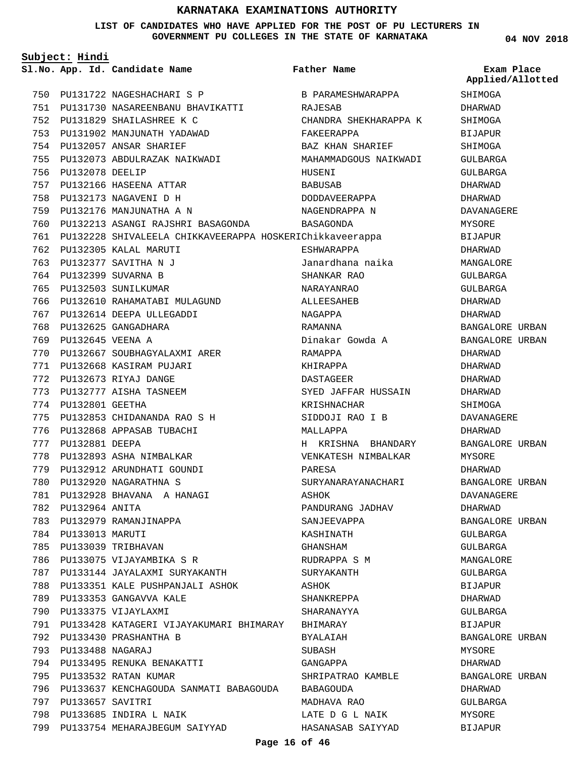**LIST OF CANDIDATES WHO HAVE APPLIED FOR THE POST OF PU LECTURERS IN GOVERNMENT PU COLLEGES IN THE STATE OF KARNATAKA**

|     | Subject: Hindi       |                                                          |                       |                                |
|-----|----------------------|----------------------------------------------------------|-----------------------|--------------------------------|
|     |                      | Sl.No. App. Id. Candidate Name                           | Father Name           | Exam Place<br>Applied/Allotted |
|     |                      | 750 PU131722 NAGESHACHARI S P                            | B PARAMESHWARAPPA     | SHIMOGA                        |
|     |                      | 751 PU131730 NASAREENBANU BHAVIKATTI                     | RAJESAB               | DHARWAD                        |
|     |                      | 752 PU131829 SHAILASHREE K C                             | CHANDRA SHEKHARAPPA K | SHIMOGA                        |
|     |                      | 753 PU131902 MANJUNATH YADAWAD                           | FAKEERAPPA            | <b>BIJAPUR</b>                 |
|     |                      | 754 PU132057 ANSAR SHARIEF                               | BAZ KHAN SHARIEF      | SHIMOGA                        |
|     |                      | 755 PU132073 ABDULRAZAK NAIKWADI                         | MAHAMMADGOUS NAIKWADI | GULBARGA                       |
|     | 756 PU132078 DEELIP  |                                                          | HUSENI                | GULBARGA                       |
|     |                      | 757 PU132166 HASEENA ATTAR                               | BABUSAB               | DHARWAD                        |
|     |                      | 758 PU132173 NAGAVENI D H                                | DODDAVEERAPPA         | DHARWAD                        |
|     |                      | 759 PU132176 MANJUNATHA A N                              | NAGENDRAPPA N         | DAVANAGERE                     |
|     |                      | 760 PU132213 ASANGI RAJSHRI BASAGONDA BASAGONDA          |                       | MYSORE                         |
| 761 |                      | PU132228 SHIVALEELA CHIKKAVEERAPPA HOSKERIChikkaveerappa |                       | <b>BIJAPUR</b>                 |
|     |                      | 762 PU132305 KALAL MARUTI                                | ESHWARAPPA            | DHARWAD                        |
|     |                      | 763 PU132377 SAVITHA N J                                 | Janardhana naika      | MANGALORE                      |
|     |                      | 764 PU132399 SUVARNA B                                   | SHANKAR RAO           | GULBARGA                       |
|     |                      | 765 PU132503 SUNILKUMAR                                  | NARAYANRAO            | GULBARGA                       |
|     |                      | 766 PU132610 RAHAMATABI MULAGUND                         | ALLEESAHEB            | DHARWAD                        |
|     |                      | 767 PU132614 DEEPA ULLEGADDI                             | NAGAPPA               | DHARWAD                        |
|     |                      | 768 PU132625 GANGADHARA                                  | RAMANNA               | BANGALORE URBAN                |
| 769 | PU132645 VEENA A     |                                                          | Dinakar Gowda A       | BANGALORE URBAN                |
| 770 |                      | PU132667 SOUBHAGYALAXMI ARER                             | RAMAPPA               | DHARWAD                        |
|     |                      | 771 PU132668 KASIRAM PUJARI                              | KHIRAPPA              | DHARWAD                        |
|     |                      | 772 PU132673 RIYAJ DANGE                                 | DASTAGEER             | DHARWAD                        |
| 773 |                      | PU132777 AISHA TASNEEM                                   | SYED JAFFAR HUSSAIN   | DHARWAD                        |
|     | 774 PU132801 GEETHA  |                                                          | KRISHNACHAR           | SHIMOGA                        |
|     |                      | 775 PU132853 CHIDANANDA RAO S H                          | SIDDOJI RAO I B       | DAVANAGERE                     |
|     |                      | 776 PU132868 APPASAB TUBACHI                             | MALLAPPA              | DHARWAD                        |
|     | 777 PU132881 DEEPA   |                                                          | H KRISHNA BHANDARY    | BANGALORE URBAN                |
| 778 |                      | PU132893 ASHA NIMBALKAR                                  | VENKATESH NIMBALKAR   | MYSORE                         |
|     |                      | 779 PU132912 ARUNDHATI GOUNDI                            | PARESA                | DHARWAD                        |
|     |                      | 780 PU132920 NAGARATHNA S                                | SURYANARAYANACHARI    | BANGALORE URBAN                |
|     |                      | 781 PU132928 BHAVANA A HANAGI                            | ASHOK                 | DAVANAGERE                     |
|     | 782 PU132964 ANITA   |                                                          | PANDURANG JADHAV      | DHARWAD                        |
|     |                      | 783 PU132979 RAMANJINAPPA                                | SANJEEVAPPA           | BANGALORE URBAN                |
|     | 784 PU133013 MARUTI  |                                                          | KASHINATH             | GULBARGA                       |
|     |                      | 785 PU133039 TRIBHAVAN                                   | GHANSHAM              | GULBARGA                       |
|     |                      | 786 PU133075 VIJAYAMBIKA S R                             | RUDRAPPA S M          | MANGALORE                      |
|     |                      | 787 PU133144 JAYALAXMI SURYAKANTH                        | SURYAKANTH            | GULBARGA                       |
|     |                      | 788 PU133351 KALE PUSHPANJALI ASHOK                      | ASHOK                 | BIJAPUR                        |
| 789 |                      | PU133353 GANGAVVA KALE                                   | SHANKREPPA            | DHARWAD                        |
| 790 |                      | PU133375 VIJAYLAXMI                                      | SHARANAYYA            | GULBARGA                       |
|     |                      | 791 PU133428 KATAGERI VIJAYAKUMARI BHIMARAY              | BHIMARAY              | BIJAPUR                        |
|     |                      | 792 PU133430 PRASHANTHA B                                | BYALAIAH              | BANGALORE URBAN                |
|     | 793 PU133488 NAGARAJ |                                                          | SUBASH                | MYSORE                         |
|     |                      | 794 PU133495 RENUKA BENAKATTI                            | GANGAPPA              | DHARWAD                        |
|     |                      | 795 PU133532 RATAN KUMAR                                 | SHRIPATRAO KAMBLE     | BANGALORE URBAN                |
|     |                      | 796 PU133637 KENCHAGOUDA SANMATI BABAGOUDA               | BABAGOUDA             | DHARWAD                        |
| 797 | PU133657 SAVITRI     |                                                          | MADHAVA RAO           | GULBARGA                       |
| 798 |                      | PU133685 INDIRA L NAIK                                   | LATE D G L NAIK       | MYSORE                         |
|     |                      | 799 PU133754 MEHARAJBEGUM SAIYYAD                        | HASANASAB SAIYYAD     | BIJAPUR                        |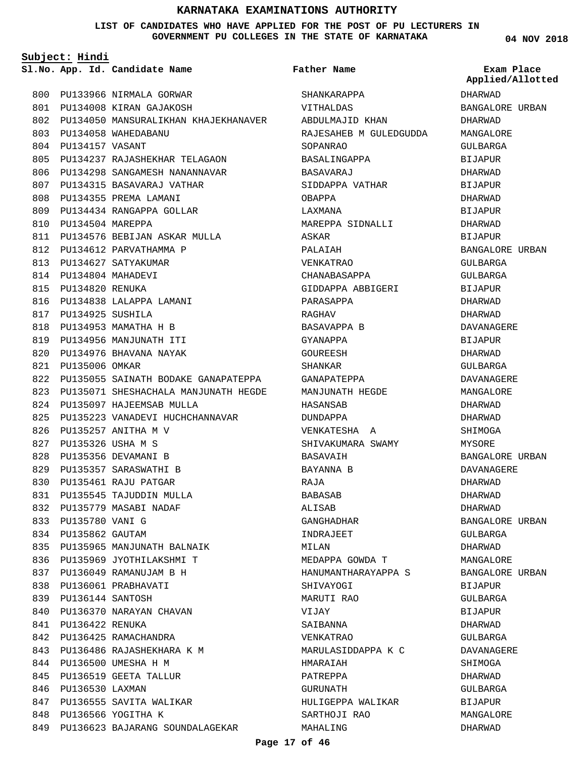#### **LIST OF CANDIDATES WHO HAVE APPLIED FOR THE POST OF PU LECTURERS IN GOVERNMENT PU COLLEGES IN THE STATE OF KARNATAKA**

**Father Name**

**App. Id. Candidate Name Sl.No. Exam Place**

**Subject: Hindi**

**04 NOV 2018**

| 800 |                       | PU133966 NIRMALA GORWAR                  |
|-----|-----------------------|------------------------------------------|
| 801 |                       | PU134008 KIRAN GAJAKOSH                  |
|     |                       | 802 PU134050 MANSURALIKHAN KHAJEKHANAVER |
|     |                       | 803 PU134058 WAHEDABANU                  |
|     | 804 PU134157 VASANT   |                                          |
|     |                       | 805 PU134237 RAJASHEKHAR TELAGAON        |
|     | 806 PU134298          | SANGAMESH NANANNAVAR                     |
|     |                       | 807 PU134315 BASAVARAJ VATHAR            |
| 808 |                       | PU134355 PREMA LAMANI                    |
|     |                       | 809 PU134434 RANGAPPA GOLLAR             |
|     | 810 PU134504 MAREPPA  |                                          |
|     |                       | 811 PU134576 BEBIJAN ASKAR MULLA         |
|     |                       | 812 PU134612 PARVATHAMMA P               |
|     |                       | 813 PU134627 SATYAKUMAR                  |
|     | 814 PU134804 MAHADEVI |                                          |
|     | 815 PU134820 RENUKA   |                                          |
|     |                       | 816 PU134838 LALAPPA LAMANI              |
|     | 817 PU134925 SUSHILA  |                                          |
|     |                       | 818 PU134953 MAMATHA H B                 |
|     |                       | 819 PU134956 MANJUNATH ITI               |
|     |                       | 820 PU134976 BHAVANA NAYAK               |
|     | 821 PU135006 OMKAR    |                                          |
|     | 822 PU135055          | SAINATH BODAKE GANAPATEPPA               |
|     | 823 PU135071          | SHESHACHALA MANJUNATH HEGDE              |
|     |                       | 824 PU135097 HAJEEMSAB MULLA             |
|     |                       | 825 PU135223 VANADEVI HUCHCHANNAVAR      |
|     |                       | 826 PU135257 ANITHA M V                  |
|     | 827 PU135326 USHA M S |                                          |
|     |                       | 828 PU135356 DEVAMANI B                  |
|     |                       | 829 PU135357 SARASWATHI B                |
|     |                       | 830 PU135461 RAJU PATGAR                 |
|     |                       | 831 PU135545 TAJUDDIN MULLA              |
| 832 |                       | PU135779 MASABI NADAF                    |
|     | 833 PU135780 VANI G   |                                          |
|     | 834 PU135862 GAUTAM   |                                          |
|     |                       | 835 PU135965 MANJUNATH BALNAIK           |
|     |                       | 836 PU135969 JYOTHILAKSHMI T             |
|     |                       | 837 PU136049 RAMANUJAM B H               |
|     |                       | 838 PU136061 PRABHAVATI                  |
|     | 839 PU136144 SANTOSH  |                                          |
|     |                       | 840 PU136370 NARAYAN CHAVAN              |
|     | 841 PU136422 RENUKA   |                                          |
|     |                       | 842 PU136425 RAMACHANDRA                 |
|     |                       | 843 PU136486 RAJASHEKHARA K M            |
|     |                       | 844 PU136500 UMESHA H M                  |
|     |                       | 845 PU136519 GEETA TALLUR                |
|     | 846 PU136530 LAXMAN   |                                          |
|     |                       | 847 PU136555 SAVITA WALIKAR              |
|     |                       | 848 PU136566 YOGITHA K                   |
|     |                       | 849 PU136623 BAJARANG SOUNDALAGEKAR      |

|                        | Applie         |
|------------------------|----------------|
| SHANKARAPPA            | DHARWAD        |
| VITHALDAS              | <b>BANGALO</b> |
| ABDULMAJID KHAN        | DHARWAD        |
| RAJESAHEB M GULEDGUDDA | <b>MANGALO</b> |
| SOPANRAO               | GULBARG.       |
| BASALINGAPPA           | BIJAPUR        |
| BASAVARAJ              | DHARWAD        |
| SIDDAPPA VATHAR        | <b>BIJAPUR</b> |
| OBAPPA                 | DHARWAD        |
| LAXMANA                | <b>BIJAPUR</b> |
| MAREPPA SIDNALLI       | DHARWAD        |
| ASKAR                  | <b>BIJAPUR</b> |
| PALAIAH                | <b>BANGALO</b> |
| <b>VENKATRAO</b>       | <b>GULBARG</b> |
| CHANABASAPPA           | <b>GULBARG</b> |
| GIDDAPPA ABBIGERI      | BIJAPUR        |
| PARASAPPA              | DHARWAD        |
| RAGHAV                 | DHARWAD        |
| BASAVAPPA B            | DAVANAG        |
| GYANAPPA               | <b>BIJAPUR</b> |
| GOUREESH               | DHARWAD        |
| SHANKAR                | GULBARG.       |
| GANAPATEPPA            | DAVANAG        |
| MANJUNATH HEGDE        | <b>MANGALO</b> |
| HASANSAB               | DHARWAD        |
| DUNDAPPA               | DHARWAD        |
| VENKATESHA A           | SHIMOGA        |
| SHIVAKUMARA SWAMY      | MYSORE         |
| BASAVAIH               | <b>BANGALO</b> |
| BAYANNA B              | DAVANAG        |
| RAJA                   | DHARWAD        |
| BABASAB                | DHARWAD        |
| ALISAB                 | <b>DHARWAD</b> |
| GANGHADHAR             | <b>BANGALO</b> |
| INDRAJEET              | GULBARG        |
| MILAN                  | DHARWAD        |
| MEDAPPA GOWDA T        | <b>MANGALO</b> |
| HANUMANTHARAYAPPA S    | <b>BANGALO</b> |
| SHIVAYOGI              | <b>BIJAPUR</b> |
| MARUTI RAO             | GULBARG.       |
| VIJAY                  | <b>BIJAPUR</b> |
| SAIBANNA               | DHARWAD        |
| VENKATRAO              | GULBARG.       |
| MARULASIDDAPPA K C     | DAVANAG        |
| HMARAIAH               | SHIMOGA        |
| PATREPPA               | DHARWAD        |
| GURUNATH               | GULBARG.       |
| HULIGEPPA WALIKAR      | <b>BIJAPUR</b> |
| SARTHOJI RAO           | <b>MANGALO</b> |
| MAHALING               | DHARWAD        |

# DHARWAD BANGALORE URBAN DHARWAD MANGALORE GULBARGA BIJAPUR DHARWAD BIJAPUR DHARWAD BIJAPUR DHARWAD BIJAPUR BANGALORE URBAN GULBARGA GULBARGA BIJAPUR DHARWAD DHARWAD DAVANAGERE BIJAPUR DHARWAD GULBARGA DAVANAGERE MANGALORE DHARWAD DHARWAD SHIMOGA MYSORE BANGALORE URBAN DAVANAGERE DHARWAD DHARWAD DHARWAD BANGALORE URBAN GULBARGA DHARWAD MANGALORE BANGALORE URBAN BIJAPUR GULBARGA BIJAPUR DHARWAD GULBARGA DAVANAGERE SHIMOGA DHARWAD GULBARGA BIJAPUR MANGALORE **Applied/Allotted**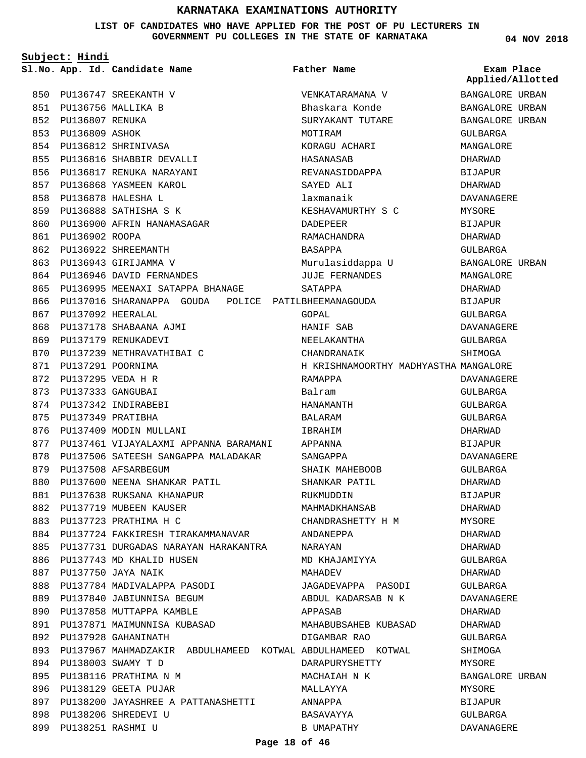**LIST OF CANDIDATES WHO HAVE APPLIED FOR THE POST OF PU LECTURERS IN GOVERNMENT PU COLLEGES IN THE STATE OF KARNATAKA**

|     | Subject: Hindi        |                                                            |                                       |                                |
|-----|-----------------------|------------------------------------------------------------|---------------------------------------|--------------------------------|
|     |                       | Sl.No. App. Id. Candidate Name                             | <b>Father Name</b>                    | Exam Place<br>Applied/Allotted |
| 850 |                       | PU136747 SREEKANTH V                                       | VENKATARAMANA V                       | BANGALORE URBAN                |
|     |                       | 851 PU136756 MALLIKA B                                     | Bhaskara Konde                        | BANGALORE URBAN                |
|     | 852 PU136807 RENUKA   |                                                            | SURYAKANT TUTARE                      | BANGALORE URBAN                |
| 853 | PU136809 ASHOK        |                                                            | MOTIRAM                               | GULBARGA                       |
| 854 |                       | PU136812 SHRINIVASA                                        | KORAGU ACHARI                         | MANGALORE                      |
|     |                       | 855 PU136816 SHABBIR DEVALLI                               | HASANASAB                             | DHARWAD                        |
| 856 |                       | PU136817 RENUKA NARAYANI                                   | REVANASIDDAPPA                        | <b>BIJAPUR</b>                 |
| 857 |                       | PU136868 YASMEEN KAROL                                     | SAYED ALI                             | DHARWAD                        |
| 858 |                       | PU136878 HALESHA L                                         | laxmanaik                             | DAVANAGERE                     |
|     |                       | 859 PU136888 SATHISHA S K                                  | KESHAVAMURTHY S C                     | MYSORE                         |
|     |                       | 860 PU136900 AFRIN HANAMASAGAR                             | DADEPEER                              | <b>BIJAPUR</b>                 |
| 861 | PU136902 ROOPA        |                                                            | RAMACHANDRA                           | DHARWAD                        |
| 862 |                       | PU136922 SHREEMANTH                                        | BASAPPA                               | <b>GULBARGA</b>                |
| 863 |                       | PU136943 GIRIJAMMA V                                       | Murulasiddappa U                      | BANGALORE URBAN                |
|     |                       | 864 PU136946 DAVID FERNANDES                               | <b>JUJE FERNANDES</b>                 | MANGALORE                      |
| 865 |                       | PU136995 MEENAXI SATAPPA BHANAGE                           | SATAPPA                               | DHARWAD                        |
| 866 |                       | PU137016 SHARANAPPA GOUDA POLICE PATILBHEEMANAGOUDA        |                                       | <b>BIJAPUR</b>                 |
| 867 | PU137092 HEERALAL     |                                                            | GOPAL                                 | GULBARGA                       |
| 868 |                       | PU137178 SHABAANA AJMI                                     | HANIF SAB                             | <b>DAVANAGERE</b>              |
| 869 |                       | PU137179 RENUKADEVI                                        | NEELAKANTHA                           | GULBARGA                       |
| 870 |                       | PU137239 NETHRAVATHIBAI C                                  | CHANDRANAIK                           | SHIMOGA                        |
| 871 | PU137291 POORNIMA     |                                                            | H KRISHNAMOORTHY MADHYASTHA MANGALORE |                                |
| 872 | PU137295 VEDA H R     |                                                            | RAMAPPA                               | DAVANAGERE                     |
| 873 | PU137333 GANGUBAI     |                                                            | Balram                                | GULBARGA                       |
| 874 |                       | PU137342 INDIRABEBI                                        | HANAMANTH                             | GULBARGA                       |
|     | 875 PU137349 PRATIBHA |                                                            | BALARAM                               | GULBARGA                       |
| 876 |                       | PU137409 MODIN MULLANI                                     | IBRAHIM                               | DHARWAD                        |
| 877 |                       | PU137461 VIJAYALAXMI APPANNA BARAMANI                      | APPANNA                               | <b>BIJAPUR</b>                 |
| 878 |                       | PU137506 SATEESH SANGAPPA MALADAKAR                        | SANGAPPA                              | DAVANAGERE                     |
|     |                       | 879 PU137508 AFSARBEGUM                                    | SHAIK MAHEBOOB                        | GULBARGA                       |
|     |                       | 880 PU137600 NEENA SHANKAR PATIL                           | SHANKAR PATIL                         | DHARWAD                        |
| 881 |                       | PU137638 RUKSANA KHANAPUR                                  | RUKMUDDIN                             | <b>BIJAPUR</b>                 |
| 882 |                       | PU137719 MUBEEN KAUSER                                     | MAHMADKHANSAB                         | DHARWAD                        |
| 883 |                       | PU137723 PRATHIMA H C                                      | CHANDRASHETTY H M                     | MYSORE                         |
| 884 |                       | PU137724 FAKKIRESH TIRAKAMMANAVAR                          | ANDANEPPA                             | DHARWAD                        |
| 885 |                       | PU137731 DURGADAS NARAYAN HARAKANTRA                       | NARAYAN                               | DHARWAD                        |
| 886 |                       | PU137743 MD KHALID HUSEN                                   | MD KHAJAMIYYA                         | GULBARGA                       |
| 887 |                       | PU137750 JAYA NAIK                                         | MAHADEV                               | DHARWAD                        |
| 888 |                       | PU137784 MADIVALAPPA PASODI                                | JAGADEVAPPA PASODI                    | GULBARGA                       |
| 889 |                       | PU137840 JABIUNNISA BEGUM                                  | ABDUL KADARSAB N K                    | DAVANAGERE                     |
| 890 |                       | PU137858 MUTTAPPA KAMBLE                                   | APPASAB                               | DHARWAD                        |
| 891 |                       | PU137871 MAIMUNNISA KUBASAD                                | MAHABUBSAHEB KUBASAD                  | DHARWAD                        |
| 892 |                       | PU137928 GAHANINATH                                        | DIGAMBAR RAO                          | GULBARGA                       |
| 893 |                       | PU137967 MAHMADZAKIR ABDULHAMEED KOTWAL ABDULHAMEED KOTWAL |                                       | SHIMOGA                        |
| 894 |                       | PU138003 SWAMY T D                                         | DARAPURYSHETTY                        | MYSORE                         |
| 895 |                       | PU138116 PRATHIMA N M                                      | MACHAIAH N K                          | BANGALORE URBAN                |
| 896 |                       | PU138129 GEETA PUJAR                                       | MALLAYYA                              | MYSORE                         |
| 897 |                       | PU138200 JAYASHREE A PATTANASHETTI                         | ANNAPPA                               | BIJAPUR                        |
| 898 |                       | PU138206 SHREDEVI U                                        | BASAVAYYA                             | GULBARGA                       |
| 899 | PU138251 RASHMI U     |                                                            | B UMAPATHY                            | DAVANAGERE                     |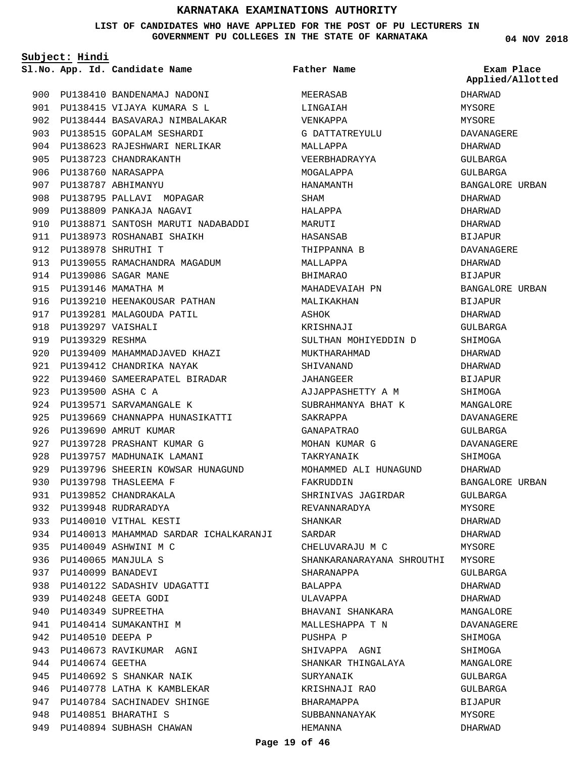#### **LIST OF CANDIDATES WHO HAVE APPLIED FOR THE POST OF PU LECTURERS IN GOVERNMENT PU COLLEGES IN THE STATE OF KARNATAKA**

**Subject: Hindi**

```
Father Name
```
900 PU138410 BANDENAMAJ NADONI 901 PU138415 VIJAYA KUMARA S L PU138444 BASAVARAJ NIMBALAKAR 902 903 PU138515 GOPALAM SESHARDI 904 PU138623 RAJESHWARI NERLIKAR 905 PU138723 CHANDRAKANTH PU138760 NARASAPPA 906 PU138787 ABHIMANYU 907 908 PU138795 PALLAVI MOPAGAR 909 PU138809 PANKAJA NAGAVI 910 PU138871 SANTOSH MARUTI NADABADDI 911 PU138973 ROSHANABI SHAIKH PU138978 SHRUTHI T 912 913 PU139055 RAMACHANDRA MAGADUM PU139086 SAGAR MANE 914 915 PU139146 MAMATHA M 916 PU139210 HEENAKOUSAR PATHAN 917 PU139281 MALAGOUDA PATIL PU139297 VAISHALI 918 919 PU139329 RESHMA 920 PU139409 MAHAMMADJAVED KHAZI 921 PU139412 CHANDRIKA NAYAK 922 PU139460 SAMEERAPATEL BIRADAR PU139500 ASHA C A 923 924 PU139571 SARVAMANGALE K 925 PU139669 CHANNAPPA HUNASIKATTI 926 PU139690 AMRUT KUMAR 927 PU139728 PRASHANT KUMAR G 928 PU139757 MADHUNAIK LAMANI 929 PU139796 SHEERIN KOWSAR HUNAGUND PU139798 THASLEEMA F 930 931 PU139852 CHANDRAKALA 932 PU139948 RUDRARADYA 933 PU140010 VITHAL KESTI 934 PU140013 MAHAMMAD SARDAR ICHALKARANJI PU140049 ASHWINI M C 935 PU140065 MANJULA S 936 PU140099 BANADEVI 937 938 PU140122 SADASHIV UDAGATTI PU140248 GEETA GODI 939 940 PU140349 SUPREETHA 941 PU140414 SUMAKANTHI M 942 PU140510 DEEPA P 943 PU140673 RAVIKUMAR AGNI 944 PU140674 GEETHA 945 PU140692 S SHANKAR NAIK 946 PU140778 LATHA K KAMBLEKAR 947 PU140784 SACHINADEV SHINGE PU140851 BHARATHI S 948 949 PU140894 SUBHASH CHAWAN

**App. Id. Candidate Name Sl.No. Exam Place** MEERASAB LINGAIAH VENKAPPA G DATTATREYULU MALLAPPA VEERBHADRAYYA MOGALAPPA HANAMANTH SHAM HALAPPA MARUTI HASANSAB THIPPANNA B MALLAPPA BHIMARAO MAHADEVAIAH PN MALIKAKHAN **A**SHOK KRISHNAJI SULTHAN MOHIYEDDIN D MUKTHARAHMAD SHIVANAND JAHANGEER AJJAPPASHETTY A M SUBRAHMANYA BHAT K SAKRAPPA GANAPATRAO MOHAN KUMAR G TAKRYANAIK MOHAMMED ALI HUNAGUND FAKRUDDIN SHRINIVAS JAGIRDAR REVANNARADYA SHANKAR SARDAR CHELUVARAJU M C SHANKARANARAYANA SHROUTHI MYSORE SHARANAPPA BALAPPA ULAVAPPA BHAVANI SHANKARA MALLESHAPPA T N PUSHPA P SHIVAPPA AGNI SHANKAR THINGALAYA SURYANAIK KRISHNAJI RAO BHARAMAPPA SUBBANNANAYAK HEMANNA

**04 NOV 2018**

**Applied/Allotted**

DHARWAD **MYSORE** MYSORE DAVANAGERE DHARWAD GULBARGA GULBARGA BANGALORE URBAN DHARWAD DHARWAD DHARWAD **BIJAPUR** DAVANAGERE DHARWAD BIJAPUR BANGALORE URBAN BIJAPUR DHARWAD GULBARGA SHIMOGA DHARWAD DHARWAD BIJAPUR SHIMOGA MANGALORE DAVANAGERE GULBARGA DAVANAGERE SHIMOGA DHARWAD BANGALORE URBAN GULBARGA MYSORE DHARWAD DHARWAD **MYSORE** GULBARGA DHARWAD DHARWAD MANGALORE DAVANAGERE SHIMOGA SHIMOGA MANGALORE GULBARGA GULBARGA BIJAPUR MYSORE DHARWAD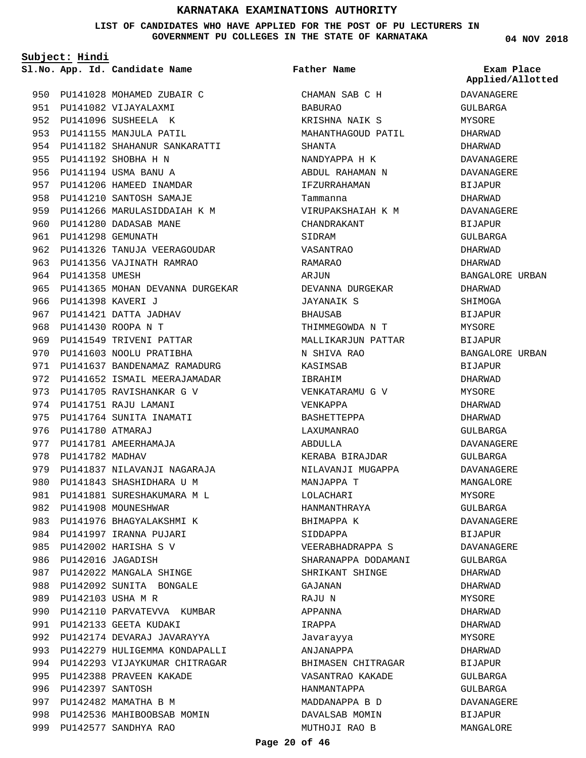**LIST OF CANDIDATES WHO HAVE APPLIED FOR THE POST OF PU LECTURERS IN GOVERNMENT PU COLLEGES IN THE STATE OF KARNATAKA**

CHAMAN SAB C H

KRISHNA NAIK S MAHANTHAGOUD PATIL

NANDYAPPA H K

BABURAO

**Father Name**

SHANTA

**Subject: Hindi**

**App. Id. Candidate Name Sl.No. Exam Place**

950 PU141028 MOHAMED ZUBAIR C 951 PU141082 VIJAYALAXMI 952 PU141096 SUSHEELA K 953 PU141155 MANJULA PATIL 954 PU141182 SHAHANUR SANKARATTI 955 PU141192 SHOBHA H N 956 PU141194 USMA BANU A 957 PU141206 HAMEED INAMDAR 958 PU141210 SANTOSH SAMAJE 959 PU141266 MARULASIDDAIAH K M 960 PU141280 DADASAB MANE PU141298 GEMUNATH 961 962 PU141326 TANUJA VEERAGOUDAR 963 PU141356 VAJINATH RAMRAO 964 PU141358 UMESH 965 PU141365 MOHAN DEVANNA DURGEKAR 966 PU141398 KAVERI J 967 PU141421 DATTA JADHAV PU141430 ROOPA N T 968 969 PU141549 TRIVENI PATTAR 970 PU141603 NOOLU PRATIBHA 971 PU141637 BANDENAMAZ RAMADURG 972 PU141652 ISMAIL MEERAJAMADAR 973 PU141705 RAVISHANKAR G V 974 PU141751 RAJU LAMANI 975 PU141764 SUNITA INAMATI 976 PU141780 ATMARAJ 977 PU141781 AMEERHAMAJA 978 PU141782 MADHAV 979 PU141837 NILAVANJI NAGARAJA 980 PU141843 SHASHIDHARA U M 981 PU141881 SURESHAKUMARA M L 982 PU141908 MOUNESHWAR 983 PU141976 BHAGYALAKSHMI K 984 PU141997 IRANNA PUJARI PU142002 HARISHA S V 985 986 PU142016 JAGADISH 987 PU142022 MANGALA SHINGE 988 PU142092 SUNITA BONGALE 989 PU142103 USHA M R 990 PU142110 PARVATEVVA KUMBAR 991 PU142133 GEETA KUDAKI 992 PU142174 DEVARAJ JAVARAYYA 993 PU142279 HULIGEMMA KONDAPALLI 994 PU142293 VIJAYKUMAR CHITRAGAR 995 PU142388 PRAVEEN KAKADE 996 PU142397 SANTOSH 997 PU142482 MAMATHA B M 998 PU142536 MAHIBOOBSAB MOMIN PU142577 SANDHYA RAO 999

ABDUL RAHAMAN N IFZURRAHAMAN Tammanna VIRUPAKSHAIAH K M CHANDRAKANT SIDRAM VASANTRAO RAMARAO ARJUN DEVANNA DURGEKAR JAYANAIK S **BHAUSAB** THIMMEGOWDA N T MALLIKARJUN PATTAR N SHIVA RAO KASIMSAB IBRAHIM VENKATARAMU G V VENKAPPA BASHETTEPPA LAXUMANRAO ABDULLA KERABA BIRAJDAR NILAVANJI MUGAPPA MANJAPPA T LOLACHARI HANMANTHRAYA BHIMAPPA K SIDDAPPA VEERABHADRAPPA S SHARANAPPA DODAMANI SHRIKANT SHINGE GAJANAN RAJU N APPANNA IRAPPA Javarayya ANJANAPPA BHIMASEN CHITRAGAR VASANTRAO KAKADE HANMANTAPPA MADDANAPPA B D DAVALSAB MOMIN MUTHOJI RAO B

**04 NOV 2018**

**Applied/Allotted**

# DAVANAGERE GULBARGA MYSORE DHARWAD DHARWAD DAVANAGERE DAVANAGERE BIJAPUR DHARWAD DAVANAGERE BIJAPUR GULBARGA DHARWAD DHARWAD BANGALORE URBAN DHARWAD SHIMOGA **BIJAPUR** MYSORE BIJAPUR BANGALORE URBAN BIJAPUR DHARWAD MYSORE DHARWAD DHARWAD GULBARGA DAVANAGERE GULBARGA DAVANAGERE MANGALORE MYSORE GULBARGA DAVANAGERE BIJAPUR DAVANAGERE GULBARGA DHARWAD DHARWAD MYSORE DHARWAD DHARWAD MYSORE DHARWAD BIJAPUR GULBARGA GULBARGA DAVANAGERE

BIJAPUR MANGALORE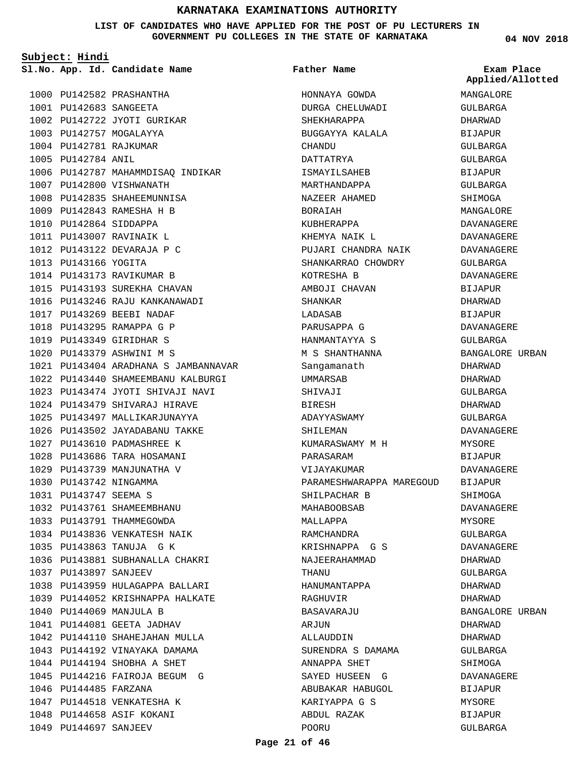**LIST OF CANDIDATES WHO HAVE APPLIED FOR THE POST OF PU LECTURERS IN GOVERNMENT PU COLLEGES IN THE STATE OF KARNATAKA**

**Subject: Hindi**

**App. Id. Candidate Name Sl.No. Exam Place**

1000 PU142582 PRASHANTHA PU142683 SANGEETA 1001

1007 PU142800 VISHWANATH 1008 PU142835 SHAHEEMUNNISA PU142843 RAMESHA H B 1009 1010 PU142864 SIDDAPPA PU143007 RAVINAIK L 1011 1012 PU143122 DEVARAJA P C

1013 PU143166 YOGITA

1014 PU143173 RAVIKUMAR B 1015 PU143193 SUREKHA CHAVAN 1016 PU143246 RAJU KANKANAWADI

PU143269 BEEBI NADAF 1017 1018 PU143295 RAMAPPA G P PU143349 GIRIDHAR S 1019 PU143379 ASHWINI M S 1020

1032 PU143761 SHAMEEMBHANU 1033 PU143791 THAMMEGOWDA 1034 PU143836 VENKATESH NAIK PU143863 TANUJA G K 1035

1037 PU143897 SANJEEV

PU144069 MANJULA B 1040 1041 PU144081 GEETA JADHAV 1042 PU144110 SHAHEJAHAN MULLA 1043 PU144192 VINAYAKA DAMAMA 1044 PU144194 SHOBHA A SHET 1045 PU144216 FAIROJA BEGUM G

1046 PU144485 FARZANA

1047 PU144518 VENKATESHA K 1048 PU144658 ASIF KOKANI 1049 PU144697 SANJEEV

1036 PU143881 SUBHANALLA CHAKRI

1038 PU143959 HULAGAPPA BALLARI PU144052 KRISHNAPPA HALKATE 1039

PU143404 ARADHANA S JAMBANNAVAR 1021 PU143440 SHAMEEMBANU KALBURGI 1022 PU143474 JYOTI SHIVAJI NAVI 1023 1024 PU143479 SHIVARAJ HIRAVE 1025 PU143497 MALLIKARJUNAYYA 1026 PU143502 JAYADABANU TAKKE PU143610 PADMASHREE K 1027 1028 PU143686 TARA HOSAMANI 1029 PU143739 MANJUNATHA V 1030 PU143742 NINGAMMA PU143747 SEEMA S 1031

1002 PU142722 JYOTI GURIKAR 1003 PU142757 MOGALAYYA 1004 PU142781 RAJKUMAR 1005 PU142784 ANIL

1006 PU142787 MAHAMMDISAQ INDIKAR

**Father Name**

HONNAYA GOWDA DURGA CHELUWADI SHEKHARAPPA BUGGAYYA KALALA **CHANDU** DATTATRYA ISMAYILSAHEB MARTHANDAPPA NAZEER AHAMED BORAIAH KUBHERAPPA KHEMYA NAIK L PUJARI CHANDRA NAIK SHANKARRAO CHOWDRY KOTRESHA B AMBOJI CHAVAN SHANKAR LADASAB PARUSAPPA G HANMANTAYYA S M S SHANTHANNA Sangamanath UMMARSAB SHIVAJI BIRESH ADAYYASWAMY SHILEMAN KUMARASWAMY M H PARASARAM VIJAYAKUMAR PARAMESHWARAPPA MAREGOUD BIJAPUR SHILPACHAR B MAHABOOBSAB MALLAPPA RAMCHANDRA KRISHNAPPA G S NAJEERAHAMMAD THANU HANUMANTAPPA RAGHUVIR BASAVARAJU AR.TIIN ALLAUDDIN SURENDRA S DAMAMA ANNAPPA SHET SAYED HUSEEN G ABUBAKAR HABUGOL KARIYAPPA G S ABDUL RAZAK POORU

**04 NOV 2018**

**Applied/Allotted**

MANGALORE

# GULBARGA DHARWAD BIJAPUR GULBARGA GULBARGA BIJAPUR GULBARGA SHIMOGA MANGALORE DAVANAGERE DAVANAGERE DAVANAGERE GULBARGA DAVANAGERE BIJAPUR DHARWAD **BIJAPUR** DAVANAGERE GULBARGA BANGALORE URBAN DHARWAD DHARWAD GULBARGA DHARWAD GULBARGA DAVANAGERE MYSORE BIJAPUR DAVANAGERE SHIMOGA DAVANAGERE MYSORE GULBARGA DAVANAGERE DHARWAD GULBARGA DHARWAD DHARWAD BANGALORE URBAN DHARWAD DHARWAD GULBARGA **SHIMOGA** DAVANAGERE BIJAPUR MYSORE BIJAPUR GULBARGA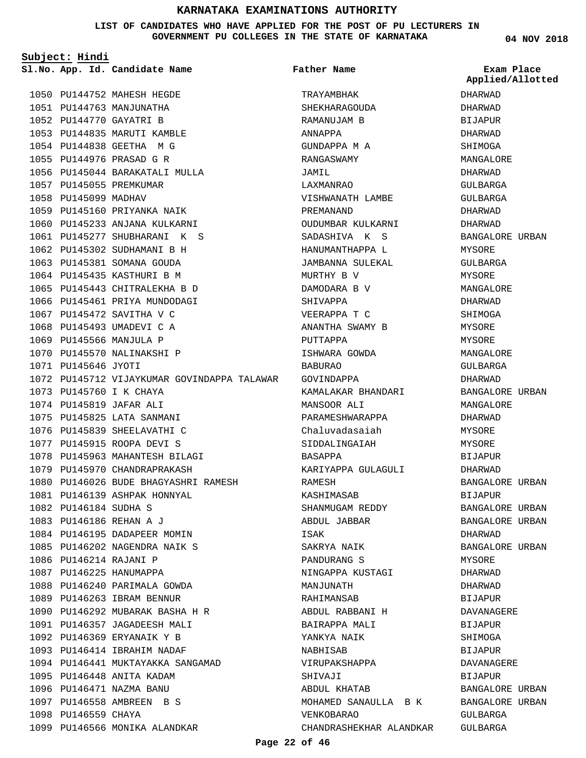#### **LIST OF CANDIDATES WHO HAVE APPLIED FOR THE POST OF PU LECTURERS IN GOVERNMENT PU COLLEGES IN THE STATE OF KARNATAKA**

**Subject: Hindi**

1050 PU144752 MAHESH HEGDE 1051 PU144763 MANJUNATHA PU144770 GAYATRI B 1052 1053 PU144835 MARUTI KAMBLE PU144838 GEETHA M G 1054 1055 PU144976 PRASAD G R 1056 PU145044 BARAKATALI MULLA 1057 PU145055 PREMKUMAR 1058 PU145099 MADHAV 1059 PU145160 PRIYANKA NAIK 1060 PU145233 ANJANA KULKARNI 1061 PU145277 SHUBHARANI K S 1062 PU145302 SUDHAMANI B H 1063 PU145381 SOMANA GOUDA 1064 PU145435 KASTHURI B M 1065 PU145443 CHITRALEKHA B D 1066 PU145461 PRIYA MUNDODAGI 1067 PU145472 SAVITHA V C 1068 PU145493 UMADEVI C A 1069 PU145566 MANJULA P 1070 PU145570 NALINAKSHI P 1071 PU145646 JYOTI 1072 PU145712 VIJAYKUMAR GOVINDAPPA TALAWAR 1073 PU145760 I K CHAYA PU145819 JAFAR ALI 1074 1075 PU145825 LATA SANMANI 1076 PU145839 SHEELAVATHI C 1077 PU145915 ROOPA DEVI S 1078 PU145963 MAHANTESH BILAGI 1079 PU145970 CHANDRAPRAKASH 1080 PU146026 BUDE BHAGYASHRI RAMESH 1081 PU146139 ASHPAK HONNYAL 1082 PU146184 SUDHA S PU146186 REHAN A J 1083 1084 PU146195 DADAPEER MOMIN 1085 PU146202 NAGENDRA NAIK S 1086 PU146214 RAJANI P 1087 PU146225 HANUMAPPA 1088 PU146240 PARIMALA GOWDA 1089 PU146263 IBRAM BENNUR PU146292 MUBARAK BASHA H R 1090 1091 PU146357 JAGADEESH MALI 1092 PU146369 ERYANAIK Y B 1093 PU146414 IBRAHIM NADAF 1094 PU146441 MUKTAYAKKA SANGAMAD 1095 PU146448 ANITA KADAM 1096 PU146471 NAZMA BANU 1097 PU146558 AMBREEN B S 1098 PU146559 CHAYA 1099 PU146566 MONIKA ALANDKAR

**App. Id. Candidate Name Sl.No. Exam Place** TRAYAMBHAK **SHEKHARAGOUDA** RAMANUJAM B ANNAPPA GUNDAPPA M A RANGASWAMY JAMIL LAXMANRAO VISHWANATH LAMBE PREMANAND OUDUMBAR KULKARNI SADASHIVA K S HANUMANTHAPPA L JAMBANNA SULEKAL MURTHY B V DAMODARA B V SHIVAPPA VEERAPPA T C ANANTHA SWAMY B PUTTAPPA ISHWARA GOWDA BABURAO GOVINDAPPA KAMALAKAR BHANDARI MANSOOR ALI PARAMESHWARAPPA Chaluvadasaiah SIDDALINGAIAH BASAPPA KARIYAPPA GULAGULI RAMESH KASHIMASAB SHANMUGAM REDDY ABDUL JABBAR ISAK SAKRYA NAIK PANDURANG S NINGAPPA KUSTAGI MANJUNATH RAHIMANSAB ABDUL RABBANI H BAIRAPPA MALI YANKYA NAIK NABHISAB VIRUPAKSHAPPA SHIVAJI ABDUL KHATAB MOHAMED SANAULLA B K VENKOBARAO CHANDRASHEKHAR ALANDKAR **Father Name**

**04 NOV 2018**

DHARWAD DHARWAD BIJAPUR DHARWAD SHIMOGA MANGALORE DHARWAD GULBARGA GULBARGA DHARWAD DHARWAD BANGALORE URBAN MYSORE GULBARGA MYSORE MANGALORE DHARWAD **SHIMOGA** MYSORE. MYSORE MANGALORE GULBARGA DHARWAD BANGALORE URBAN MANGALORE DHARWAD **MYSORE** MYSORE BIJAPUR DHARWAD BANGALORE URBAN BIJAPUR BANGALORE URBAN BANGALORE URBAN DHARWAD BANGALORE URBAN MYSORE DHARWAD DHARWAD BIJAPUR DAVANAGERE BIJAPUR SHIMOGA **BIJAPUR** DAVANAGERE BIJAPUR BANGALORE URBAN BANGALORE URBAN GULBARGA GULBARGA **Applied/Allotted**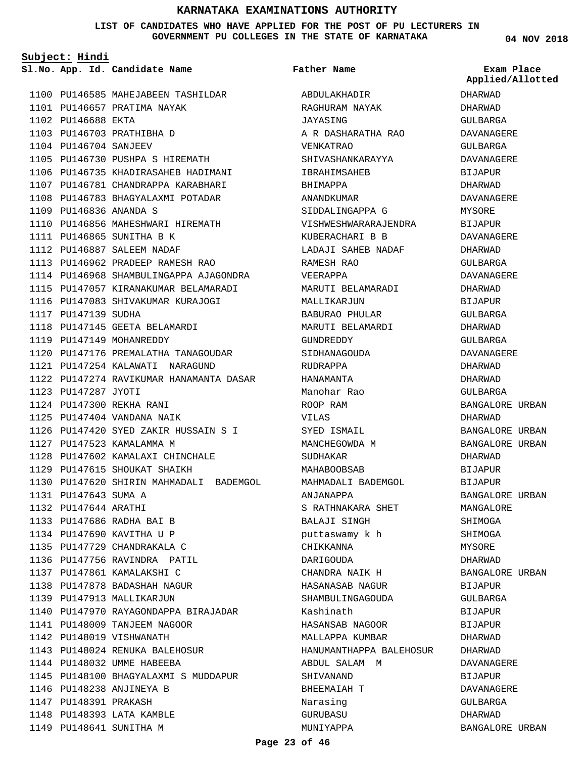#### **LIST OF CANDIDATES WHO HAVE APPLIED FOR THE POST OF PU LECTURERS IN GOVERNMENT PU COLLEGES IN THE STATE OF KARNATAKA**

ABDULAKHADIR

**Father Name**

**Subject: Hindi**

**App. Id. Candidate Name Sl.No. Exam Place**

1100 PU146585 MAHEJABEEN TASHILDAR 1101 PU146657 PRATIMA NAYAK 1102 PU146688 EKTA 1103 PU146703 PRATHIBHA D 1104 PU146704 SANJEEV 1105 PU146730 PUSHPA S HIREMATH 1106 PU146735 KHADIRASAHEB HADIMANI 1107 PU146781 CHANDRAPPA KARABHARI 1108 PU146783 BHAGYALAXMI POTADAR PU146836 ANANDA S 1109 1110 PU146856 MAHESHWARI HIREMATH 1111 PU146865 SUNITHA B K 1112 PU146887 SALEEM NADAF PU146962 PRADEEP RAMESH RAO 1113 1114 PU146968 SHAMBULINGAPPA AJAGONDRA 1115 PU147057 KIRANAKUMAR BELAMARADI 1116 PU147083 SHIVAKUMAR KURAJOGI 1117 PU147139 SUDHA 1118 PU147145 GEETA BELAMARDI 1119 PU147149 MOHANREDDY 1120 PU147176 PREMALATHA TANAGOUDAR PU147254 KALAWATI NARAGUND 1121 1122 PU147274 RAVIKUMAR HANAMANTA DASAR 1123 PU147287 JYOTI PU147300 REKHA RANI 1124 PU147404 VANDANA NAIK 1125 PU147420 SYED ZAKIR HUSSAIN S I 1126 1127 PU147523 KAMALAMMA M 1128 PU147602 KAMALAXI CHINCHALE 1129 PU147615 SHOUKAT SHAIKH 1130 PU147620 SHIRIN MAHMADALI BADEMGOL 1131 PU147643 SUMA A 1132 PU147644 ARATHI 1133 PU147686 RADHA BAI B 1134 PU147690 KAVITHA U P 1135 PU147729 CHANDRAKALA C 1136 PU147756 RAVINDRA PATIL 1137 PU147861 KAMALAKSHI C 1138 PU147878 BADASHAH NAGUR 1139 PU147913 MALLIKARJUN 1140 PU147970 RAYAGONDAPPA BIRAJADAR 1141 PU148009 TANJEEM NAGOOR 1142 PU148019 VISHWANATH PU148024 RENUKA BALEHOSUR 1143 1144 PU148032 UMME HABEEBA 1145 PU148100 BHAGYALAXMI S MUDDAPUR 1146 PU148238 ANJINEYA B 1147 PU148391 PRAKASH 1148 PU148393 LATA KAMBLE 1149 PU148641 SUNITHA M

RAGHURAM NAYAK JAYASING A R DASHARATHA RAO VENKATRAO SHIVASHANKARAYYA IBRAHIMSAHEB BHIMAPPA ANANDKUMAR SIDDALINGAPPA G VISHWESHWARARAJENDRA KUBERACHARI B B LADAJI SAHEB NADAF RAMESH RAO VEERAPPA MARUTI BELAMARADI MALLIKARJUN BABURAO PHULAR MARUTI BELAMARDI GUNDREDDY SIDHANAGOUDA RUDRAPPA HANAMANTA Manohar Rao ROOP RAM VILAS SYED ISMAIL MANCHEGOWDA M SUDHAKAR MAHABOOBSAB MAHMADALI BADEMGOL ANJANAPPA S RATHNAKARA SHET BALAJI SINGH puttaswamy k h CHIKKANNA DARIGOUDA CHANDRA NAIK H HASANASAB NAGUR SHAMBULINGAGOUDA Kashinath HASANSAB NAGOOR MALLAPPA KUMBAR HANUMANTHAPPA BALEHOSUR ABDUL SALAM M SHIVANAND BHEEMAIAH T Narasing GURUBASU MUNIYAPPA

**04 NOV 2018**

DHARWAD DHARWAD GIILBARGA DAVANAGERE GULBARGA DAVANAGERE BIJAPUR DHARWAD DAVANAGERE MYSORE BIJAPUR DAVANAGERE DHARWAD GULBARGA DAVANAGERE DHARWAD BIJAPUR GULBARGA DHARWAD GULBARGA DAVANAGERE DHARWAD DHARWAD GULBARGA BANGALORE URBAN DHARWAD BANGALORE URBAN BANGALORE URBAN DHARWAD BIJAPUR BIJAPUR BANGALORE URBAN MANGALORE SHIMOGA SHIMOGA MYSORE DHARWAD BANGALORE URBAN BIJAPUR GULBARGA BIJAPUR BIJAPUR DHARWAD DHARWAD DAVANAGERE BIJAPUR DAVANAGERE GULBARGA DHARWAD BANGALORE URBAN **Applied/Allotted**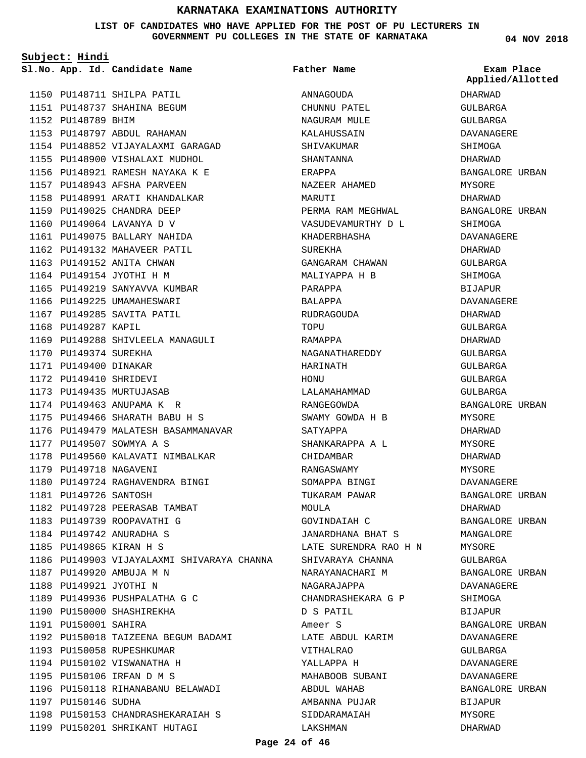#### **LIST OF CANDIDATES WHO HAVE APPLIED FOR THE POST OF PU LECTURERS IN GOVERNMENT PU COLLEGES IN THE STATE OF KARNATAKA**

**Subject: Hindi**

1150 PU148711 SHILPA PATIL 1151 PU148737 SHAHINA BEGUM 1152 PU148789 BHIM 1153 PU148797 ABDUL RAHAMAN 1154 PU148852 VIJAYALAXMI GARAGAD 1155 PU148900 VISHALAXI MUDHOL PU148921 RAMESH NAYAKA K E 1156 1157 PU148943 AFSHA PARVEEN 1158 PU148991 ARATI KHANDALKAR 1159 PU149025 CHANDRA DEEP 1160 PU149064 LAVANYA D V 1161 PU149075 BALLARY NAHIDA 1162 PU149132 MAHAVEER PATIL 1163 PU149152 ANITA CHWAN 1164 PU149154 JYOTHI H M 1165 PU149219 SANYAVVA KUMBAR 1166 PU149225 UMAMAHESWARI 1167 PU149285 SAVITA PATIL 1168 PU149287 KAPIL 1169 PU149288 SHIVLEELA MANAGULI 1170 PU149374 SUREKHA 1171 PU149400 DINAKAR 1172 PU149410 SHRIDEVI 1173 PU149435 MURTUJASAB 1174 PU149463 ANUPAMA K R PU149466 SHARATH BABU H S 1175 1176 PU149479 MALATESH BASAMMANAVAR 1177 PU149507 SOWMYA A S 1178 PU149560 KALAVATI NIMBALKAR 1179 PU149718 NAGAVENI PU149724 RAGHAVENDRA BINGI 1180 1181 PU149726 SANTOSH 1182 PU149728 PEERASAB TAMBAT 1183 PU149739 ROOPAVATHI G 1184 PU149742 ANURADHA S PU149865 KIRAN H S 1185 1186 PU149903 VIJAYALAXMI SHIVARAYA CHANNA PU149920 AMBUJA M N 1187 1188 PU149921 JYOTHI N 1189 PU149936 PUSHPALATHA G C 1190 PU150000 SHASHIREKHA 1191 PU150001 SAHIRA 1192 PU150018 TAIZEENA BEGUM BADAMI 1193 PU150058 RUPESHKUMAR 1194 PU150102 VISWANATHA H PU150106 IRFAN D M S 1195 1196 PU150118 RIHANABANU BELAWADI 1197 PU150146 SUDHA 1198 PU150153 CHANDRASHEKARAIAH S **App. Id. Candidate Name Sl.No. Exam Place**

1199 PU150201 SHRIKANT HUTAGI

ANNAGOUDA CHUNNU PATEL NAGURAM MULE KALAHUSSAIN SHIVAKUMAR SHANTANNA ERAPPA NAZEER AHAMED MARITTI PERMA RAM MEGHWAL VASUDEVAMURTHY D L KHADERBHASHA SUREKHA GANGARAM CHAWAN MALIYAPPA H B PARAPPA BALAPPA RUDRAGOUDA TOPUT RAMAPPA NAGANATHAREDDY HARINATH HONU LALAMAHAMMAD RANGEGOWDA SWAMY GOWDA H B SATYAPPA SHANKARAPPA A L CHIDAMBAR RANGASWAMY SOMAPPA BINGI TUKARAM PAWAR MOULA GOVINDAIAH C JANARDHANA BHAT S LATE SURENDRA RAO H N SHIVARAYA CHANNA NARAYANACHARI M NAGARAJAPPA CHANDRASHEKARA G P D S PATIL Ameer S LATE ABDUL KARIM VITHALRAO YALLAPPA H MAHABOOB SUBANI ABDUL WAHAB AMBANNA PUJAR SIDDARAMAIAH LAKSHMAN **Father Name**

**04 NOV 2018**

**Applied/Allotted**

DHARWAD GULBARGA GULBARGA DAVANAGERE SHIMOGA DHARWAD BANGALORE URBAN MYSORE DHARWAD BANGALORE URBAN SHIMOGA DAVANAGERE DHARWAD GULBARGA SHIMOGA BIJAPUR DAVANAGERE DHARWAD GULBARGA DHARWAD GULBARGA GULBARGA GULBARGA GULBARGA BANGALORE URBAN MYSORE DHARWAD MYSORE DHARWAD MYSORE DAVANAGERE BANGALORE URBAN DHARWAD BANGALORE URBAN MANGALORE MYSORE GULBARGA BANGALORE URBAN DAVANAGERE SHIMOGA BIJAPUR BANGALORE URBAN DAVANAGERE GULBARGA DAVANAGERE DAVANAGERE BANGALORE URBAN BIJAPUR MYSORE

DHARWAD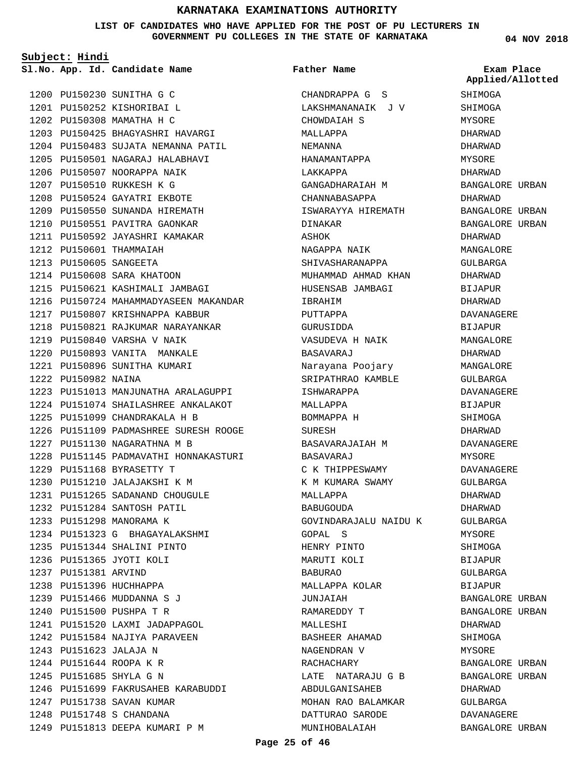**LIST OF CANDIDATES WHO HAVE APPLIED FOR THE POST OF PU LECTURERS IN GOVERNMENT PU COLLEGES IN THE STATE OF KARNATAKA**

CHANDRAPPA G S

**Father Name**

**Subject: Hindi**

1200 PU150230 SUNITHA G C 1201 PU150252 KISHORIBAI L 1202 PU150308 MAMATHA H C PU150425 BHAGYASHRI HAVARGI 1203 1204 PU150483 SUJATA NEMANNA PATIL PU150501 NAGARAJ HALABHAVI 1205 1206 PU150507 NOORAPPA NAIK PU150510 RUKKESH K G 1207 1208 PU150524 GAYATRI EKBOTE 1209 PU150550 SUNANDA HIREMATH 1210 PU150551 PAVITRA GAONKAR 1211 PU150592 JAYASHRI KAMAKAR 1212 PU150601 THAMMAIAH PU150605 SANGEETA 1213 1214 PU150608 SARA KHATOON PU150621 KASHIMALI JAMBAGI 1215 1216 PU150724 MAHAMMADYASEEN MAKANDAR 1217 PU150807 KRISHNAPPA KABBUR 1218 PU150821 RAJKUMAR NARAYANKAR PU150840 VARSHA V NAIK 1219 1220 PU150893 VANITA MANKALE 1221 PU150896 SUNITHA KUMARI 1222 PU150982 NAINA 1223 PU151013 MANJUNATHA ARALAGUPPI PU151074 SHAILASHREE ANKALAKOT 1224 PU151099 CHANDRAKALA H B 1225 1226 PU151109 PADMASHREE SURESH ROOGE 1227 PU151130 NAGARATHNA M B 1228 PU151145 PADMAVATHI HONNAKASTURI PU151168 BYRASETTY T 1229 1230 PU151210 JALAJAKSHI K M PU151265 SADANAND CHOUGULE 1231 PU151284 SANTOSH PATIL 1232 1233 PU151298 MANORAMA K PU151323 G BHAGAYALAKSHMI 1234 PU151344 SHALINI PINTO 1235 1236 PU151365 JYOTI KOLI 1237 PU151381 ARVIND 1238 PU151396 HUCHHAPPA PU151466 MUDDANNA S J 1239 1240 PU151500 PUSHPA T R 1241 PU151520 LAXMI JADAPPAGOL 1242 PU151584 NAJIYA PARAVEEN PU151623 JALAJA N 1243 PU151644 ROOPA K R 1244 PU151685 SHYLA G N 1245 PU151699 FAKRUSAHEB KARABUDDI 1246 1247 PU151738 SAVAN KUMAR PU151748 S CHANDANA 1248 PU151813 DEEPA KUMARI P M 1249

# LAKSHMANANAIK J V CHOWDAIAH S MALLAPPA NEMANNA HANAMANTAPPA LAKKAPPA GANGADHARAIAH M CHANNABASAPPA ISWARAYYA HIREMATH DINAKAR ASHOK NAGAPPA NAIK SHIVASHARANAPPA MUHAMMAD AHMAD KHAN HUSENSAB JAMBAGI IBRAHIM PUTTAPPA GURUSIDDA VASUDEVA H NAIK BASAVARAJ Narayana Poojary SRIPATHRAO KAMBLE ISHWARAPPA MALLAPPA BOMMAPPA H SURESH BASAVARAJAIAH M BASAVARAJ C K THIPPESWAMY K M KUMARA SWAMY MALLAPPA BABUGOUDA GOVINDARAJALU NAIDU K GOPAL S HENRY PINTO MARUTI KOLI BABURAO MALLAPPA KOLAR JUNJAIAH RAMAREDDY T MALLESHI BASHEER AHAMAD NAGENDRAN V RACHACHARY LATE NATARAJU G B ABDULGANISAHEB MOHAN RAO BALAMKAR DATTURAO SARODE

**04 NOV 2018**

**App. Id. Candidate Name Sl.No. Exam Place SHIMOGA** SHIMOGA MYSORE DHARWAD DHARWAD MYSORE DHARWAD BANGALORE URBAN DHARWAD BANGALORE URBAN BANGALORE URBAN DHARWAD MANGALORE GULBARGA DHARWAD BIJAPUR DHARWAD DAVANAGERE BIJAPUR MANGALORE DHARWAD MANGALORE GULBARGA DAVANAGERE BIJAPUR SHIMOGA DHARWAD DAVANAGERE MYSORE DAVANAGERE GULBARGA DHARWAD DHARWAD GULBARGA MYSORE **SHIMOGA** BIJAPUR GULBARGA BIJAPUR BANGALORE URBAN BANGALORE URBAN DHARWAD SHIMOGA **MYSORE** BANGALORE URBAN BANGALORE URBAN DHARWAD GULBARGA DAVANAGERE **Applied/Allotted**

BANGALORE URBAN

MUNIHOBALAIAH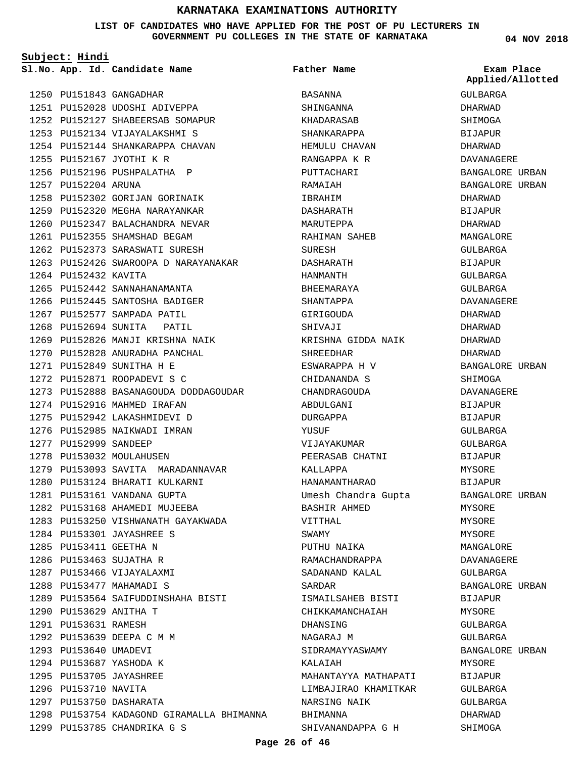#### **LIST OF CANDIDATES WHO HAVE APPLIED FOR THE POST OF PU LECTURERS IN GOVERNMENT PU COLLEGES IN THE STATE OF KARNATAKA**

**Subject: Hindi**

|                        | Sl.No. App. Id. Candidate Name            | Father Name          | Exam Place        |
|------------------------|-------------------------------------------|----------------------|-------------------|
|                        |                                           |                      | Applied/Allotted  |
|                        | 1250 PU151843 GANGADHAR                   | BASANNA              | GULBARGA          |
|                        | 1251 PU152028 UDOSHI ADIVEPPA             | SHINGANNA            | DHARWAD           |
|                        | 1252 PU152127 SHABEERSAB SOMAPUR          | KHADARASAB           | SHIMOGA           |
|                        | 1253 PU152134 VIJAYALAKSHMI S             | SHANKARAPPA          | <b>BIJAPUR</b>    |
|                        | 1254 PU152144 SHANKARAPPA CHAVAN          | HEMULU CHAVAN        | DHARWAD           |
|                        | 1255 PU152167 JYOTHI K R                  | RANGAPPA K R         | DAVANAGERE        |
|                        | 1256 PU152196 PUSHPALATHA P               | PUTTACHARI           | BANGALORE URBAN   |
| 1257 PU152204 ARUNA    |                                           | RAMAIAH              | BANGALORE URBAN   |
|                        | 1258 PU152302 GORIJAN GORINAIK            | IBRAHIM              | DHARWAD           |
|                        | 1259 PU152320 MEGHA NARAYANKAR            | DASHARATH            | BIJAPUR           |
|                        | 1260 PU152347 BALACHANDRA NEVAR           | MARUTEPPA            | DHARWAD           |
|                        | 1261 PU152355 SHAMSHAD BEGAM              | RAHIMAN SAHEB        | MANGALORE         |
|                        | 1262 PU152373 SARASWATI SURESH            | SURESH               | GULBARGA          |
|                        | 1263 PU152426 SWAROOPA D NARAYANAKAR      | DASHARATH            | BIJAPUR           |
| 1264 PU152432 KAVITA   |                                           | HANMANTH             | GULBARGA          |
|                        | 1265 PU152442 SANNAHANAMANTA              | BHEEMARAYA           | GULBARGA          |
|                        | 1266 PU152445 SANTOSHA BADIGER            | SHANTAPPA            | <b>DAVANAGERE</b> |
|                        | 1267 PU152577 SAMPADA PATIL               | GIRIGOUDA            | DHARWAD           |
|                        | 1268 PU152694 SUNITA PATIL                | SHIVAJI              | DHARWAD           |
|                        | 1269 PU152826 MANJI KRISHNA NAIK          | KRISHNA GIDDA NAIK   | DHARWAD           |
|                        | 1270 PU152828 ANURADHA PANCHAL            | SHREEDHAR            | DHARWAD           |
|                        | 1271 PU152849 SUNITHA H E                 | ESWARAPPA H V        | BANGALORE URBAN   |
|                        | 1272 PU152871 ROOPADEVI S C               | CHIDANANDA S         | SHIMOGA           |
|                        | 1273 PU152888 BASANAGOUDA DODDAGOUDAR     | CHANDRAGOUDA         | DAVANAGERE        |
|                        | 1274 PU152916 MAHMED IRAFAN               | ABDULGANI            | BIJAPUR           |
|                        | 1275 PU152942 LAKASHMIDEVI D              | DURGAPPA             | BIJAPUR           |
|                        | 1276 PU152985 NAIKWADI IMRAN              | YUSUF                | GULBARGA          |
| 1277 PU152999 SANDEEP  |                                           | VIJAYAKUMAR          | GULBARGA          |
|                        | 1278 PU153032 MOULAHUSEN                  | PEERASAB CHATNI      | <b>BIJAPUR</b>    |
|                        | 1279 PU153093 SAVITA MARADANNAVAR         | KALLAPPA             | MYSORE            |
|                        | 1280 PU153124 BHARATI KULKARNI            | HANAMANTHARAO        | BIJAPUR           |
|                        | 1281 PU153161 VANDANA GUPTA               |                      | BANGALORE URBAN   |
|                        | 1282 PU153168 AHAMEDI MUJEEBA             | Umesh Chandra Gupta  |                   |
|                        | 1283 PU153250 VISHWANATH GAYAKWADA        | BASHIR AHMED         | MYSORE<br>MYSORE  |
|                        | 1284 PU153301 JAYASHREE S                 | VITTHAL              |                   |
|                        |                                           | SWAMY                | MYSORE            |
| 1285 PU153411 GEETHA N |                                           | PUTHU NAIKA          | MANGALORE         |
|                        | 1286 PU153463 SUJATHA R                   | RAMACHANDRAPPA       | DAVANAGERE        |
|                        | 1287 PU153466 VIJAYALAXMI                 | SADANAND KALAL       | GULBARGA          |
|                        | 1288 PU153477 MAHAMADI S                  | SARDAR               | BANGALORE URBAN   |
|                        | 1289 PU153564 SAIFUDDINSHAHA BISTI        | ISMAILSAHEB BISTI    | BIJAPUR           |
| 1290 PU153629 ANITHA T |                                           | CHIKKAMANCHAIAH      | MYSORE            |
| 1291 PU153631 RAMESH   |                                           | DHANSING             | GULBARGA          |
|                        | 1292 PU153639 DEEPA C M M                 | NAGARAJ M            | GULBARGA          |
| 1293 PU153640 UMADEVI  |                                           | SIDRAMAYYASWAMY      | BANGALORE URBAN   |
|                        | 1294 PU153687 YASHODA K                   | KALAIAH              | MYSORE            |
|                        | 1295 PU153705 JAYASHREE                   | MAHANTAYYA MATHAPATI | BIJAPUR           |
| 1296 PU153710 NAVITA   |                                           | LIMBAJIRAO KHAMITKAR | GULBARGA          |
|                        | 1297 PU153750 DASHARATA                   | NARSING NAIK         | GULBARGA          |
|                        | 1298 PU153754 KADAGOND GIRAMALLA BHIMANNA | BHIMANNA             | DHARWAD           |
|                        | 1299 PU153785 CHANDRIKA G S               | SHIVANANDAPPA G H    | SHIMOGA           |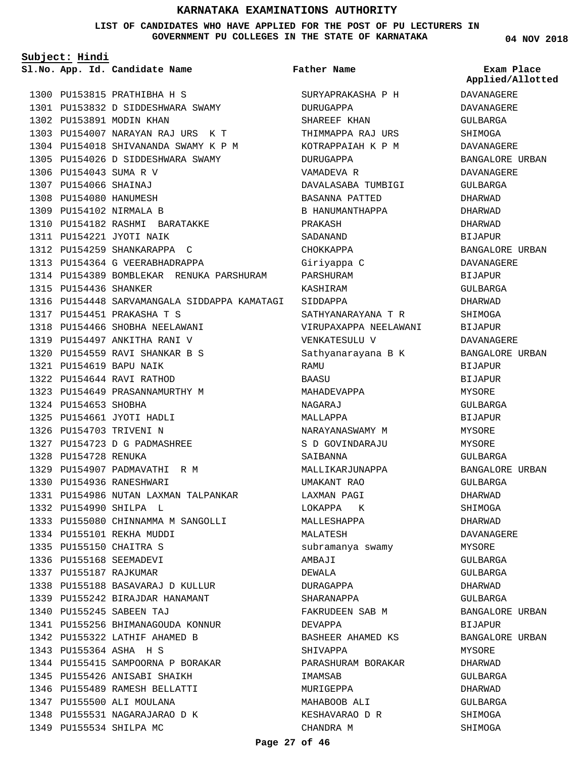**LIST OF CANDIDATES WHO HAVE APPLIED FOR THE POST OF PU LECTURERS IN GOVERNMENT PU COLLEGES IN THE STATE OF KARNATAKA**

**Subject: Hindi**

**App. Id. Candidate Name Sl.No. Exam Place**

1300 PU153815 PRATHIBHA H S PU153832 D SIDDESHWARA SWAMY 1301 1302 PU153891 MODIN KHAN PU154007 NARAYAN RAJ URS K T 1303 1304 PU154018 SHIVANANDA SWAMY K P M 1305 PU154026 D SIDDESHWARA SWAMY 1306 PU154043 SUMA R V PU154066 SHAINAJ 1307 1308 PU154080 HANUMESH 1309 PU154102 NIRMALA B 1310 PU154182 RASHMI BARATAKKE 1311 PU154221 JYOTI NAIK 1312 PU154259 SHANKARAPPA C 1313 PU154364 G VEERABHADRAPPA 1314 PU154389 BOMBLEKAR RENUKA PARSHURAM 1315 PU154436 SHANKER PU154448 SARVAMANGALA SIDDAPPA KAMATAGI SIDDAPPA 1316 1317 PU154451 PRAKASHA T S 1318 PU154466 SHOBHA NEELAWANI 1319 PU154497 ANKITHA RANI V PU154559 RAVI SHANKAR B S 1320 PU154619 BAPU NAIK 1321 PU154644 RAVI RATHOD 1322 1323 PU154649 PRASANNAMURTHY M 1324 PU154653 SHOBHA PU154661 JYOTI HADLI 1325 1326 PU154703 TRIVENI N 1327 PU154723 D G PADMASHREE 1328 PU154728 RENUKA 1329 PU154907 PADMAVATHI R M PU154936 RANESHWARI 1330 1331 PU154986 NUTAN LAXMAN TALPANKAR PU154990 SHILPA L 1332 1333 PU155080 CHINNAMMA M SANGOLLI PU155101 REKHA MUDDI 1334 PU155150 CHAITRA S 1335 1336 PU155168 SEEMADEVI 1337 PU155187 RAJKUMAR PU155188 BASAVARAJ D KULLUR 1338 PU155242 BIRAJDAR HANAMANT 1339 PU155245 SABEEN TAJ 1340 1341 PU155256 BHIMANAGOUDA KONNUR 1342 PU155322 LATHIF AHAMED B PU155364 ASHA H S 1343 1344 PU155415 SAMPOORNA P BORAKAR 1345 PU155426 ANISABI SHAIKH 1346 PU155489 RAMESH BELLATTI 1347 PU155500 ALI MOULANA 1348 PU155531 NAGARAJARAO D K 1349 PU155534 SHILPA MC

# **Father Name**

SURYAPRAKASHA P H DURUGAPPA SHAREEF KHAN THIMMAPPA RAJ URS KOTRAPPAIAH K P M DURUGAPPA VAMADEVA R DAVALASABA TUMBIGI BASANNA PATTED B HANUMANTHAPPA PRAKASH SADANAND CHOKKAPPA Giriyappa C PARSHURAM KASHIRAM SATHYANARAYANA T R VIRUPAXAPPA NEELAWANI VENKATESULU V Sathyanarayana B K RAMU BAASU MAHADEVAPPA NAGARAJ MALLAPPA NARAYANASWAMY M S D GOVINDARAJU SAIBANNA MALLIKARJUNAPPA UMAKANT RAO LAXMAN PAGI LOKAPPA K MALLESHAPPA MALATESH subramanya swamy AMBAJI DEWALA DURAGAPPA SHARANAPPA FAKRUDEEN SAB M DEVAPPA BASHEER AHAMED KS SHIVAPPA PARASHURAM BORAKAR IMAMSAB MURIGEPPA MAHABOOB ALI KESHAVARAO D R CHANDRA M

**04 NOV 2018**

**Applied/Allotted**

DAVANAGERE DAVANAGERE GULBARGA SHIMOGA DAVANAGERE BANGALORE URBAN DAVANAGERE GULBARGA DHARWAD DHARWAD DHARWAD BIJAPUR BANGALORE URBAN DAVANAGERE BIJAPUR GULBARGA DHARWAD **SHIMOGA** BIJAPUR DAVANAGERE BANGALORE URBAN BIJAPUR BIJAPUR MYSORE GULBARGA BIJAPUR **MYSORE** MYSORE GULBARGA BANGALORE URBAN GULBARGA DHARWAD SHIMOGA DHARWAD DAVANAGERE MYSORE GULBARGA GULBARGA DHARWAD GULBARGA BANGALORE URBAN BIJAPUR BANGALORE URBAN MYSORE DHARWAD GULBARGA DHARWAD GULBARGA SHIMOGA

SHIMOGA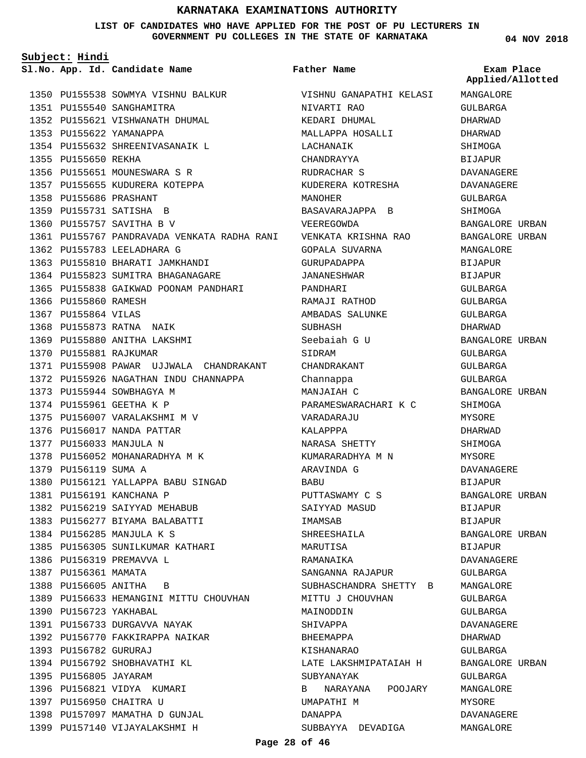**LIST OF CANDIDATES WHO HAVE APPLIED FOR THE POST OF PU LECTURERS IN GOVERNMENT PU COLLEGES IN THE STATE OF KARNATAKA**

**Subject: Hindi**

**App. Id. Candidate Name Sl.No. Exam Place**

1350 PU155538 SOWMYA VISHNU BALKUR 1351 PU155540 SANGHAMITRA 1352 PU155621 VISHWANATH DHUMAL 1353 PU155622 YAMANAPPA 1354 PU155632 SHREENIVASANAIK L 1355 PU155650 REKHA 1356 PU155651 MOUNESWARA S R 1357 PU155655 KUDURERA KOTEPPA PU155686 PRASHANT 1358 1359 PU155731 SATISHA B 1360 PU155757 SAVITHA B V 1361 PU155767 PANDRAVADA VENKATA RADHA RANI 1362 PU155783 LEELADHARA G 1363 PU155810 BHARATI JAMKHANDI 1364 PU155823 SUMITRA BHAGANAGARE 1365 PU155838 GAIKWAD POONAM PANDHARI 1366 PU155860 RAMESH 1367 PU155864 VILAS 1368 PU155873 RATNA NAIK 1369 PU155880 ANITHA LAKSHMI 1370 PU155881 RAJKUMAR 1371 PU155908 PAWAR UJJWALA CHANDRAKANT 1372 PU155926 NAGATHAN INDU CHANNAPPA 1373 PU155944 SOWBHAGYA M 1374 PU155961 GEETHA K P 1375 PU156007 VARALAKSHMI M V 1376 PU156017 NANDA PATTAR 1377 PU156033 MANJULA N 1378 PU156052 MOHANARADHYA M K 1379 PU156119 SUMA A 1380 PU156121 YALLAPPA BABU SINGAD 1381 PU156191 KANCHANA P 1382 PU156219 SAIYYAD MEHABUB 1383 PU156277 BIYAMA BALABATTI PU156285 MANJULA K S 1384 1385 PU156305 SUNILKUMAR KATHARI 1386 PU156319 PREMAVVA L 1387 PU156361 MAMATA 1388 PU156605 ANITHA B 1389 PU156633 HEMANGINI MITTU CHOUVHAN 1390 PU156723 YAKHABAL 1391 PU156733 DURGAVVA NAYAK 1392 PU156770 FAKKIRAPPA NAIKAR 1393 PU156782 GURURAJ 1394 PU156792 SHOBHAVATHI KL 1395 PU156805 JAYARAM 1396 PU156821 VIDYA KUMARI 1397 PU156950 CHAITRA U 1398 PU157097 MAMATHA D GUNJAL 1399 PU157140 VIJAYALAKSHMI H

VISHNU GANAPATHI KELASI NIVARTI RAO KEDARI DHUMAL MALLAPPA HOSALLI LACHANAIK CHANDRAYYA RUDRACHAR S KUDERERA KOTRESHA MANOHER BASAVARAJAPPA B VEEREGOWDA VENKATA KRISHNA RAO GOPALA SUVARNA GURUPADAPPA JANANESHWAR PANDHARI RAMAJI RATHOD AMBADAS SALUNKE SUBHASH Seebaiah G U SIDRAM CHANDRAKANT Channappa MANJAIAH C PARAMESWARACHARI K C VARADARAJU KALAPPPA NARASA SHETTY KUMARARADHYA M N ARAVINDA G BABU PUTTASWAMY C S SAIYYAD MASUD IMAMSAB SHREESHAILA MARUTISA RAMANAIKA SANGANNA RAJAPUR SUBHASCHANDRA SHETTY B MITTU J CHOUVHAN MAINODDIN SHIVAPPA BHEEMAPPA KISHANARAO LATE LAKSHMIPATAIAH H SURYANAYAK B NARAYANA POOJARY UMAPATHI M DANAPPA SUBBAYYA DEVADIGA **Father Name**

**04 NOV 2018**

**Applied/Allotted**

MANGALORE

GULBARGA DHARWAD DHARWAD SHIMOGA BIJAPUR DAVANAGERE DAVANAGERE GULBARGA SHIMOGA BANGALORE URBAN BANGALORE URBAN MANGALORE BIJAPUR BIJAPUR GULBARGA GULBARGA GULBARGA DHARWAD BANGALORE URBAN GULBARGA GULBARGA GULBARGA BANGALORE URBAN SHIMOGA MYSORE DHARWAD SHIMOGA MYSORE DAVANAGERE BIJAPUR BANGALORE URBAN BIJAPUR BIJAPUR BANGALORE URBAN BIJAPUR DAVANAGERE GULBARGA MANGALORE GULBARGA GULBARGA DAVANAGERE DHARWAD GULBARGA BANGALORE URBAN GULBARGA MANGALORE MYSORE DAVANAGERE MANGALORE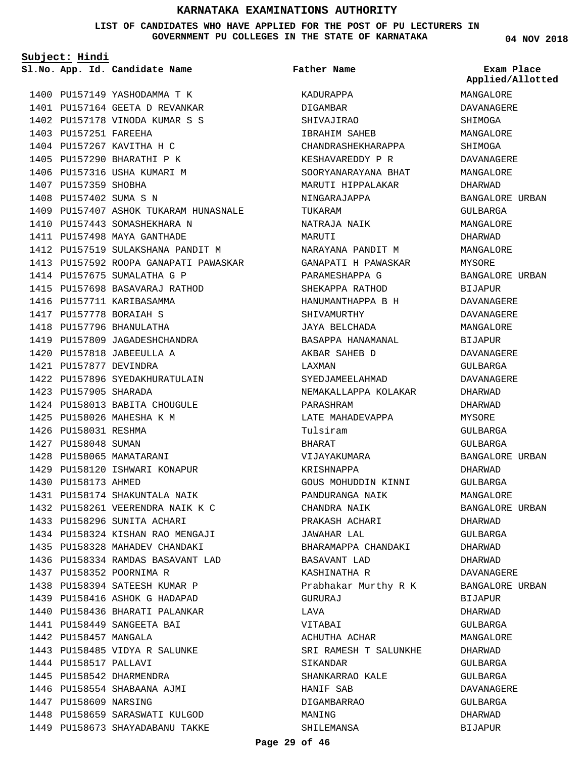**LIST OF CANDIDATES WHO HAVE APPLIED FOR THE POST OF PU LECTURERS IN GOVERNMENT PU COLLEGES IN THE STATE OF KARNATAKA**

**Subject: Hindi**

**App. Id. Candidate Name Sl.No. Exam Place**

1400 PU157149 YASHODAMMA T K 1401 PU157164 GEETA D REVANKAR 1402 PU157178 VINODA KUMAR S S 1403 PU157251 FAREEHA 1404 PU157267 KAVITHA H C 1405 PU157290 BHARATHI P K 1406 PU157316 USHA KUMARI M 1407 PU157359 SHOBHA 1408 PU157402 SUMA S N 1409 PU157407 ASHOK TUKARAM HUNASNALE 1410 PU157443 SOMASHEKHARA N 1411 PU157498 MAYA GANTHADE 1412 PU157519 SULAKSHANA PANDIT M 1413 PU157592 ROOPA GANAPATI PAWASKAR 1414 PU157675 SUMALATHA G P 1415 PU157698 BASAVARAJ RATHOD 1416 PU157711 KARIBASAMMA 1417 PU157778 BORAIAH S 1418 PU157796 BHANULATHA 1419 PU157809 JAGADESHCHANDRA PU157818 JABEEULLA A 1420 PU157877 DEVINDRA 1421 1422 PU157896 SYEDAKHURATULAIN 1423 PU157905 SHARADA 1424 PU158013 BABITA CHOUGULE 1425 PU158026 MAHESHA K M 1426 PU158031 RESHMA 1427 PU158048 SUMAN 1428 PU158065 MAMATARANI 1429 PU158120 ISHWARI KONAPUR 1430 PU158173 AHMED 1431 PU158174 SHAKUNTALA NAIK PU158261 VEERENDRA NAIK K C 1432 1433 PU158296 SUNITA ACHARI PU158324 KISHAN RAO MENGAJI 1434 1435 PU158328 MAHADEV CHANDAKI PU158334 RAMDAS BASAVANT LAD 1436 1437 PU158352 POORNIMA R 1438 PU158394 SATEESH KUMAR P 1439 PU158416 ASHOK G HADAPAD 1440 PU158436 BHARATI PALANKAR PU158449 SANGEETA BAI 1441 1442 PU158457 MANGALA 1443 PU158485 VIDYA R SALUNKE 1444 PU158517 PALLAVI 1445 PU158542 DHARMENDRA 1446 PU158554 SHABAANA AJMI 1447 PU158609 NARSING 1448 PU158659 SARASWATI KULGOD 1449 PU158673 SHAYADABANU TAKKE

**Page 29 of 46**

#### **Father Name**

KADURAPPA DIGAMBAR SHIVAJIRAO IBRAHIM SAHEB CHANDRASHEKHARAPPA KESHAVAREDDY P R SOORYANARAYANA BHAT MARUTI HIPPALAKAR NINGARAJAPPA TUKARAM NATRAJA NAIK MARUTI NARAYANA PANDIT M GANAPATI H PAWASKAR PARAMESHAPPA G SHEKAPPA RATHOD HANUMANTHAPPA B H SHIVAMURTHY JAYA BELCHADA BASAPPA HANAMANAL AKBAR SAHEB D LAXMAN SYEDJAMEELAHMAD NEMAKALLAPPA KOLAKAR PARASHRAM LATE MAHADEVAPPA Tulsiram BHARAT VIJAYAKUMARA KRISHNAPPA GOUS MOHUDDIN KINNI PANDURANGA NAIK CHANDRA NAIK PRAKASH ACHARI JAWAHAR LAL BHARAMAPPA CHANDAKI BASAVANT LAD KASHINATHA R Prabhakar Murthy R K GURURAJ LAVA VITABAI ACHUTHA ACHAR SRI RAMESH T SALUNKHE SIKANDAR SHANKARRAO KALE HANIF SAB DIGAMBARRAO MANING SHILEMANSA

**04 NOV 2018**

**Applied/Allotted**

MANGALORE SHIMOGA DAVANAGERE MANGALORE DHARWAD BANGALORE URBAN GULBARGA MANGALORE DHARWAD MANGALORE MYSORE BANGALORE URBAN BIJAPUR DAVANAGERE DAVANAGERE MANGALORE BIJAPUR DAVANAGERE GULBARGA DAVANAGERE DHARWAD DHARWAD MYSORE GULBARGA GULBARGA BANGALORE URBAN DHARWAD GULBARGA MANGALORE BANGALORE URBAN DHARWAD GULBARGA DHARWAD DHARWAD DAVANAGERE BANGALORE URBAN BIJAPUR DHARWAD GULBARGA MANGALORE DHARWAD GULBARGA GULBARGA DAVANAGERE GULBARGA DHARWAD BIJAPUR

# DAVANAGERE SHIMOGA MANGALORE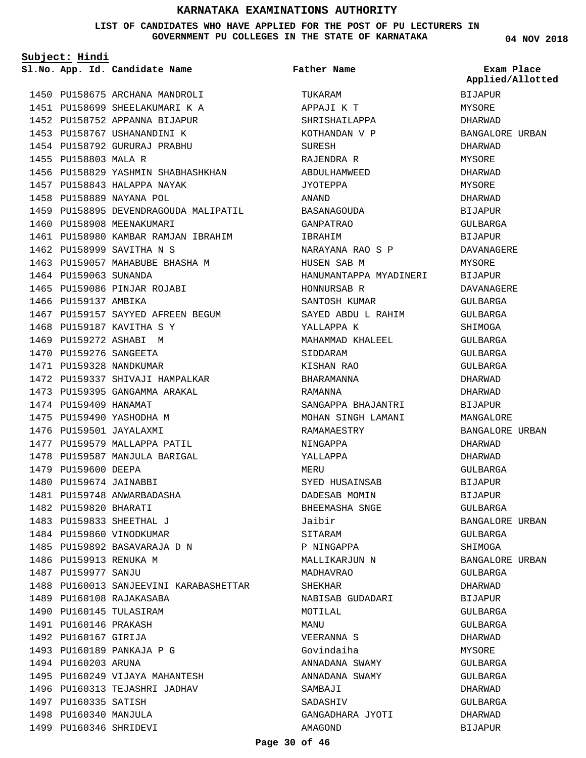#### **LIST OF CANDIDATES WHO HAVE APPLIED FOR THE POST OF PU LECTURERS IN GOVERNMENT PU COLLEGES IN THE STATE OF KARNATAKA**

**Subject: Hindi**

**App. Id. Candidate Name Sl.No. Exam Place**

**Father Name**

TUKARAM APPAJI K T

**04 NOV 2018** BIJAPUR MYSORE DHARWAD BANGALORE URBAN DHARWAD MYSORE DHARWAD MYSORE DHARWAD BIJAPUR GULBARGA BIJAPUR DAVANAGERE MYSORE **BIJAPUR** DAVANAGERE GULBARGA GULBARGA SHIMOGA GULBARGA GULBARGA GULBARGA DHARWAD DHARWAD BIJAPUR MANGALORE BANGALORE URBAN DHARWAD DHARWAD GULBARGA BIJAPUR **Applied/Allotted**

1450 PU158675 ARCHANA MANDROLI 1451 PU158699 SHEELAKUMARI K A 1452 PU158752 APPANNA BIJAPUR 1453 PU158767 USHANANDINI K 1454 PU158792 GURURAJ PRABHU 1455 PU158803 MALA R 1456 PU158829 YASHMIN SHABHASHKHAN 1457 PU158843 HALAPPA NAYAK 1458 PU158889 NAYANA POL 1459 PU158895 DEVENDRAGOUDA MALIPATIL 1460 PU158908 MEENAKUMARI 1461 PU158980 KAMBAR RAMJAN IBRAHIM 1462 PU158999 SAVITHA N S 1463 PU159057 MAHABUBE BHASHA M 1464 PU159063 SUNANDA 1465 PU159086 PINJAR ROJABI 1466 PU159137 AMBIKA 1467 PU159157 SAYYED AFREEN BEGUM 1468 PU159187 KAVITHA S Y 1469 PU159272 ASHABI M 1470 PU159276 SANGEETA 1471 PU159328 NANDKUMAR 1472 PU159337 SHIVAJI HAMPALKAR 1473 PU159395 GANGAMMA ARAKAL 1474 PU159409 HANAMAT 1475 PU159490 YASHODHA M 1476 PU159501 JAYALAXMI 1477 PU159579 MALLAPPA PATIL 1478 PU159587 MANJULA BARIGAL 1479 PU159600 DEEPA 1480 PU159674 JAINABBI 1481 PU159748 ANWARBADASHA 1482 PU159820 BHARATI 1483 PU159833 SHEETHAL J 1484 PU159860 VINODKUMAR 1485 PU159892 BASAVARAJA D N 1486 PU159913 RENUKA M 1487 PU159977 SANJU 1488 PU160013 SANJEEVINI KARABASHETTAR 1489 PU160108 RAJAKASABA 1490 PU160145 TULASIRAM 1491 PU160146 PRAKASH 1492 PU160167 GIRIJA 1493 PU160189 PANKAJA P G 1494 PU160203 ARUNA 1495 PU160249 VIJAYA MAHANTESH 1496 PU160313 TEJASHRI JADHAV 1497 PU160335 SATISH 1498 PU160340 MANJULA 1499 PU160346 SHRIDEVI

SHRISHAILAPPA KOTHANDAN V P SURESH RAJENDRA R ABDULHAMWEED JYOTEPPA ANAND BASANAGOUDA GANPATRAO IBRAHIM NARAYANA RAO S P HUSEN SAB M HANUMANTAPPA MYADINERI HONNURSAB R SANTOSH KUMAR SAYED ABDU L RAHIM YALLAPPA K MAHAMMAD KHALEEL SIDDARAM KISHAN RAO BHARAMANNA RAMANNA SANGAPPA BHAJANTRI MOHAN SINGH LAMANI RAMAMAESTRY NINGAPPA YALLAPPA MERU SYED HUSAINSAB DADESAB MOMIN BHEEMASHA SNGE Jaibir SITARAM P NINGAPPA MALLIKARJUN N MADHAVRAO SHEKHAR NABISAB GUDADARI MOTILAL **MANIT** VEERANNA S Govindaiha ANNADANA SWAMY ANNADANA SWAMY SAMBAJI SADASHIV GANGADHARA JYOTI AMAGOND

BIJAPUR GULBARGA BANGALORE URBAN GULBARGA SHIMOGA BANGALORE URBAN GULBARGA DHARWAD BIJAPUR GULBARGA GULBARGA DHARWAD MYSORE GULBARGA GULBARGA DHARWAD GULBARGA DHARWAD BIJAPUR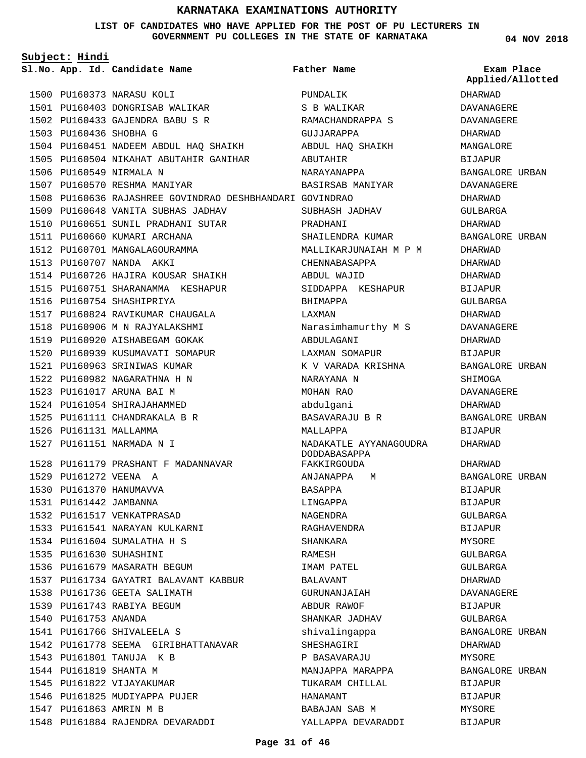#### **LIST OF CANDIDATES WHO HAVE APPLIED FOR THE POST OF PU LECTURERS IN GOVERNMENT PU COLLEGES IN THE STATE OF KARNATAKA**

| Subject: Hindi |                        |                                                          |                                        |                                |
|----------------|------------------------|----------------------------------------------------------|----------------------------------------|--------------------------------|
|                |                        | Sl.No. App. Id. Candidate Name                           | <b>Father Name</b>                     | Exam Place<br>Applied/Allotted |
|                |                        | 1500 PU160373 NARASU KOLI                                | PUNDALIK                               | DHARWAD                        |
|                |                        | 1501 PU160403 DONGRISAB WALIKAR                          | S B WALIKAR                            | <b>DAVANAGERE</b>              |
|                |                        | 1502 PU160433 GAJENDRA BABU S R                          | RAMACHANDRAPPA S                       | DAVANAGERE                     |
|                | 1503 PU160436 SHOBHA G |                                                          | GUJJARAPPA                             | DHARWAD                        |
|                |                        | 1504 PU160451 NADEEM ABDUL HAQ SHAIKH ABDUL HAQ SHAIKH   |                                        | MANGALORE                      |
|                |                        | 1505 PU160504 NIKAHAT ABUTAHIR GANIHAR                   | ABUTAHIR                               | BIJAPUR                        |
|                |                        | 1506 PU160549 NIRMALA N                                  | NARAYANAPPA                            | BANGALORE URBAN                |
|                |                        | 1507 PU160570 RESHMA MANIYAR                             | BASIRSAB MANIYAR                       | DAVANAGERE                     |
|                |                        | 1508 PU160636 RAJASHREE GOVINDRAO DESHBHANDARI GOVINDRAO |                                        | DHARWAD                        |
|                |                        | 1509 PU160648 VANITA SUBHAS JADHAV                       | SUBHASH JADHAV                         | GULBARGA                       |
|                |                        | 1510 PU160651 SUNIL PRADHANI SUTAR                       | PRADHANI                               | DHARWAD                        |
|                |                        | 1511 PU160660 KUMARI ARCHANA                             | SHAILENDRA KUMAR                       | BANGALORE URBAN                |
|                |                        | 1512 PU160701 MANGALAGOURAMMA                            | MALLIKARJUNAIAH M P M                  | DHARWAD                        |
|                |                        | 1513 PU160707 NANDA AKKI                                 | CHENNABASAPPA                          | DHARWAD                        |
|                |                        | 1514 PU160726 HAJIRA KOUSAR SHAIKH                       | ABDUL WAJID                            | DHARWAD                        |
|                |                        | 1515 PU160751 SHARANAMMA KESHAPUR                        | SIDDAPPA KESHAPUR                      | BIJAPUR                        |
|                |                        | 1516 PU160754 SHASHIPRIYA                                | BHIMAPPA                               | GULBARGA                       |
|                |                        | 1517 PU160824 RAVIKUMAR CHAUGALA                         | LAXMAN                                 | DHARWAD                        |
|                |                        | 1518 PU160906 M N RAJYALAKSHMI                           | Narasimhamurthy M S                    | DAVANAGERE                     |
|                |                        | 1519 PU160920 AISHABEGAM GOKAK                           | ABDULAGANI                             | DHARWAD                        |
|                |                        | 1520 PU160939 KUSUMAVATI SOMAPUR                         | LAXMAN SOMAPUR                         | BIJAPUR                        |
|                |                        | 1521 PU160963 SRINIWAS KUMAR                             | K V VARADA KRISHNA                     | BANGALORE URBAN                |
|                |                        | 1522 PU160982 NAGARATHNA H N                             | NARAYANA N                             | SHIMOGA                        |
|                |                        | 1523 PU161017 ARUNA BAI M                                | MOHAN RAO                              | DAVANAGERE                     |
|                |                        | 1524 PU161054 SHIRAJAHAMMED                              | abdulgani                              | DHARWAD                        |
|                |                        | 1525 PU161111 CHANDRAKALA B R                            | BASAVARAJU B R                         | BANGALORE URBAN                |
|                | 1526 PU161131 MALLAMMA |                                                          | MALLAPPA                               | <b>BIJAPUR</b>                 |
|                |                        | 1527 PU161151 NARMADA N I                                | NADAKATLE AYYANAGOUDRA<br>DODDABASAPPA | DHARWAD                        |
|                |                        | 1528 PU161179 PRASHANT F MADANNAVAR                      | FAKKIRGOUDA                            | DHARWAD                        |
|                |                        | 1529 PU161272 VEENA A                                    | ANJANAPPA M                            | <b>BANGALORE URBAN</b>         |
|                |                        | 1530 PU161370 HANUMAVVA                                  | BASAPPA                                | <b>BIJAPUR</b>                 |
|                |                        | 1531 PU161442 JAMBANNA                                   | LINGAPPA                               | BIJAPUR                        |
|                |                        | 1532 PU161517 VENKATPRASAD                               | NAGENDRA                               | GULBARGA                       |
|                |                        | 1533 PU161541 NARAYAN KULKARNI                           | RAGHAVENDRA                            | BIJAPUR                        |
|                |                        | 1534 PU161604 SUMALATHA H S                              | SHANKARA                               | MYSORE                         |
|                |                        | 1535 PU161630 SUHASHINI                                  | RAMESH                                 | GULBARGA                       |
|                |                        | 1536 PU161679 MASARATH BEGUM                             | IMAM PATEL                             | GULBARGA                       |
|                |                        | 1537 PU161734 GAYATRI BALAVANT KABBUR                    | BALAVANT                               | DHARWAD                        |
|                |                        | 1538 PU161736 GEETA SALIMATH                             | GURUNANJAIAH                           | DAVANAGERE                     |
|                |                        | 1539 PU161743 RABIYA BEGUM                               | ABDUR RAWOF                            | BIJAPUR                        |
|                | 1540 PU161753 ANANDA   |                                                          | SHANKAR JADHAV                         | GULBARGA                       |
|                |                        | 1541 PU161766 SHIVALEELA S                               | shivalingappa                          | BANGALORE URBAN                |
|                |                        | 1542 PU161778 SEEMA GIRIBHATTANAVAR                      | SHESHAGIRI                             | DHARWAD                        |
|                |                        | 1543 PU161801 TANUJA K B                                 | P BASAVARAJU                           | MYSORE                         |
|                | 1544 PU161819 SHANTA M |                                                          | MANJAPPA MARAPPA                       | BANGALORE URBAN                |
|                |                        | 1545 PU161822 VIJAYAKUMAR                                | TUKARAM CHILLAL                        | BIJAPUR                        |
|                |                        | 1546 PU161825 MUDIYAPPA PUJER                            | HANAMANT                               | BIJAPUR                        |
|                |                        | 1547 PU161863 AMRIN M B                                  | BABAJAN SAB M                          | MYSORE                         |
|                |                        | 1548 PU161884 RAJENDRA DEVARADDI                         | YALLAPPA DEVARADDI                     | BIJAPUR                        |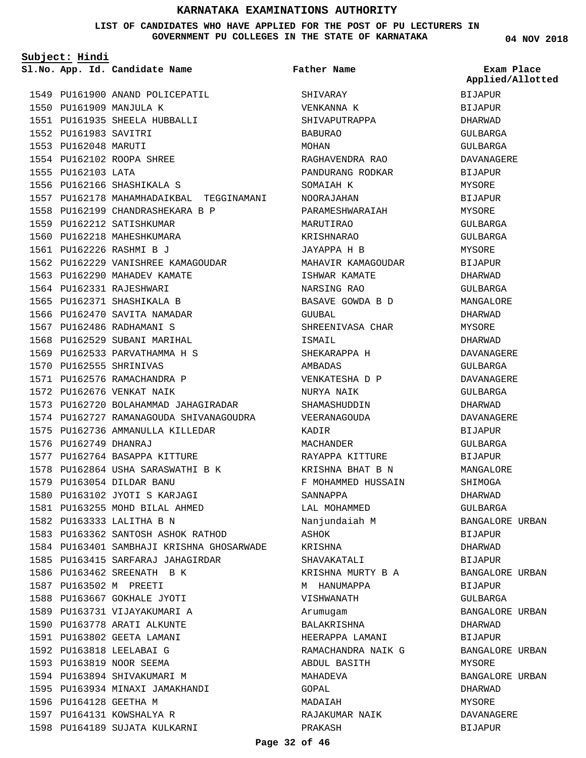#### **LIST OF CANDIDATES WHO HAVE APPLIED FOR THE POST OF PU LECTURERS IN GOVERNMENT PU COLLEGES IN THE STATE OF KARNATAKA**

**Subject: Hindi**

1549 PU161900 ANAND POLICEPATIL 1550 PU161909 MANJULA K PU161935 SHEELA HUBBALLI 1551 1552 PU161983 SAVITRI 1553 PU162048 MARUTI PU162102 ROOPA SHREE 1554 1555 PU162103 LATA 1556 PU162166 SHASHIKALA S 1557 PU162178 MAHAMHADAIKBAL TEGGINAMANI PU162199 CHANDRASHEKARA B P 1558 1559 PU162212 SATISHKUMAR 1560 PU162218 MAHESHKUMARA PU162226 RASHMI B J 1561 1562 PU162229 VANISHREE KAMAGOUDAR 1563 PU162290 MAHADEV KAMATE 1564 PU162331 RAJESHWARI 1565 PU162371 SHASHIKALA B 1566 PU162470 SAVITA NAMADAR 1567 PU162486 RADHAMANI S 1568 PU162529 SUBANI MARIHAL 1569 PU162533 PARVATHAMMA H S 1570 PU162555 SHRINIVAS 1571 PU162576 RAMACHANDRA P 1572 PU162676 VENKAT NAIK 1573 PU162720 BOLAHAMMAD JAHAGIRADAR 1574 PU162727 RAMANAGOUDA SHIVANAGOUDRA 1575 PU162736 AMMANULLA KILLEDAR 1576 PU162749 DHANRAJ 1577 PU162764 BASAPPA KITTURE 1578 PU162864 USHA SARASWATHI B K PU163054 DILDAR BANU 1579 1580 PU163102 JYOTI S KARJAGI 1581 PU163255 MOHD BILAL AHMED 1582 PU163333 LALITHA B N 1583 PU163362 SANTOSH ASHOK RATHOD 1584 PU163401 SAMBHAJI KRISHNA GHOSARWADE 1585 PU163415 SARFARAJ JAHAGIRDAR 1586 PU163462 SREENATH B K 1587 PU163502 M PREETI 1588 PU163667 GOKHALE JYOTI 1589 PU163731 VIJAYAKUMARI A 1590 PU163778 ARATI ALKUNTE 1591 PU163802 GEETA LAMANI 1592 PU163818 LEELABAI G 1593 PU163819 NOOR SEEMA 1594 PU163894 SHIVAKUMARI M PU163934 MINAXI JAMAKHANDI 1595 1596 PU164128 GEETHA M 1597 PU164131 KOWSHALYA R 1598 PU164189 SUJATA KULKARNI

**App. Id. Candidate Name Sl.No. Exam Place** SHIVARAY VENKANNA K SHIVAPUTRAPPA BABURAO MOHAN RAGHAVENDRA RAO PANDURANG RODKAR SOMAIAH K NOORAJAHAN PARAMESHWARAIAH MARUTIRAO KRISHNARAO JAYAPPA H B MAHAVIR KAMAGOUDAR ISHWAR KAMATE NARSING RAO BASAVE GOWDA B D GUUBAL SHREENIVASA CHAR ISMAIL SHEKARAPPA H AMBADAS VENKATESHA D P NURYA NAIK SHAMASHUDDIN VEERANAGOUDA KADIR MACHANDER RAYAPPA KITTURE KRISHNA BHAT B N F MOHAMMED HUSSAIN SANNAPPA LAL MOHAMMED Nanjundaiah M ASHOK KRISHNA SHAVAKATALI KRISHNA MURTY B A M HANUMAPPA VISHWANATH Arumugam BALAKRISHNA HEERAPPA LAMANI RAMACHANDRA NAIK G ABDUL BASITH MAHADEVA GOPAL MADAIAH RAJAKUMAR NAIK PRAKASH **Father Name**

**04 NOV 2018**

**Applied/Allotted**

BIJAPUR **BIJAPUR** DHARWAD GULBARGA GULBARGA DAVANAGERE BIJAPUR MYSORE BIJAPUR MYSORE GULBARGA GULBARGA MYSORE BIJAPUR DHARWAD GULBARGA MANGALORE DHARWAD MYSORE DHARWAD DAVANAGERE GULBARGA DAVANAGERE GULBARGA DHARWAD DAVANAGERE BIJAPUR GULBARGA BIJAPUR MANGALORE SHIMOGA DHARWAD GULBARGA BANGALORE URBAN BIJAPUR DHARWAD BIJAPUR BANGALORE URBAN BIJAPUR GULBARGA BANGALORE URBAN DHARWAD BIJAPUR BANGALORE URBAN **MYSORE** BANGALORE URBAN DHARWAD MYSORE DAVANAGERE BIJAPUR

#### **Page 32 of 46**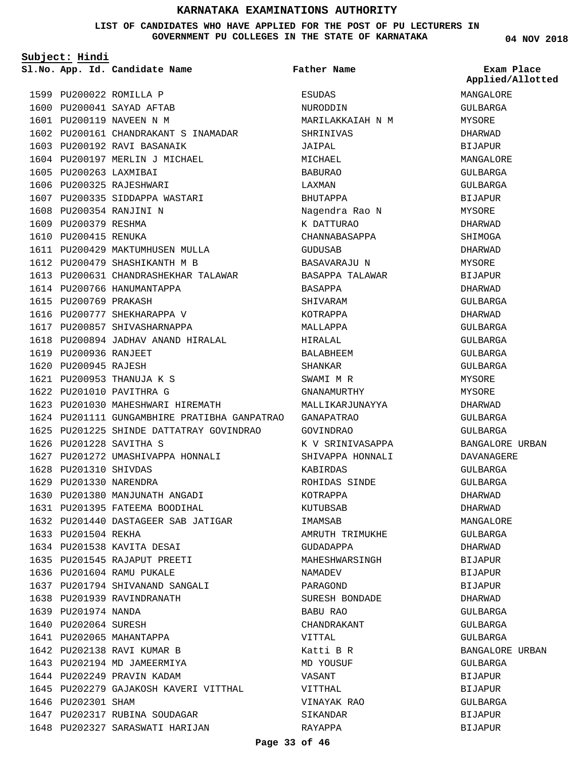#### **LIST OF CANDIDATES WHO HAVE APPLIED FOR THE POST OF PU LECTURERS IN GOVERNMENT PU COLLEGES IN THE STATE OF KARNATAKA**

**Subject: Hindi**

**App. Id. Candidate Name Sl.No. Exam Place**

**Father Name**

|                        |                                                                |                  | Applied/Allotted |
|------------------------|----------------------------------------------------------------|------------------|------------------|
|                        | 1599 PU200022 ROMILLA P                                        | ESUDAS           | MANGALORE        |
|                        | 1600 PU200041 SAYAD AFTAB                                      | NURODDIN         | GULBARGA         |
|                        | 1601 PU200119 NAVEEN N M                                       | MARILAKKAIAH N M | MYSORE           |
|                        | 1602 PU200161 CHANDRAKANT S INAMADAR                           | SHRINIVAS        | DHARWAD          |
|                        | 1603 PU200192 RAVI BASANAIK                                    | JAIPAL           | BIJAPUR          |
|                        | 1604 PU200197 MERLIN J MICHAEL                                 | MICHAEL          | MANGALORE        |
| 1605 PU200263 LAXMIBAI |                                                                | <b>BABURAO</b>   | <b>GULBARGA</b>  |
|                        | 1606 PU200325 RAJESHWARI                                       | LAXMAN           | GULBARGA         |
|                        | 1607 PU200335 SIDDAPPA WASTARI                                 | BHUTAPPA         | BIJAPUR          |
|                        | 1608 PU200354 RANJINI N                                        | Nagendra Rao N   | MYSORE           |
| 1609 PU200379 RESHMA   |                                                                | K DATTURAO       | DHARWAD          |
| 1610 PU200415 RENUKA   |                                                                | CHANNABASAPPA    | SHIMOGA          |
|                        | 1611 PU200429 MAKTUMHUSEN MULLA                                | GUDUSAB          | DHARWAD          |
|                        | 1612 PU200479 SHASHIKANTH M B                                  | BASAVARAJU N     | MYSORE           |
|                        | 1613 PU200631 CHANDRASHEKHAR TALAWAR           BASAPPA TALAWAR |                  | <b>BIJAPUR</b>   |
|                        | 1614 PU200766 HANUMANTAPPA                                     | BASAPPA          | DHARWAD          |
| 1615 PU200769 PRAKASH  |                                                                | SHIVARAM         | GULBARGA         |
|                        | 1616 PU200777 SHEKHARAPPA V                                    | KOTRAPPA         | DHARWAD          |
|                        | 1617 PU200857 SHIVASHARNAPPA                                   | MALLAPPA         | GULBARGA         |
|                        | 1618 PU200894 JADHAV ANAND HIRALAL                             | HIRALAL          | GULBARGA         |
| 1619 PU200936 RANJEET  |                                                                | BALABHEEM        | GULBARGA         |
| 1620 PU200945 RAJESH   |                                                                | SHANKAR          | GULBARGA         |
|                        | 1621 PU200953 THANUJA K S                                      | SWAMI M R        | MYSORE           |
|                        | 1622 PU201010 PAVITHRA G                                       | GNANAMURTHY      | MYSORE           |
|                        | 1623 PU201030 MAHESHWARI HIREMATH                              | MALLIKARJUNAYYA  | DHARWAD          |
|                        | 1624 PU201111 GUNGAMBHIRE PRATIBHA GANPATRAO GANAPATRAO        |                  | GULBARGA         |
|                        | 1625 PU201225 SHINDE DATTATRAY GOVINDRAO GOVINDRAO             |                  | GULBARGA         |
|                        | 1626 PU201228 SAVITHA S                                        | K V SRINIVASAPPA | BANGALORE URBAN  |
|                        | 1627 PU201272 UMASHIVAPPA HONNALI                              | SHIVAPPA HONNALI | DAVANAGERE       |
| 1628 PU201310 SHIVDAS  |                                                                | KABIRDAS         | GULBARGA         |
| 1629 PU201330 NARENDRA |                                                                | ROHIDAS SINDE    | GULBARGA         |
|                        | 1630 PU201380 MANJUNATH ANGADI                                 | KOTRAPPA         | DHARWAD          |
|                        | 1631 PU201395 FATEEMA BOODIHAL                                 | KUTUBSAB         | DHARWAD          |
|                        | 1632 PU201440 DASTAGEER SAB JATIGAR                            | IMAMSAB          | MANGALORE        |
| 1633 PU201504 REKHA    |                                                                | AMRUTH TRIMUKHE  | GULBARGA         |
|                        | 1634 PU201538 KAVITA DESAI                                     | GUDADAPPA        | DHARWAD          |
|                        | 1635 PU201545 RAJAPUT PREETI                                   | MAHESHWARSINGH   | BIJAPUR          |
|                        | 1636 PU201604 RAMU PUKALE                                      | NAMADEV          | BIJAPUR          |
|                        | 1637 PU201794 SHIVANAND SANGALI                                | PARAGOND         | <b>BIJAPUR</b>   |
|                        | 1638 PU201939 RAVINDRANATH                                     | SURESH BONDADE   | DHARWAD          |
| 1639 PU201974 NANDA    |                                                                | BABU RAO         | GULBARGA         |
| 1640 PU202064 SURESH   |                                                                | CHANDRAKANT      | GULBARGA         |
|                        | 1641 PU202065 MAHANTAPPA                                       | VITTAL           | GULBARGA         |
|                        | 1642 PU202138 RAVI KUMAR B                                     | Katti B R        | BANGALORE URBAN  |
|                        | 1643 PU202194 MD JAMEERMIYA                                    | MD YOUSUF        | GULBARGA         |
|                        | 1644 PU202249 PRAVIN KADAM                                     | VASANT           | BIJAPUR          |
|                        | 1645 PU202279 GAJAKOSH KAVERI VITTHAL                          | VITTHAL          | BIJAPUR          |
| 1646 PU202301 SHAM     |                                                                | VINAYAK RAO      | GULBARGA         |
|                        | 1647 PU202317 RUBINA SOUDAGAR                                  | SIKANDAR         | BIJAPUR          |
|                        | 1648 PU202327 SARASWATI HARIJAN                                | RAYAPPA          | BIJAPUR          |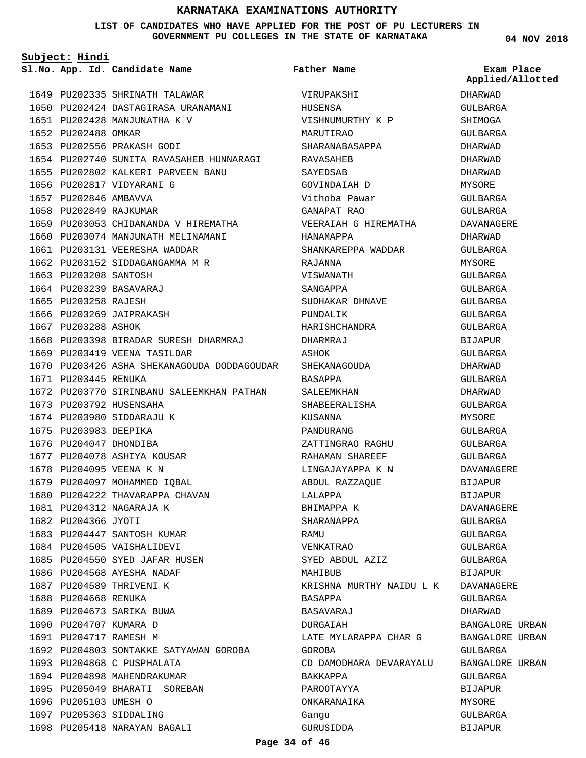#### **LIST OF CANDIDATES WHO HAVE APPLIED FOR THE POST OF PU LECTURERS IN GOVERNMENT PU COLLEGES IN THE STATE OF KARNATAKA**

**Subject: Hindi**

1693 PU204868 C PUSPHALATA 1694 PU204898 MAHENDRAKUMAR 1695 PU205049 BHARATI SOREBAN

1698 PU205418 NARAYAN BAGALI

1696 PU205103 UMESH O 1697 PU205363 SIDDALING

1680 1681

1649 PU202335 SHRINATH TALAWAR 1650 PU202424 DASTAGIRASA URANAMANI 1651 PU202428 MANJUNATHA K V 1652 PU202488 OMKAR 1653 PU202556 PRAKASH GODI 1654 PU202740 SUNITA RAVASAHEB HUNNARAGI 1655 PU202802 KALKERI PARVEEN BANU 1656 PU202817 VIDYARANI G 1657 PU202846 AMBAVVA 1658 PU202849 RAJKUMAR 1659 PU203053 CHIDANANDA V HIREMATHA 1660 PU203074 MANJUNATH MELINAMANI 1661 PU203131 VEERESHA WADDAR 1662 PU203152 SIDDAGANGAMMA M R 1663 PU203208 SANTOSH 1664 PU203239 BASAVARAJ 1665 PU203258 RAJESH 1666 PU203269 JAIPRAKASH 1667 PU203288 ASHOK 1668 PU203398 BIRADAR SURESH DHARMRAJ 1669 PU203419 VEENA TASILDAR 1670 PU203426 ASHA SHEKANAGOUDA DODDAGOUDAR SHEKANAGOUDA 1671 PU203445 RENUKA 1672 PU203770 SIRINBANU SALEEMKHAN PATHAN 1673 PU203792 HUSENSAHA 1674 PU203980 SIDDARAJU K 1675 PU203983 DEEPIKA 1676 PU204047 DHONDIBA 1677 PU204078 ASHIYA KOUSAR 1678 PU204095 VEENA K N 1679 PU204097 MOHAMMED IQBAL PU204222 PU204312 1682 PU204366 JYOTI 1683 PU204447 SANTOSH KUMAR 1684 PU204505 VAISHALIDEVI 1685 PU204550 SYED JAFAR HUSEN 1686 PU204568 AYESHA NADAF 1687 PU204589 THRIVENI K 1688 PU204668 RENUKA 1689 PU204673 SARIKA BUWA 1690 PU204707 KUMARA D 1691 PU204717 RAMESH M 1692 PU204803 SONTAKKE SATYAWAN GOROBA THAVARAPPA CHAVAN NAGARAJA K

**App. Id. Candidate Name Sl.No. Exam Place** VIRUPAKSHI HUSENSA VISHNUMURTHY K P MARUTIRAO SHARANABASAPPA RAVASAHEB SAYEDSAB GOVINDAIAH D Vithoba Pawar GANAPAT RAO VEERAIAH G HIREMATHA HANAMAPPA SHANKAREPPA WADDAR RAJANNA VISWANATH SANGAPPA SUDHAKAR DHNAVE PUNDALIK HARISHCHANDRA DHARMRAJ ASHOK BASAPPA SALEEMKHAN SHABEERALISHA KUSANNA PANDURANG ZATTINGRAO RAGHU RAHAMAN SHAREEF LINGAJAYAPPA K N ABDUL RAZZAQUE LALAPPA BHIMAPPA K SHARANAPPA RAMU VENKATRAO SYED ABDUL AZIZ MAHIBUB KRISHNA MURTHY NAIDU L K BASAPPA BASAVARAJ DURGAIAH LATE MYLARAPPA CHAR G GOROBA CD DAMODHARA DEVARAYALU BAKKAPPA PAROOTAYYA ONKARANAIKA Gangu **Father Name**

**04 NOV 2018**

DHARWAD GULBARGA SHIMOGA GULBARGA DHARWAD DHARWAD DHARWAD MYSORE GULBARGA GULBARGA DAVANAGERE DHARWAD GULBARGA MYSORE GULBARGA GULBARGA GULBARGA  $CITIRARGA$ GULBARGA BIJAPUR GULBARGA DHARWAD GULBARGA DHARWAD GULBARGA MYSORE GULBARGA GULBARGA GULBARGA DAVANAGERE BIJAPUR BIJAPUR DAVANAGERE GULBARGA GULBARGA GULBARGA GULBARGA BIJAPUR DAVANAGERE GULBARGA DHARWAD BANGALORE URBAN BANGALORE URBAN GULBARGA BANGALORE URBAN GULBARGA BIJAPUR MYSORE GULBARGA BIJAPUR **Applied/Allotted**

GURUSIDDA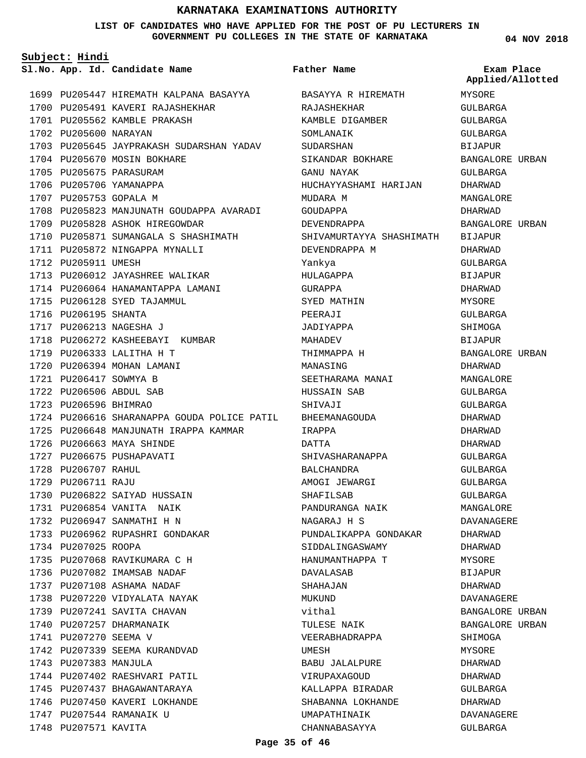#### **LIST OF CANDIDATES WHO HAVE APPLIED FOR THE POST OF PU LECTURERS IN GOVERNMENT PU COLLEGES IN THE STATE OF KARNATAKA**

**Subject: Hindi**

1699 PU205447 HIREMATH KALPANA BASAYYA BASAYYA R HIREMATH 1700 PU205491 KAVERI RAJASHEKHAR 1701 PU205562 KAMBLE PRAKASH 1702 PU205600 NARAYAN 1703 PU205645 JAYPRAKASH SUDARSHAN YADAV 1704 PU205670 MOSIN BOKHARE 1705 PU205675 PARASURAM 1706 PU205706 YAMANAPPA 1707 PU205753 GOPALA M 1708 PU205823 MANJUNATH GOUDAPPA AVARADI 1709 PU205828 ASHOK HIREGOWDAR 1710 PU205871 SUMANGALA S SHASHIMATH 1711 PU205872 NINGAPPA MYNALLI 1712 PU205911 UMESH 1713 PU206012 JAYASHREE WALIKAR 1714 PU206064 HANAMANTAPPA LAMANI 1715 PU206128 SYED TAJAMMUL 1716 PU206195 SHANTA 1717 PU206213 NAGESHA J 1718 PU206272 KASHEEBAYI KUMBAR 1719 PU206333 LALITHA H T 1720 PU206394 MOHAN LAMANI 1721 PU206417 SOWMYA B PU206506 ABDUL SAB 1722 1723 PU206596 BHIMRAO 1724 PU206616 SHARANAPPA GOUDA POLICE PATIL 1725 PU206648 MANJUNATH IRAPPA KAMMAR 1726 PU206663 MAYA SHINDE 1727 PU206675 PUSHAPAVATI 1728 PU206707 RAHUL 1729 PU206711 RAJU 1730 PU206822 SAIYAD HUSSAIN PU206854 VANITA NAIK 1731 1732 PU206947 SANMATHI H N 1733 PU206962 RUPASHRI GONDAKAR 1734 PU207025 ROOPA 1735 PU207068 RAVIKUMARA C H 1736 PU207082 IMAMSAB NADAF 1737 PU207108 ASHAMA NADAF 1738 PU207220 VIDYALATA NAYAK 1739 PU207241 SAVITA CHAVAN 1740 PU207257 DHARMANAIK 1741 PU207270 SEEMA V 1742 PU207339 SEEMA KURANDVAD 1743 PU207383 MANJULA 1744 PU207402 RAESHVARI PATIL 1745 PU207437 BHAGAWANTARAYA 1746 PU207450 KAVERI LOKHANDE 1747 PU207544 RAMANAIK U 1748 PU207571 KAVITA

**App. Id. Candidate Name Sl.No. Exam Place** RAJASHEKHAR KAMBLE DIGAMBER SOMLANAIK SUDARSHAN SIKANDAR BOKHARE GANU NAYAK HUCHAYYASHAMI HARIJAN MIDARA M GOUDAPPA DEVENDRAPPA SHIVAMURTAYYA SHASHIMATH BIJAPUR DEVENDRAPPA M Yankya HULAGAPPA GURAPPA SYED MATHIN PEERAJI JADIYAPPA MAHADEV THIMMAPPA H MANASING SEETHARAMA MANAI HUSSAIN SAB SHIVAJI BHEEMANAGOUDA IRAPPA DATTA SHIVASHARANAPPA BALCHANDRA AMOGI JEWARGI SHAFILSAB PANDURANGA NAIK NAGARAJ H S PUNDALIKAPPA GONDAKAR SIDDALINGASWAMY HANUMANTHAPPA T DAVALASAB SHAHAJAN MUKUND vithal TULESE NAIK VEERABHADRAPPA UMESH BABU JALALPURE VIRUPAXAGOUD KALLAPPA BIRADAR SHABANNA LOKHANDE UMAPATHINAIK CHANNABASAYYA **Father Name** MYSORE GULBARGA GULBARGA GULBARGA BIJAPUR BANGALORE URBAN GULBARGA DHARWAD MANGALORE DHARWAD BANGALORE URBAN DHARWAD GULBARGA **BIJAPUR** DHARWAD MYSORE GULBARGA SHIMOGA BIJAPUR BANGALORE URBAN DHARWAD MANGALORE GULBARGA GULBARGA DHARWAD DHARWAD DHARWAD GULBARGA GULBARGA GULBARGA GULBARGA MANGALORE DAVANAGERE DHARWAD DHARWAD MYSORE BIJAPUR DHARWAD DAVANAGERE BANGALORE URBAN BANGALORE URBAN SHIMOGA MYSORE DHARWAD DHARWAD GULBARGA DHARWAD DAVANAGERE GULBARGA **Applied/Allotted**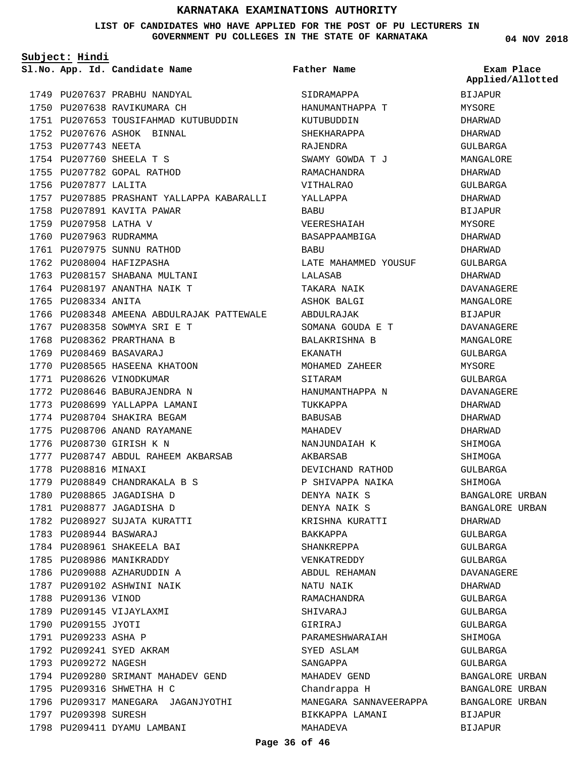#### **LIST OF CANDIDATES WHO HAVE APPLIED FOR THE POST OF PU LECTURERS IN GOVERNMENT PU COLLEGES IN THE STATE OF KARNATAKA**

**Subject: Hindi**

**App. Id. Candidate Name Sl.No. Exam Place**

1749 PU207637 PRABHU NANDYAL

**Father Name**

SIDRAMAPPA

KUTUBUDDIN SHEKHARAPPA

HANUMANTHAPPA T

**04 NOV 2018** BIJAPUR MYSORE DHARWAD DHARWAD GULBARGA MANGALORE DHARWAD GULBARGA DHARWAD BIJAPUR MYSORE DHARWAD DHARWAD GULBARGA DHARWAD DAVANAGERE MANGALORE BIJAPUR DAVANAGERE MANGALORE GULBARGA MYSORE GULBARGA DAVANAGERE DHARWAD DHARWAD DHARWAD SHIMOGA SHIMOGA GULBARGA SHIMOGA BANGALORE URBAN BANGALORE URBAN DHARWAD GULBARGA GULBARGA GULBARGA DAVANAGERE DHARWAD GULBARGA GULBARGA GULBARGA SHIMOGA GULBARGA **Applied/Allotted**

GULBARGA

BIJAPUR BIJAPUR

BANGALORE URBAN BANGALORE URBAN BANGALORE URBAN

1750 PU207638 RAVIKUMARA CH 1751 PU207653 TOUSIFAHMAD KUTUBUDDIN 1752 PU207676 ASHOK BINNAL 1753 PU207743 NEETA 1754 PU207760 SHEELA T S 1755 PU207782 GOPAL RATHOD 1756 PU207877 LALITA 1757 PU207885 PRASHANT YALLAPPA KABARALLI 1758 PU207891 KAVITA PAWAR 1759 PU207958 LATHA V 1760 PU207963 RUDRAMMA 1761 PU207975 SUNNU RATHOD 1762 PU208004 HAFIZPASHA 1763 PU208157 SHABANA MULTANI 1764 PU208197 ANANTHA NAIK T 1765 PU208334 ANITA 1766 PU208348 AMEENA ABDULRAJAK PATTEWALE 1767 PU208358 SOWMYA SRI E T 1768 PU208362 PRARTHANA B 1769 PU208469 BASAVARAJ 1770 PU208565 HASEENA KHATOON 1771 PU208626 VINODKUMAR 1772 PU208646 BABURAJENDRA N 1773 PU208699 YALLAPPA LAMANI 1774 PU208704 SHAKIRA BEGAM 1775 PU208706 ANAND RAYAMANE 1776 PU208730 GIRISH K N PU208747 ABDUL RAHEEM AKBARSAB 1777 1778 PU208816 MINAXI 1779 PU208849 CHANDRAKALA B S 1780 PU208865 JAGADISHA D 1781 PU208877 JAGADISHA D 1782 PU208927 SUJATA KURATTI PU208944 BASWARAJ 1783 1784 PU208961 SHAKEELA BAI 1785 PU208986 MANIKRADDY 1786 PU209088 AZHARUDDIN A 1787 PU209102 ASHWINI NAIK 1788 PU209136 VINOD 1789 PU209145 VIJAYLAXMI 1790 PU209155 JYOTI 1791 PU209233 ASHA P 1792 PU209241 SYED AKRAM 1793 PU209272 NAGESH 1794 PU209280 SRIMANT MAHADEV GEND 1795 PU209316 SHWETHA H C 1796 PU209317 MANEGARA JAGANJYOTHI 1797 PU209398 SURESH 1798 PU209411 DYAMU LAMBANI

RAJENDRA SWAMY GOWDA T J RAMACHANDRA VITHALRAO YALLAPPA **BABUT** VEERESHAIAH BASAPPAAMBIGA **BABU** LATE MAHAMMED YOUSUF LALASAB TAKARA NAIK ASHOK BALGI ABDULRAJAK SOMANA GOUDA E T BALAKRISHNA B EKANATH MOHAMED ZAHEER SITARAM HANUMANTHAPPA N TUKKAPPA BABUSAB MAHADEV NANJUNDAIAH K AKBARSAB DEVICHAND RATHOD P SHIVAPPA NAIKA DENYA NAIK S DENYA NAIK S KRISHNA KURATTI BAKKAPPA SHANKREPPA VENKATREDDY ABDUL REHAMAN NATU NAIK RAMACHANDRA SHIVARAJ GIRIRAJ PARAMESHWARAIAH SYED ASLAM SANGAPPA MAHADEV GEND Chandrappa H MANEGARA SANNAVEERAPPA BIKKAPPA LAMANI MAHADEVA

**Page 36 of 46**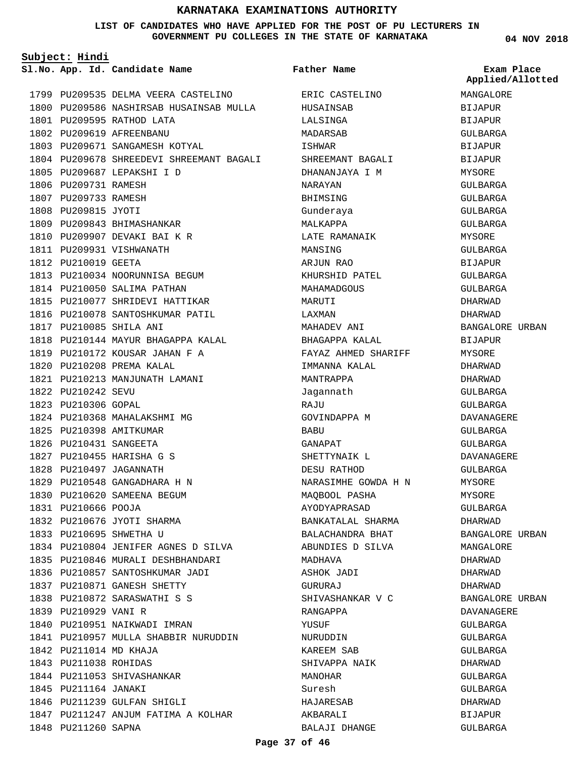#### **LIST OF CANDIDATES WHO HAVE APPLIED FOR THE POST OF PU LECTURERS IN GOVERNMENT PU COLLEGES IN THE STATE OF KARNATAKA**

**04 NOV 2018**

| Subject: Hindi         |                                          |                                    |                                |
|------------------------|------------------------------------------|------------------------------------|--------------------------------|
|                        | Sl.No. App. Id. Candidate Name           | Father Name                        | Exam Place<br>Applied/Allotted |
|                        | 1799 PU209535 DELMA VEERA CASTELINO      | ERIC CASTELINO                     | MANGALORE                      |
|                        | 1800 PU209586 NASHIRSAB HUSAINSAB MULLA  | HUSAINSAB                          | <b>BIJAPUR</b>                 |
|                        | 1801 PU209595 RATHOD LATA                | LALSINGA                           | <b>BIJAPUR</b>                 |
|                        | 1802 PU209619 AFREENBANU                 |                                    |                                |
|                        | 1803 PU209671 SANGAMESH KOTYAL           | MADARSAB                           | GULBARGA                       |
|                        | 1804 PU209678 SHREEDEVI SHREEMANT BAGALI | ISHWAR                             | <b>BIJAPUR</b>                 |
|                        | 1805 PU209687 LEPAKSHI I D               | SHREEMANT BAGALI<br>DHANANJAYA I M | <b>BIJAPUR</b>                 |
| 1806 PU209731 RAMESH   |                                          | NARAYAN                            | MYSORE<br>GULBARGA             |
| 1807 PU209733 RAMESH   |                                          |                                    |                                |
| 1808 PU209815 JYOTI    |                                          | BHIMSING                           | GULBARGA                       |
|                        | 1809 PU209843 BHIMASHANKAR               | Gunderaya<br>MALKAPPA              | GULBARGA                       |
|                        | 1810 PU209907 DEVAKI BAI K R             | LATE RAMANAIK                      | GULBARGA                       |
|                        | 1811 PU209931 VISHWANATH                 | MANSING                            | MYSORE<br>GULBARGA             |
| 1812 PU210019 GEETA    |                                          |                                    |                                |
|                        | 1813 PU210034 NOORUNNISA BEGUM           | ARJUN RAO<br>KHURSHID PATEL        | BIJAPUR                        |
|                        |                                          |                                    | GULBARGA                       |
|                        | 1814 PU210050 SALIMA PATHAN              | MAHAMADGOUS                        | GULBARGA                       |
|                        | 1815 PU210077 SHRIDEVI HATTIKAR          | MARUTI                             | DHARWAD                        |
|                        | 1816 PU210078 SANTOSHKUMAR PATIL         | LAXMAN                             | DHARWAD                        |
|                        | 1817 PU210085 SHILA ANI                  | MAHADEV ANI                        | BANGALORE URBAN                |
|                        | 1818 PU210144 MAYUR BHAGAPPA KALAL       | BHAGAPPA KALAL                     | <b>BIJAPUR</b>                 |
|                        | 1819 PU210172 KOUSAR JAHAN F A           | FAYAZ AHMED SHARIFF                | MYSORE                         |
|                        | 1820 PU210208 PREMA KALAL                | IMMANNA KALAL                      | DHARWAD                        |
|                        | 1821 PU210213 MANJUNATH LAMANI           | MANTRAPPA                          | DHARWAD                        |
| 1822 PU210242 SEVU     |                                          | Jagannath                          | GULBARGA                       |
| 1823 PU210306 GOPAL    |                                          | RAJU                               | GULBARGA                       |
|                        | 1824 PU210368 MAHALAKSHMI MG             | GOVINDAPPA M                       | DAVANAGERE                     |
|                        | 1825 PU210398 AMITKUMAR                  | BABU                               | GULBARGA                       |
| 1826 PU210431 SANGEETA |                                          | GANAPAT                            | GULBARGA                       |
|                        | 1827 PU210455 HARISHA G S                | SHETTYNAIK L                       | DAVANAGERE                     |
|                        | 1828 PU210497 JAGANNATH                  | DESU RATHOD                        | GULBARGA                       |
|                        | 1829 PU210548 GANGADHARA H N             | NARASIMHE GOWDA H N                | MYSORE                         |
|                        | 1830 PU210620 SAMEENA BEGUM              | MAOBOOL PASHA                      | MYSORE                         |
| 1831 PU210666 POOJA    |                                          | AYODYAPRASAD                       | GULBARGA                       |
|                        | 1832 PU210676 JYOTI SHARMA               | BANKATALAL SHARMA                  | DHARWAD                        |
|                        | 1833 PU210695 SHWETHA U                  | BALACHANDRA BHAT                   | BANGALORE URBAN                |
|                        | 1834 PU210804 JENIFER AGNES D SILVA      | ABUNDIES D SILVA                   | MANGALORE                      |
|                        | 1835 PU210846 MURALI DESHBHANDARI        | MADHAVA                            | DHARWAD                        |
|                        | 1836 PU210857 SANTOSHKUMAR JADI          | ASHOK JADI                         | DHARWAD                        |
|                        | 1837 PU210871 GANESH SHETTY              | GURURAJ                            | DHARWAD                        |
|                        | 1838 PU210872 SARASWATHI S S             | SHIVASHANKAR V C                   | BANGALORE URBAN                |
| 1839 PU210929 VANI R   |                                          | RANGAPPA                           | DAVANAGERE                     |
|                        | 1840 PU210951 NAIKWADI IMRAN             | YUSUF                              | GULBARGA                       |
|                        | 1841 PU210957 MULLA SHABBIR NURUDDIN     | NURUDDIN                           | GULBARGA                       |
| 1842 PU211014 MD KHAJA |                                          | KAREEM SAB                         | GULBARGA                       |
| 1843 PU211038 ROHIDAS  |                                          | SHIVAPPA NAIK                      | DHARWAD                        |
|                        | 1844 PU211053 SHIVASHANKAR               | MANOHAR                            | GULBARGA                       |
| 1845 PU211164 JANAKI   |                                          | Suresh                             | GULBARGA                       |
|                        | 1846 PU211239 GULFAN SHIGLI              | HAJARESAB                          | DHARWAD                        |
|                        | 1847 PU211247 ANJUM FATIMA A KOLHAR      | AKBARALI                           | BIJAPUR                        |
| 1848 PU211260 SAPNA    |                                          | BALAJI DHANGE                      | GULBARGA                       |

**Page 37 of 46**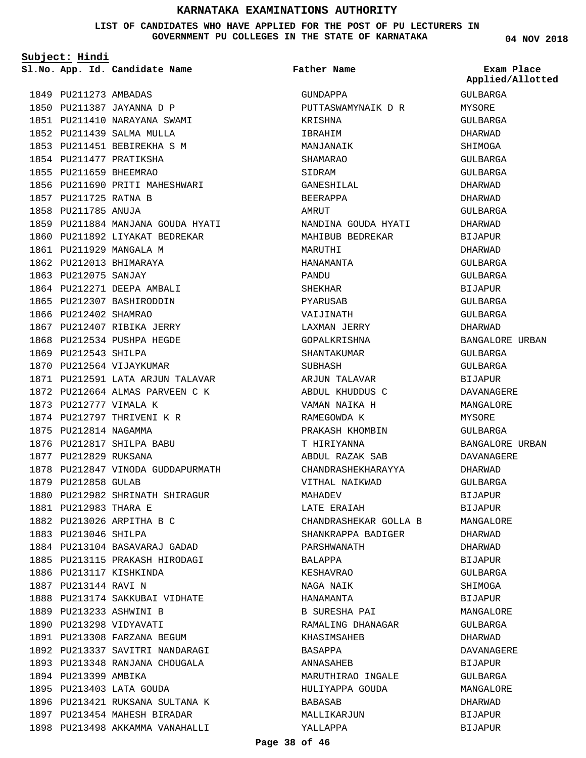**LIST OF CANDIDATES WHO HAVE APPLIED FOR THE POST OF PU LECTURERS IN GOVERNMENT PU COLLEGES IN THE STATE OF KARNATAKA**

**Subject: Hindi**

**App. Id. Candidate Name Sl.No. Exam Place**

1856 PU211690 PRITI MAHESHWARI

1859 PU211884 MANJANA GOUDA HYATI 1860 PU211892 LIYAKAT BEDREKAR

1849 PU211273 AMBADAS 1850 PU211387 JAYANNA D P 1851 PU211410 NARAYANA SWAMI 1852 PU211439 SALMA MULLA 1853 PU211451 BEBIREKHA S M 1854 PU211477 PRATIKSHA 1855 PU211659 BHEEMRAO

1857 PU211725 RATNA B 1858 PU211785 ANUJA

1861 PU211929 MANGALA M 1862 PU212013 BHIMARAYA 1863 PU212075 SANJAY

1864 PU212271 DEEPA AMBALI 1865 PU212307 BASHIRODDIN 1866 PU212402 SHAMRAO

1867 PU212407 RIBIKA JERRY 1868 PU212534 PUSHPA HEGDE

1871 PU212591 LATA ARJUN TALAVAR 1872 PU212664 ALMAS PARVEEN C K

1878 PU212847 VINODA GUDDAPURMATH

1880 PU212982 SHRINATH SHIRAGUR

1884 PU213104 BASAVARAJ GADAD 1885 PU213115 PRAKASH HIRODAGI

1888 PU213174 SAKKUBAI VIDHATE

1896 PU213421 RUKSANA SULTANA K 1897 PU213454 MAHESH BIRADAR 1898 PU213498 AKKAMMA VANAHALLI

1869 PU212543 SHILPA 1870 PU212564 VIJAYKUMAR

1873 PU212777 VIMALA K 1874 PU212797 THRIVENI K R

1875 PU212814 NAGAMMA 1876 PU212817 SHILPA BABU 1877 PU212829 RUKSANA

1879 PU212858 GULAB

1881 PU212983 THARA E 1882 PU213026 ARPITHA B C

1883 PU213046 SHILPA

1886 PU213117 KISHKINDA 1887 PU213144 RAVI N

1889 PU213233 ASHWINI B 1890 PU213298 VIDYAVATI 1891 PU213308 FARZANA BEGUM 1892 PU213337 SAVITRI NANDARAGI 1893 PU213348 RANJANA CHOUGALA

1894 PU213399 AMBIKA 1895 PU213403 LATA GOUDA **Father Name**

GUNDAPPA

KRISHNA IBRAHIM MANJANAIK SHAMARAO SIDRAM

GANESHILAL BEERAPPA **AMRITT** 

MARUTHI HANAMANTA PANDU SHEKHAR PYARUSAB VAIJINATH LAXMAN JERRY GOPALKRISHNA SHANTAKUMAR SUBHASH

PUTTASWAMYNAIK D R

NANDINA GOUDA HYATI MAHIBUB BEDREKAR

ARJUN TALAVAR ABDUL KHUDDUS C VAMAN NAIKA H RAMEGOWDA K PRAKASH KHOMBIN T HIRIYANNA ABDUL RAZAK SAB CHANDRASHEKHARAYYA VITHAL NAIKWAD

CHANDRASHEKAR GOLLA B SHANKRAPPA BADIGER PARSHWANATH

B SURESHA PAI RAMALING DHANAGAR KHASIMSAHEB

MARUTHIRAO INGALE HULIYAPPA GOUDA

MAHADEV LATE ERAIAH

BALAPPA KESHAVRAO NAGA NAIK HANAMANTA

BASAPPA ANNASAHEB

BABASAB

MALLIKARJUN YALLAPPA

GULBARGA MYSORE GULBARGA DHARWAD SHIMOGA GULBARGA GULBARGA DHARWAD DHARWAD GULBARGA DHARWAD BIJAPUR DHARWAD GULBARGA GULBARGA BIJAPUR GULBARGA GULBARGA DHARWAD BANGALORE URBAN GULBARGA GULBARGA BIJAPUR DAVANAGERE MANGALORE MYSORE GULBARGA BANGALORE URBAN DAVANAGERE DHARWAD GULBARGA BIJAPUR BIJAPUR MANGALORE DHARWAD DHARWAD BIJAPUR GULBARGA SHIMOGA BIJAPUR MANGALORE GULBARGA DHARWAD DAVANAGERE BIJAPUR GULBARGA MANGALORE **Applied/Allotted**

DHARWAD BIJAPUR BIJAPUR

**Page 38 of 46**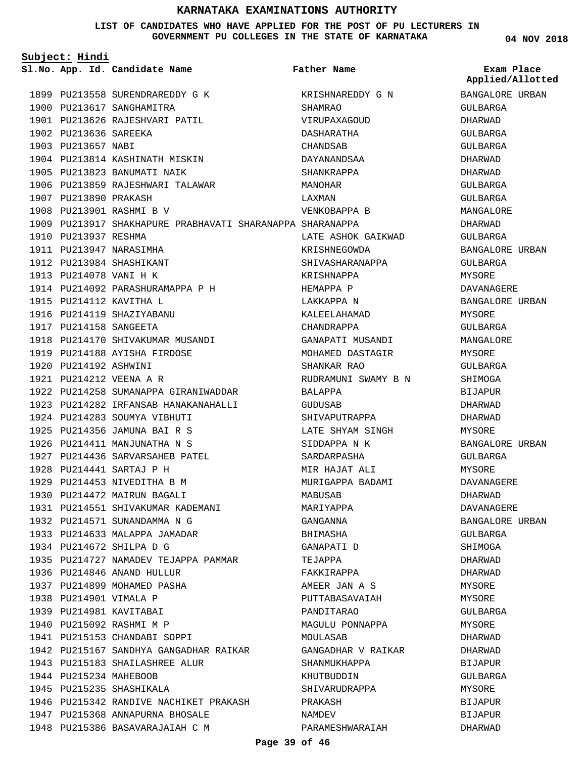**LIST OF CANDIDATES WHO HAVE APPLIED FOR THE POST OF PU LECTURERS IN GOVERNMENT PU COLLEGES IN THE STATE OF KARNATAKA**

| Subject: Hindi         |                                                           |                     |                                |
|------------------------|-----------------------------------------------------------|---------------------|--------------------------------|
|                        | Sl.No. App. Id. Candidate Name                            | <b>Father Name</b>  | Exam Place<br>Applied/Allotted |
|                        | 1899 PU213558 SURENDRAREDDY G K                           | KRISHNAREDDY G N    | BANGALORE URBAN                |
|                        | 1900 PU213617 SANGHAMITRA                                 | SHAMRAO             | GULBARGA                       |
|                        | 1901 PU213626 RAJESHVARI PATIL                            | VIRUPAXAGOUD        | DHARWAD                        |
| 1902 PU213636 SAREEKA  |                                                           | DASHARATHA          | GULBARGA                       |
| 1903 PU213657 NABI     |                                                           | CHANDSAB            | GULBARGA                       |
|                        | 1904 PU213814 KASHINATH MISKIN                            | DAYANANDSAA         | DHARWAD                        |
|                        | 1905 PU213823 BANUMATI NAIK                               | SHANKRAPPA          | DHARWAD                        |
|                        | 1906 PU213859 RAJESHWARI TALAWAR                          | MANOHAR             | GULBARGA                       |
| 1907 PU213890 PRAKASH  |                                                           | LAXMAN              | GULBARGA                       |
|                        | 1908 PU213901 RASHMI B V                                  | VENKOBAPPA B        | MANGALORE                      |
|                        | 1909 PU213917 SHAKHAPURE PRABHAVATI SHARANAPPA SHARANAPPA |                     | DHARWAD                        |
| 1910 PU213937 RESHMA   |                                                           | LATE ASHOK GAIKWAD  | GULBARGA                       |
|                        | 1911 PU213947 NARASIMHA                                   | KRISHNEGOWDA        | BANGALORE URBAN                |
|                        | 1912 PU213984 SHASHIKANT                                  | SHIVASHARANAPPA     | GULBARGA                       |
| 1913 PU214078 VANI H K |                                                           | KRISHNAPPA          | MYSORE                         |
|                        | 1914 PU214092 PARASHURAMAPPA P H                          | HEMAPPA P           | <b>DAVANAGERE</b>              |
|                        | 1915 PU214112 KAVITHA L                                   | LAKKAPPA N          | BANGALORE URBAN                |
|                        | 1916 PU214119 SHAZIYABANU                                 | KALEELAHAMAD        | MYSORE                         |
| 1917 PU214158 SANGEETA |                                                           | CHANDRAPPA          | GULBARGA                       |
|                        | 1918 PU214170 SHIVAKUMAR MUSANDI                          | GANAPATI MUSANDI    | MANGALORE                      |
|                        | 1919 PU214188 AYISHA FIRDOSE                              | MOHAMED DASTAGIR    | MYSORE                         |
| 1920 PU214192 ASHWINI  |                                                           | SHANKAR RAO         | GULBARGA                       |
|                        | 1921 PU214212 VEENA A R                                   | RUDRAMUNI SWAMY B N | SHIMOGA                        |
|                        | 1922 PU214258 SUMANAPPA GIRANIWADDAR                      | BALAPPA             | <b>BIJAPUR</b>                 |
|                        | 1923 PU214282 IRFANSAB HANAKANAHALLI                      | GUDUSAB             | DHARWAD                        |
|                        | 1924 PU214283 SOUMYA VIBHUTI                              | SHIVAPUTRAPPA       | DHARWAD                        |
|                        | 1925 PU214356 JAMUNA BAI R S                              | LATE SHYAM SINGH    | MYSORE                         |
|                        | 1926 PU214411 MANJUNATHA N S                              | SIDDAPPA N K        | BANGALORE URBAN                |
|                        | 1927 PU214436 SARVARSAHEB PATEL                           | SARDARPASHA         | GULBARGA                       |
|                        | 1928 PU214441 SARTAJ P H                                  | MIR HAJAT ALI       | MYSORE                         |
|                        | 1929 PU214453 NIVEDITHA B M                               | MURIGAPPA BADAMI    | DAVANAGERE                     |
|                        | 1930 PU214472 MAIRUN BAGALI                               | MABUSAB             | DHARWAD                        |
|                        | 1931 PU214551 SHIVAKUMAR KADEMANI                         | MARIYAPPA           | DAVANAGERE                     |
|                        | 1932 PU214571 SUNANDAMMA N G                              | GANGANNA            | BANGALORE URBAN                |
|                        | 1933 PU214633 MALAPPA JAMADAR                             | BHIMASHA            | GULBARGA                       |
|                        | 1934 PU214672 SHILPA D G                                  | GANAPATI D          | SHIMOGA                        |
|                        | 1935 PU214727 NAMADEV TEJAPPA PAMMAR                      | TEJAPPA             | DHARWAD                        |
|                        | 1936 PU214846 ANAND HULLUR                                | FAKKIRAPPA          | DHARWAD                        |
|                        | 1937 PU214899 MOHAMED PASHA                               | AMEER JAN A S       | MYSORE                         |
| 1938 PU214901 VIMALA P |                                                           | PUTTABASAVAIAH      | MYSORE                         |
|                        | 1939 PU214981 KAVITABAI                                   | PANDITARAO          | GULBARGA                       |
|                        | 1940 PU215092 RASHMI M P                                  | MAGULU PONNAPPA     | MYSORE                         |
|                        | 1941 PU215153 CHANDABI SOPPI                              | MOULASAB            | DHARWAD                        |
|                        | 1942 PU215167 SANDHYA GANGADHAR RAIKAR                    | GANGADHAR V RAIKAR  | DHARWAD                        |
|                        | 1943 PU215183 SHAILASHREE ALUR                            | SHANMUKHAPPA        | BIJAPUR                        |
| 1944 PU215234 MAHEBOOB |                                                           | KHUTBUDDIN          | GULBARGA                       |
|                        | 1945 PU215235 SHASHIKALA                                  | SHIVARUDRAPPA       | MYSORE                         |
|                        | 1946 PU215342 RANDIVE NACHIKET PRAKASH                    | PRAKASH             | <b>BIJAPUR</b>                 |
|                        | 1947 PU215368 ANNAPURNA BHOSALE                           | NAMDEV              | BIJAPUR                        |
|                        | 1948 PU215386 BASAVARAJAIAH C M                           | PARAMESHWARAIAH     | DHARWAD                        |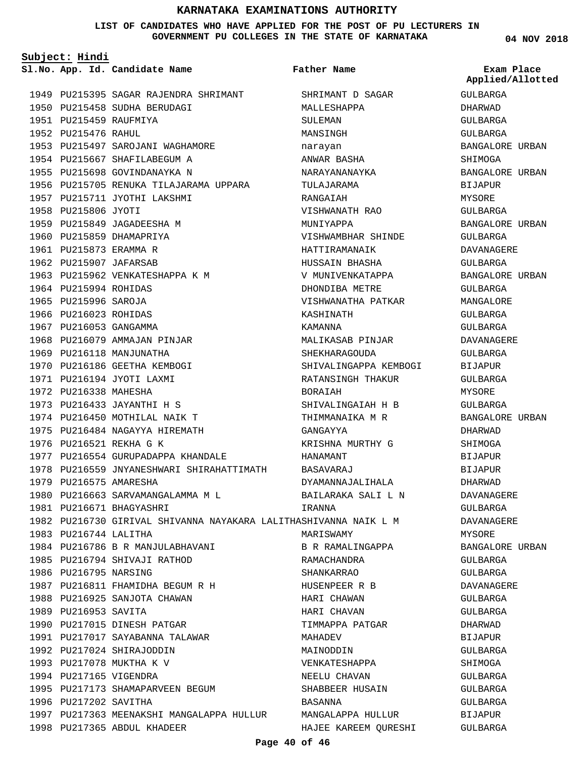#### **LIST OF CANDIDATES WHO HAVE APPLIED FOR THE POST OF PU LECTURERS IN GOVERNMENT PU COLLEGES IN THE STATE OF KARNATAKA**

**Subject: Hindi**

1998 PU217365 ABDUL KHADEER

1949 PU215395 SAGAR RAJENDRA SHRIMANT 1950 PU215458 SUDHA BERUDAGI 1951 PU215459 RAUFMIYA 1952 PU215476 RAHUL 1953 PU215497 SAROJANI WAGHAMORE 1954 PU215667 SHAFILABEGUM A 1955 PU215698 GOVINDANAYKA N 1956 PU215705 RENUKA TILAJARAMA UPPARA 1957 PU215711 JYOTHI LAKSHMI 1958 PU215806 JYOTI 1959 PU215849 JAGADEESHA M 1960 PU215859 DHAMAPRIYA 1961 PU215873 ERAMMA R 1962 PU215907 JAFARSAB 1963 PU215962 VENKATESHAPPA K M 1964 PU215994 ROHIDAS 1965 PU215996 SAROJA 1966 PU216023 ROHIDAS 1967 PU216053 GANGAMMA 1968 PU216079 AMMAJAN PINJAR 1969 PU216118 MANJUNATHA 1970 PU216186 GEETHA KEMBOGI 1971 PU216194 JYOTI LAXMI 1972 PU216338 MAHESHA 1973 PU216433 JAYANTHI H S 1974 PU216450 MOTHILAL NAIK T 1975 PU216484 NAGAYYA HIREMATH 1976 PU216521 REKHA G K 1977 PU216554 GURUPADAPPA KHANDALE PU216559 JNYANESHWARI SHIRAHATTIMATH BASAVARAJ 1978 1979 PU216575 AMARESHA 1980 PU216663 SARVAMANGALAMMA M L 1981 PU216671 BHAGYASHRI 1982 PU216730 GIRIVAL SHIVANNA NAYAKARA LALITHASHIVANNA NAIK L M 1983 PU216744 LALITHA 1984 PU216786 B R MANJULABHAVANI 1985 PU216794 SHIVAJI RATHOD 1986 PU216795 NARSING 1987 PU216811 FHAMIDHA BEGUM R H 1988 PU216925 SANJOTA CHAWAN 1989 PU216953 SAVITA 1990 PU217015 DINESH PATGAR 1991 PU217017 SAYABANNA TALAWAR 1992 PU217024 SHIRAJODDIN 1993 PU217078 MUKTHA K V 1994 PU217165 VIGENDRA 1995 PU217173 SHAMAPARVEEN BEGUM 1996 PU217202 SAVITHA 1997 PU217363 MEENAKSHI MANGALAPPA HULLUR **App. Id. Candidate Name Sl.No. Exam Place** SHRIMANT D SAGAR MALLESHAPPA SULEMAN MANSINGH narayan ANWAR BASHA NARAYANANAYKA TULAJARAMA **RANGAIAH** VISHWANATH RAO MUNIYAPPA VISHWAMBHAR SHINDE HATTIRAMANAIK HUSSAIN BHASHA V MUNIVENKATAPPA DHONDIBA METRE VISHWANATHA PATKAR KASHINATH KAMANNA MALIKASAB PINJAR SHEKHARAGOUDA SHIVALINGAPPA KEMBOGI RATANSINGH THAKUR BORAIAH SHIVALINGAIAH H B THIMMANAIKA M R GANGAYYA KRISHNA MURTHY G HANAMANT DYAMANNAJALIHALA BAILARAKA SALI L N IRANNA MARISWAMY B R RAMALINGAPPA RAMACHANDRA SHANKARRAO HUSENPEER R B HARI CHAWAN HARI CHAVAN TIMMAPPA PATGAR MAHADEV MAINODDIN VENKATESHAPPA NEELU CHAVAN SHABBEER HUSAIN BASANNA MANGALAPPA HULLUR **Father Name**

**04 NOV 2018**

GULBARGA DHARWAD GULBARGA GULBARGA BANGALORE URBAN SHIMOGA BANGALORE URBAN BIJAPUR MYSORE GULBARGA BANGALORE URBAN GULBARGA DAVANAGERE GULBARGA BANGALORE URBAN GULBARGA MANGALORE GULBARGA GULBARGA DAVANAGERE GULBARGA BIJAPUR GULBARGA MYSORE GULBARGA BANGALORE URBAN DHARWAD SHIMOGA BIJAPUR BIJAPUR DHARWAD DAVANAGERE GULBARGA DAVANAGERE MYSORE BANGALORE URBAN GULBARGA GULBARGA DAVANAGERE GULBARGA GULBARGA DHARWAD BIJAPUR GULBARGA **SHIMOGA** GULBARGA GULBARGA GULBARGA BIJAPUR GULBARGA **Applied/Allotted**

#### **Page 40 of 46**

HAJEE KAREEM QURESHI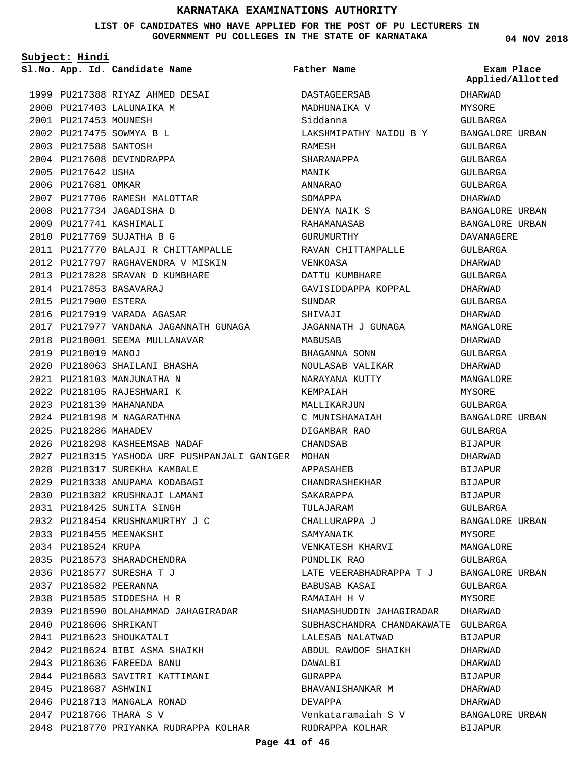#### **LIST OF CANDIDATES WHO HAVE APPLIED FOR THE POST OF PU LECTURERS IN GOVERNMENT PU COLLEGES IN THE STATE OF KARNATAKA**

**Subject: Hindi**

**App. Id. Candidate Name Sl.No. Exam Place**

2000 PU217403 LALUNAIKA M 2001 PU217453 MOUNESH PU217475 SOWMYA B L 2002 2003 PU217588 SANTOSH 2004 PU217608 DEVINDRAPPA

2005 PU217642 USHA 2006 PU217681 OMKAR

1999 PU217388 RIYAZ AHMED DESAI

2007 PU217706 RAMESH MALOTTAR 2008 PU217734 JAGADISHA D 2009 PU217741 KASHIMALI PU217769 SUJATHA B G 2010

PU217853 BASAVARAJ 2014 2015 PU217900 ESTERA

2019 PU218019 MANOJ

2025 PU218286 MAHADEV

2016 PU217919 VARADA AGASAR

2018 PU218001 SEEMA MULLANAVAR

2020 PU218063 SHAILANI BHASHA PU218103 MANJUNATHA N 2021 2022 PU218105 RAJESHWARI K PU218139 MAHANANDA 2023 PU218198 M NAGARATHNA 2024

PU218298 KASHEEMSAB NADAF 2026

2028 PU218317 SUREKHA KAMBALE 2029 PU218338 ANUPAMA KODABAGI PU218382 KRUSHNAJI LAMANI 2030 PU218425 SUNITA SINGH 2031

PU218454 KRUSHNAMURTHY J C 2032

2039 PU218590 BOLAHAMMAD JAHAGIRADAR

2048 PU218770 PRIYANKA RUDRAPPA KOLHAR

PU218624 BIBI ASMA SHAIKH 2042 PU218636 FAREEDA BANU 2043

2044 PU218683 SAVITRI KATTIMANI

2046 PU218713 MANGALA RONAD PU218766 THARA S V 2047

2033 PU218455 MEENAKSHI 2034 PU218524 KRUPA

2040 PU218606 SHRIKANT 2041 PU218623 SHOUKATALI

2045 PU218687 ASHWINI

2035 PU218573 SHARADCHENDRA PU218577 SURESHA T J 2036 2037 PU218582 PEERANNA PU218585 SIDDESHA H R 2038

PU217770 BALAJI R CHITTAMPALLE 2011 2012 PU217797 RAGHAVENDRA V MISKIN PU217828 SRAVAN D KUMBHARE 2013

2017 PU217977 VANDANA JAGANNATH GUNAGA

**Father Name**

2027 PU218315 YASHODA URF PUSHPANJALI GANIGER MOHAN DASTAGEERSAB MADHUNAIKA V Siddanna LAKSHMIPATHY NAIDU B Y RAMESH SHARANAPPA MANIK ANNARAO SOMAPPA DENYA NAIK S RAHAMANASAB GURUMURTHY RAVAN CHITTAMPALLE VENKOASA DATTU KUMBHARE GAVISIDDAPPA KOPPAL SUNDAR SHIVAJI JAGANNATH J GUNAGA MABUSAB BHAGANNA SONN NOULASAB VALIKAR NARAYANA KUTTY KEMPAIAH MALLIKARJUN C MUNISHAMAIAH DIGAMBAR RAO CHANDSAB APPASAHEB CHANDRASHEKHAR SAKARAPPA TULAJARAM CHALLURAPPA J SAMYANAIK VENKATESH KHARVI PUNDLIK RAO LATE VEERABHADRAPPA T J BABUSAB KASAI RAMAIAH H V SHAMASHUDDIN JAHAGIRADAR SUBHASCHANDRA CHANDAKAWATE GULBARGA LALESAB NALATWAD ABDUL RAWOOF SHAIKH DAWALBI GURAPPA BHAVANISHANKAR M DEVAPPA Venkataramaiah S V RUDRAPPA KOLHAR

**04 NOV 2018**

DHARWAD MYSORE GULBARGA BANGALORE URBAN GULBARGA GULBARGA GULBARGA GULBARGA DHARWAD BANGALORE URBAN BANGALORE URBAN DAVANAGERE GULBARGA DHARWAD GULBARGA DHARWAD GULBARGA DHARWAD MANGALORE DHARWAD GULBARGA DHARWAD MANGALORE MYSORE GULBARGA BANGALORE URBAN CIILBARGA BIJAPUR DHARWAD BIJAPUR BIJAPUR BIJAPUR GULBARGA BANGALORE URBAN MYSORE MANGALORE GULBARGA BANGALORE URBAN GULBARGA MYSORE DHARWAD BIJAPUR DHARWAD DHARWAD BIJAPUR DHARWAD DHARWAD BANGALORE URBAN BIJAPUR **Applied/Allotted**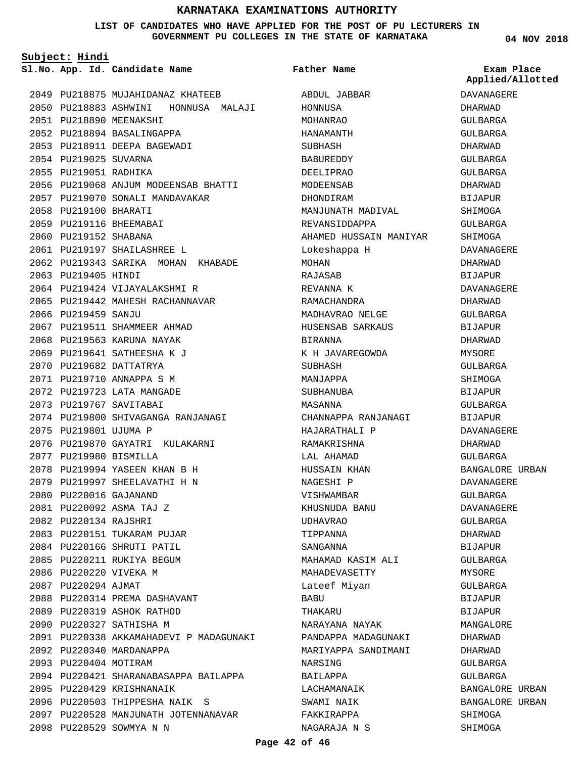#### **LIST OF CANDIDATES WHO HAVE APPLIED FOR THE POST OF PU LECTURERS IN GOVERNMENT PU COLLEGES IN THE STATE OF KARNATAKA**

**Father Name**

**Subject: Hindi**

**App. Id. Candidate Name Sl.No. Exam Place**

**04 NOV 2018**

**Applied/Allotted**

|      |                        | 2049 PU218875 MUJAHIDANAZ KHATEEB       |
|------|------------------------|-----------------------------------------|
|      |                        | 2050 PU218883 ASHWINI HONNUSA MALAJI    |
|      |                        | 2051 PU218890 MEENAKSHI                 |
|      |                        | 2052 PU218894 BASALINGAPPA              |
|      |                        | 2053 PU218911 DEEPA BAGEWADI            |
|      | 2054 PU219025 SUVARNA  |                                         |
|      | 2055 PU219051 RADHIKA  |                                         |
|      |                        | 2056 PU219068 ANJUM MODEENSAB BHATTI    |
|      |                        | 2057 PU219070 SONALI MANDAVAKAR         |
| 2058 | PU219100 BHARATI       |                                         |
|      |                        | 2059 PU219116 BHEEMABAI                 |
|      | 2060 PU219152 SHABANA  |                                         |
|      |                        | 2061 PU219197 SHAILASHREE L             |
|      |                        | 2062 PU219343 SARIKA MOHAN KHABADE      |
|      | 2063 PU219405 HINDI    |                                         |
|      |                        | 2064 PU219424 VIJAYALAKSHMI R           |
|      |                        | 2065 PU219442 MAHESH RACHANNAVAR        |
|      | 2066 PU219459 SANJU    |                                         |
|      |                        | 2067 PU219511 SHAMMEER AHMAD            |
|      |                        | 2068 PU219563 KARUNA NAYAK              |
|      |                        | 2069 PU219641 SATHEESHA K J             |
|      |                        | 2070 PU219682 DATTATRYA                 |
|      |                        | 2071 PU219710 ANNAPPA S M               |
|      |                        | 2072 PU219723 LATA MANGADE              |
|      |                        | 2073 PU219767 SAVITABAI                 |
|      |                        | 2074 PU219800 SHIVAGANGA RANJANAGI      |
| 2075 | PU219801 UJUMA P       |                                         |
|      |                        | 2076 PU219870 GAYATRI KULAKARNI         |
|      | 2077 PU219980 BISMILLA |                                         |
|      |                        | 2078 PU219994 YASEEN KHAN B H           |
|      |                        | 2079 PU219997 SHEELAVATHI H N           |
|      | 2080 PU220016 GAJANAND |                                         |
|      |                        | 2081 PU220092 ASMA TAJ Z                |
|      | 2082 PU220134 RAJSHRI  |                                         |
|      |                        | 2083 PU220151 TUKARAM PUJAR             |
|      |                        | 2084 PU220166 SHRUTI PATIL              |
|      |                        | 2085 PU220211 RUKIYA BEGUM              |
|      | 2086 PU220220 VIVEKA M |                                         |
|      | 2087 PU220294 AJMAT    |                                         |
|      |                        | 2088 PU220314 PREMA DASHAVANT           |
|      |                        | 2089 PU220319 ASHOK RATHOD              |
|      |                        | 2090 PU220327 SATHISHA M                |
|      |                        | 2091 PU220338 AKKAMAHADEVI P MADAGUNAKI |
|      |                        | 2092 PU220340 MARDANAPPA                |
|      | 2093 PU220404 MOTIRAM  |                                         |
|      |                        | 2094 PU220421 SHARANABASAPPA BAILAPPA   |
|      |                        | 2095 PU220429 KRISHNANAIK               |
|      |                        | 2096 PU220503 THIPPESHA NAIK S          |
|      |                        | 2097 PU220528 MANJUNATH JOTENNANAVAR    |
|      |                        | 2098 PU220529 SOWMYA N N                |

| ABDUL JABBAR           |
|------------------------|
| HONNUSA                |
| MOHANRAO               |
| <b>HANAMANTH</b>       |
| <b>SUBHASH</b>         |
| <b>BABUREDDY</b>       |
| DEELIPRAO              |
| MODEENSAB              |
| DHONDIRAM              |
| MANJUNATH MADIVAL      |
| REVANSIDDAPPA          |
| AHAMED HUSSAIN MANIYAR |
| Lokeshappa H           |
| MOHAN                  |
| RAJASAB                |
| REVANNA K              |
| <b>RAMACHANDRA</b>     |
| MADHAVRAO NELGE        |
| HUSENSAB SARKAUS       |
| <b>BIRANNA</b>         |
|                        |
| K H JAVAREGOWDA        |
| <b>SUBHASH</b>         |
| MANJAPPA               |
| SUBHANUBA              |
| MASANNA                |
| CHANNAPPA RANJANAGI    |
| HAJARATHALI P          |
| RAMAKRISHNA            |
| LAL AHAMAD             |
| HUSSAIN KHAN           |
| NAGESHI P              |
| VISHWAMBAR             |
| KHUSNUDA BANU          |
| <b>UDHAVRAO</b>        |
| TIPPANNA               |
| <b>SANGANNA</b>        |
| MAHAMAD KASIM ALI      |
| MAHADEVASETTY          |
| Lateef Miyan           |
| BABU                   |
| THAKARU                |
| NARAYANA NAYAK         |
| PANDAPPA MADAGUNAKI    |
| MARIYAPPA SANDIMANI    |
| NARSING                |
| BAILAPPA               |
| LACHAMANAIK            |
| SWAMI NAIK             |
|                        |
| FAKKIRAPPA             |

DAVANAGERE DHARWAD GULBARGA GULBARGA DHARWAD GULBARGA GULBARGA DHARWAD BIJAPUR SHIMOGA GULBARGA SHIMOGA DAVANAGERE DHARWAD BIJAPUR DAVANAGERE DHARWAD GULBARGA BIJAPUR DHARWAD MYSORE GULBARGA SHIMOGA BIJAPUR GULBARGA BIJAPUR DAVANAGERE DHARWAD GULBARGA BANGALORE URBAN DAVANAGERE GULBARGA DAVANAGERE GULBARGA DHARWAD BIJAPUR GULBARGA MYSORE GULBARGA BIJAPUR BIJAPUR MANGALORE DHARWAD DHARWAD GULBARGA GULBARGA BANGALORE URBAN BANGALORE URBAN SHIMOGA SHIMOGA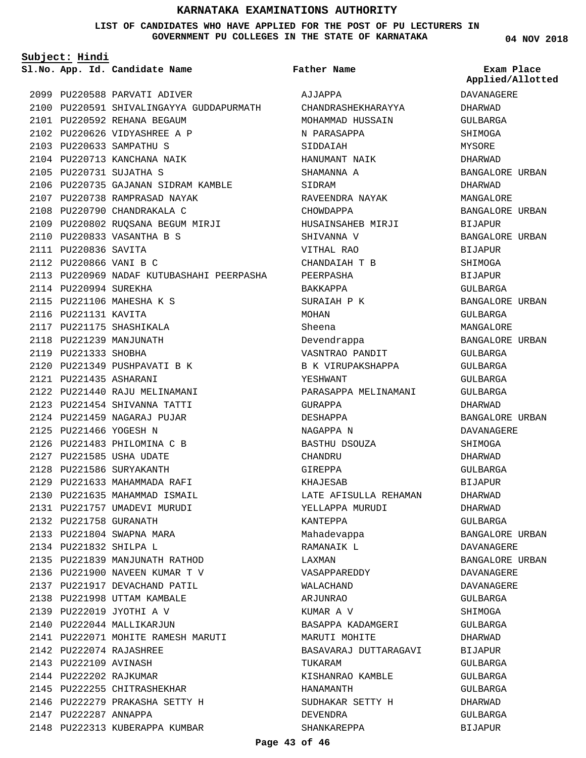#### **LIST OF CANDIDATES WHO HAVE APPLIED FOR THE POST OF PU LECTURERS IN GOVERNMENT PU COLLEGES IN THE STATE OF KARNATAKA**

**Father Name**

**Subject: Hindi**

**App. Id. Candidate Name Sl.No. Exam Place**

2099 PU220588 PARVATI ADIVER 2100 PU220591 SHIVALINGAYYA GUDDAPURMATH 2101 PU220592 REHANA BEGAUM 2102 PU220626 VIDYASHREE A P 2103 PU220633 SAMPATHU S 2104 PU220713 KANCHANA NAIK PU220731 SUJATHA S 2105 2106 PU220735 GAJANAN SIDRAM KAMBLE 2107 PU220738 RAMPRASAD NAYAK 2108 PU220790 CHANDRAKALA C 2109 PU220802 RUQSANA BEGUM MIRJI PU220833 VASANTHA B S 2110 2111 PU220836 SAVITA 2112 PU220866 VANI B C 2113 PU220969 NADAF KUTUBASHAHI PEERPASHA 2114 PU220994 SUREKHA 2115 PU221106 MAHESHA K S 2116 PU221131 KAVITA 2117 PU221175 SHASHIKALA 2118 PU221239 MANJUNATH 2119 PU221333 SHOBHA 2120 PU221349 PUSHPAVATI B K PU221435 ASHARANI 2121 2122 PU221440 RAJU MELINAMANI 2123 PU221454 SHIVANNA TATTI PU221459 NAGARAJ PUJAR 2124 2125 PU221466 YOGESH N 2126 PU221483 PHILOMINA C B 2127 PU221585 USHA UDATE 2128 PU221586 SURYAKANTH 2129 PU221633 MAHAMMADA RAFI 2130 PU221635 MAHAMMAD ISMAIL 2131 PU221757 UMADEVI MURUDI 2132 PU221758 GURANATH 2133 PU221804 SWAPNA MARA PU221832 SHILPA L 2134 2135 PU221839 MANJUNATH RATHOD 2136 PU221900 NAVEEN KUMAR T V 2137 PU221917 DEVACHAND PATIL 2138 PU221998 UTTAM KAMBALE PU222019 JYOTHI A V 2139 2140 PU222044 MALLIKARJUN 2141 PU222071 MOHITE RAMESH MARUTI PU222074 RAJASHREE 2142 2143 PU222109 AVINASH 2144 PU222202 RAJKUMAR 2145 PU222255 CHITRASHEKHAR 2146 PU222279 PRAKASHA SETTY H 2147 PU222287 ANNAPPA 2148 PU222313 KUBERAPPA KUMBAR

AJJAPPA CHANDRASHEKHARAYYA MOHAMMAD HUSSAIN N PARASAPPA SIDDAIAH HANUMANT NAIK SHAMANNA A SIDRAM RAVEENDRA NAYAK CHOWDAPPA HUSAINSAHEB MIRJI SHIVANNA V VITHAL RAO CHANDAIAH T B PEERPASHA BAKKAPPA SURAIAH P K MOHAN Sheena Devendrappa VASNTRAO PANDIT B K VIRUPAKSHAPPA YESHWANT PARASAPPA MELINAMANI GURAPPA DESHAPPA NAGAPPA N BASTHU DSOUZA CHANDRU GIREPPA KHAJESAB LATE AFISULLA REHAMAN YELLAPPA MURUDI KANTEPPA Mahadevappa RAMANAIK L LAXMAN VASAPPAREDDY WALACHAND ARJUNRAO KUMAR A V BASAPPA KADAMGERI MARUTI MOHITE BASAVARAJ DUTTARAGAVI TIIK AR AM KISHANRAO KAMBLE HANAMANTH SUDHAKAR SETTY H DEVENDRA SHANKAREPPA

**04 NOV 2018**

**Applied/Allotted**

# DAVANAGERE DHARWAD GULBARGA SHIMOGA MYSORE DHARWAD BANGALORE URBAN DHARWAD MANGALORE BANGALORE URBAN BIJAPUR BANGALORE URBAN BIJAPUR SHIMOGA BIJAPUR GULBARGA BANGALORE URBAN GULBARGA MANGALORE BANGALORE URBAN GULBARGA GULBARGA GULBARGA GULBARGA DHARWAD BANGALORE URBAN DAVANAGERE SHIMOGA DHARWAD GULBARGA BIJAPUR DHARWAD DHARWAD GULBARGA BANGALORE URBAN DAVANAGERE BANGALORE URBAN DAVANAGERE DAVANAGERE GULBARGA SHIMOGA GULBARGA DHARWAD **BIJAPUR** GULBARGA GULBARGA GULBARGA DHARWAD GULBARGA

BIJAPUR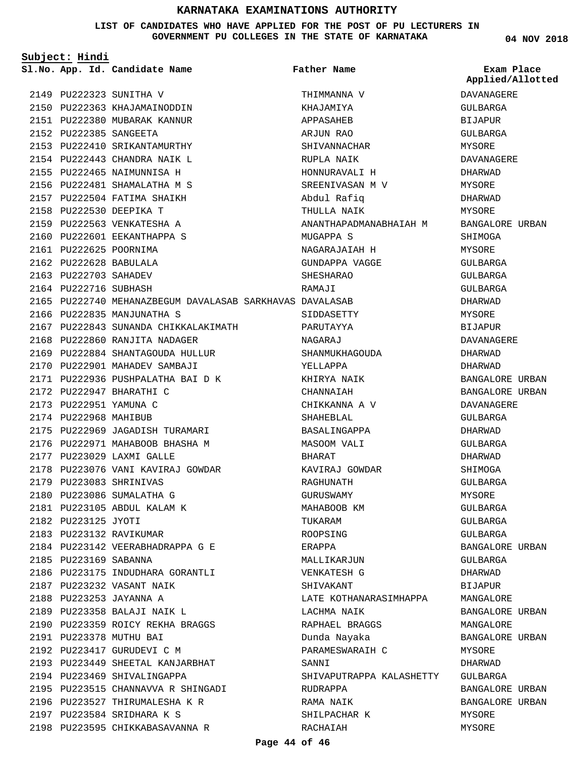**Subject: Hindi**

**LIST OF CANDIDATES WHO HAVE APPLIED FOR THE POST OF PU LECTURERS IN GOVERNMENT PU COLLEGES IN THE STATE OF KARNATAKA**

|                       | Sl.No. App. Id. Candidate Name                           | Father Name              | Exam Place       |
|-----------------------|----------------------------------------------------------|--------------------------|------------------|
|                       |                                                          |                          | Applied/Allotted |
|                       | 2149 PU222323 SUNITHA V                                  | THIMMANNA V              | DAVANAGERE       |
|                       | 2150 PU222363 KHAJAMAINODDIN                             | KHAJAMIYA                | GULBARGA         |
|                       | 2151 PU222380 MUBARAK KANNUR                             | APPASAHEB                | BIJAPUR          |
|                       | 2152 PU222385 SANGEETA                                   | ARJUN RAO                | GULBARGA         |
|                       | 2153 PU222410 SRIKANTAMURTHY                             | SHIVANNACHAR             | MYSORE           |
|                       | 2154 PU222443 CHANDRA NAIK L                             | RUPLA NAIK               | DAVANAGERE       |
|                       | 2155 PU222465 NAIMUNNISA H                               | HONNURAVALI H            | DHARWAD          |
|                       | 2156 PU222481 SHAMALATHA M S                             | SREENIVASAN M V          | MYSORE           |
|                       | 2157 PU222504 FATIMA SHAIKH                              | Abdul Rafiq              | DHARWAD          |
|                       | 2158 PU222530 DEEPIKA T                                  | THULLA NAIK              | MYSORE           |
|                       | 2159 PU222563 VENKATESHA A                               | ANANTHAPADMANABHAIAH M   | BANGALORE URBAN  |
|                       | 2160 PU222601 EEKANTHAPPA S                              | MUGAPPA S                | SHIMOGA          |
|                       | 2161 PU222625 POORNIMA                                   | NAGARAJAIAH H            | MYSORE           |
|                       | 2162 PU222628 BABULALA                                   | GUNDAPPA VAGGE           | GULBARGA         |
| 2163 PU222703 SAHADEV |                                                          | SHESHARAO                | GULBARGA         |
| 2164 PU222716 SUBHASH |                                                          | RAMAJI                   | GULBARGA         |
|                       | 2165 PU222740 MEHANAZBEGUM DAVALASAB SARKHAVAS DAVALASAB |                          | DHARWAD          |
|                       | 2166 PU222835 MANJUNATHA S                               | SIDDASETTY               | MYSORE           |
|                       | 2167 PU222843 SUNANDA CHIKKALAKIMATH                     | PARUTAYYA                | BIJAPUR          |
|                       | 2168 PU222860 RANJITA NADAGER                            | NAGARAJ                  | DAVANAGERE       |
|                       | 2169 PU222884 SHANTAGOUDA HULLUR                         | SHANMUKHAGOUDA           | DHARWAD          |
|                       | 2170 PU222901 MAHADEV SAMBAJI                            | YELLAPPA                 | DHARWAD          |
|                       | 2171 PU222936 PUSHPALATHA BAI D K                        | KHIRYA NAIK              | BANGALORE URBAN  |
|                       | 2172 PU222947 BHARATHI C                                 | CHANNAIAH                | BANGALORE URBAN  |
|                       | 2173 PU222951 YAMUNA C                                   | CHIKKANNA A V            | DAVANAGERE       |
| 2174 PU222968 MAHIBUB |                                                          | SHAHEBLAL                | GULBARGA         |
|                       | 2175 PU222969 JAGADISH TURAMARI                          | BASALINGAPPA             | DHARWAD          |
|                       | 2176 PU222971 MAHABOOB BHASHA M                          | MASOOM VALI              | GULBARGA         |
|                       | 2177 PU223029 LAXMI GALLE                                | BHARAT                   | DHARWAD          |
|                       | 2178 PU223076 VANI KAVIRAJ GOWDAR                        | KAVIRAJ GOWDAR           | SHIMOGA          |
|                       | 2179 PU223083 SHRINIVAS                                  | RAGHUNATH                | GULBARGA         |
|                       | 2180 PU223086 SUMALATHA G                                | GURUSWAMY                | MYSORE           |
|                       | 2181 PU223105 ABDUL KALAM K                              | MAHABOOB KM              | GULBARGA         |
| 2182 PU223125 JYOTI   |                                                          | TUKARAM                  | GULBARGA         |
|                       | 2183 PU223132 RAVIKUMAR                                  | ROOPSING                 | GULBARGA         |
|                       | 2184 PU223142 VEERABHADRAPPA G E                         | ERAPPA                   | BANGALORE URBAN  |
| 2185 PU223169 SABANNA |                                                          | MALLIKARJUN              | GULBARGA         |
|                       | 2186 PU223175 INDUDHARA GORANTLI                         | VENKATESH G              | DHARWAD          |
|                       | 2187 PU223232 VASANT NAIK                                | SHIVAKANT                | BIJAPUR          |
|                       | 2188 PU223253 JAYANNA A                                  | LATE KOTHANARASIMHAPPA   | MANGALORE        |
|                       | 2189 PU223358 BALAJI NAIK L                              | LACHMA NAIK              | BANGALORE URBAN  |
|                       | 2190 PU223359 ROICY REKHA BRAGGS                         | RAPHAEL BRAGGS           | MANGALORE        |
|                       | 2191 PU223378 MUTHU BAI                                  | Dunda Nayaka             | BANGALORE URBAN  |
|                       | 2192 PU223417 GURUDEVI C M                               | PARAMESWARAIH C          | MYSORE           |
|                       | 2193 PU223449 SHEETAL KANJARBHAT                         | SANNI                    | DHARWAD          |
|                       | 2194 PU223469 SHIVALINGAPPA                              | SHIVAPUTRAPPA KALASHETTY | GULBARGA         |
|                       | 2195 PU223515 CHANNAVVA R SHINGADI                       | RUDRAPPA                 | BANGALORE URBAN  |
|                       | 2196 PU223527 THIRUMALESHA K R                           | RAMA NAIK                | BANGALORE URBAN  |
|                       | 2197 PU223584 SRIDHARA K S                               | SHILPACHAR K             | MYSORE           |
|                       | 2198 PU223595 CHIKKABASAVANNA R                          | RACHAIAH                 | MYSORE           |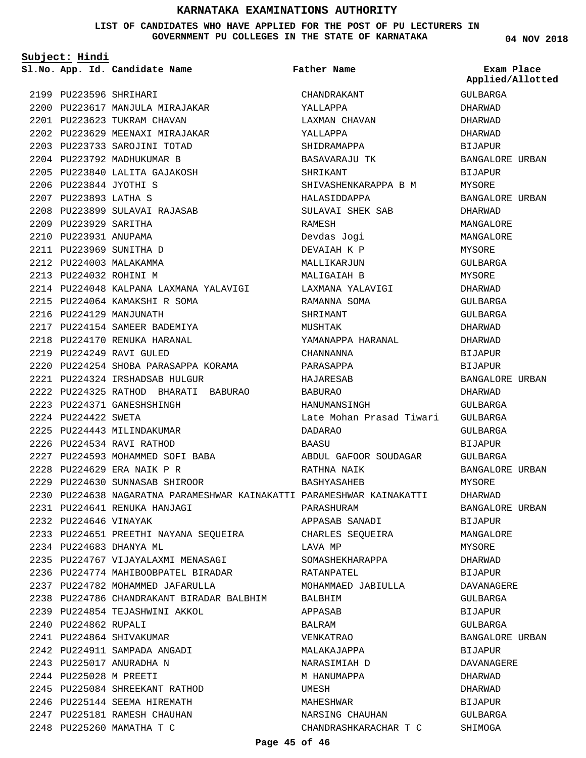#### **LIST OF CANDIDATES WHO HAVE APPLIED FOR THE POST OF PU LECTURERS IN GOVERNMENT PU COLLEGES IN THE STATE OF KARNATAKA**

**Subject: Hindi**

|                       | Sl.No. App. Id. Candidate Name                                        | Father Name              | Exam Place<br>Applied/Allotted |
|-----------------------|-----------------------------------------------------------------------|--------------------------|--------------------------------|
|                       | 2199 PU223596 SHRIHARI                                                | CHANDRAKANT              | GULBARGA                       |
|                       | 2200 PU223617 MANJULA MIRAJAKAR                                       | YALLAPPA                 | DHARWAD                        |
|                       | 2201 PU223623 TUKRAM CHAVAN                                           | LAXMAN CHAVAN            | DHARWAD                        |
|                       | 2202 PU223629 MEENAXI MIRAJAKAR                                       | YALLAPPA                 | DHARWAD                        |
|                       | 2203 PU223733 SAROJINI TOTAD                                          | SHIDRAMAPPA              | BIJAPUR                        |
|                       | 2204 PU223792 MADHUKUMAR B                                            | BASAVARAJU TK            | BANGALORE URBAN                |
|                       | 2205 PU223840 LALITA GAJAKOSH                                         | SHRIKANT                 | BIJAPUR                        |
|                       | 2206 PU223844 JYOTHI S                                                | SHIVASHENKARAPPA B M     | MYSORE                         |
| 2207 PU223893 LATHA S |                                                                       | HALASIDDAPPA             | BANGALORE URBAN                |
|                       | 2208 PU223899 SULAVAI RAJASAB                                         | SULAVAI SHEK SAB         | DHARWAD                        |
| 2209 PU223929 SARITHA |                                                                       | RAMESH                   | MANGALORE                      |
| 2210 PU223931 ANUPAMA |                                                                       | Devdas Jogi              | MANGALORE                      |
|                       | 2211 PU223969 SUNITHA D                                               | DEVAIAH K P              | MYSORE                         |
|                       | 2212 PU224003 MALAKAMMA                                               | MALLIKARJUN              | GULBARGA                       |
|                       | 2213 PU224032 ROHINI M                                                | MALIGAIAH B              | MYSORE                         |
|                       | 2214 PU224048 KALPANA LAXMANA YALAVIGI     LAXMANA YALAVIGI           |                          | DHARWAD                        |
|                       | 2215 PU224064 KAMAKSHI R SOMA                                         | RAMANNA SOMA             | GULBARGA                       |
|                       | 2216 PU224129 MANJUNATH                                               | SHRIMANT                 | GULBARGA                       |
|                       | 2217 PU224154 SAMEER BADEMIYA                                         | MUSHTAK                  | DHARWAD                        |
|                       | 2218 PU224170 RENUKA HARANAL                                          | YAMANAPPA HARANAL        | DHARWAD                        |
|                       | 2219 PU224249 RAVI GULED                                              | CHANNANNA                | BIJAPUR                        |
|                       | 2220 PU224254 SHOBA PARASAPPA KORAMA                                  | PARASAPPA                | <b>BIJAPUR</b>                 |
|                       | 2221 PU224324 IRSHADSAB HULGUR                                        | HAJARESAB                | BANGALORE URBAN                |
|                       | 2222 PU224325 RATHOD BHARATI BABURAO                                  | BABURAO                  | DHARWAD                        |
|                       | 2223 PU224371 GANESHSHINGH                                            | HANUMANSINGH             | GULBARGA                       |
| 2224 PU224422 SWETA   |                                                                       | Late Mohan Prasad Tiwari | GULBARGA                       |
|                       | 2225 PU224443 MILINDAKUMAR                                            | DADARAO                  | GULBARGA                       |
|                       | 2226 PU224534 RAVI RATHOD                                             | BAASU                    | BIJAPUR                        |
|                       | 2227 PU224593 MOHAMMED SOFI BABA                                      | ABDUL GAFOOR SOUDAGAR    | GULBARGA                       |
|                       | 2228 PU224629 ERA NAIK P R                                            | RATHNA NAIK              | BANGALORE URBAN                |
|                       | 2229 PU224630 SUNNASAB SHIROOR                                        | BASHYASAHEB              | MYSORE                         |
|                       | 2230 PU224638 NAGARATNA PARAMESHWAR KAINAKATTI PARAMESHWAR KAINAKATTI |                          | DHARWAD                        |
|                       | 2231 PU224641 RENUKA HANJAGI                                          | PARASHURAM               | BANGALORE URBAN                |
| 2232 PU224646 VINAYAK |                                                                       | APPASAB SANADI           | BIJAPUR                        |
|                       | 2233 PU224651 PREETHI NAYANA SEQUEIRA               CHARLES SEQUEIRA  |                          | MANGALORE                      |
|                       | 2234 PU224683 DHANYA ML                                               | LAVA MP                  | MYSORE                         |
|                       | 2235 PU224767 VIJAYALAXMI MENASAGI                                    | SOMASHEKHARAPPA          | DHARWAD                        |
|                       | 2236 PU224774 MAHIBOOBPATEL BIRADAR                                   | RATANPATEL               | BIJAPUR                        |
|                       | 2237 PU224782 MOHAMMED JAFARULLA                                      | MOHAMMAED JABIULLA       | DAVANAGERE                     |
|                       | 2238 PU224786 CHANDRAKANT BIRADAR BALBHIM                             | BALBHIM                  | GULBARGA                       |
|                       | 2239 PU224854 TEJASHWINI AKKOL                                        | APPASAB                  | BIJAPUR                        |
| 2240 PU224862 RUPALI  |                                                                       | BALRAM                   | GULBARGA                       |
|                       | 2241 PU224864 SHIVAKUMAR                                              | VENKATRAO                | BANGALORE URBAN                |
|                       | 2242 PU224911 SAMPADA ANGADI                                          | MALAKAJAPPA              | BIJAPUR                        |
|                       | 2243 PU225017 ANURADHA N                                              | NARASIMIAH D             | DAVANAGERE                     |
|                       | 2244 PU225028 M PREETI                                                | M HANUMAPPA              | DHARWAD                        |
|                       | 2245 PU225084 SHREEKANT RATHOD                                        | UMESH                    | DHARWAD                        |
|                       | 2246 PU225144 SEEMA HIREMATH                                          | MAHESHWAR                | BIJAPUR                        |
|                       | 2247 PU225181 RAMESH CHAUHAN                                          | NARSING CHAUHAN          | GULBARGA                       |
|                       | 2248 PU225260 MAMATHA T C                                             | CHANDRASHKARACHAR T C    | SHIMOGA                        |